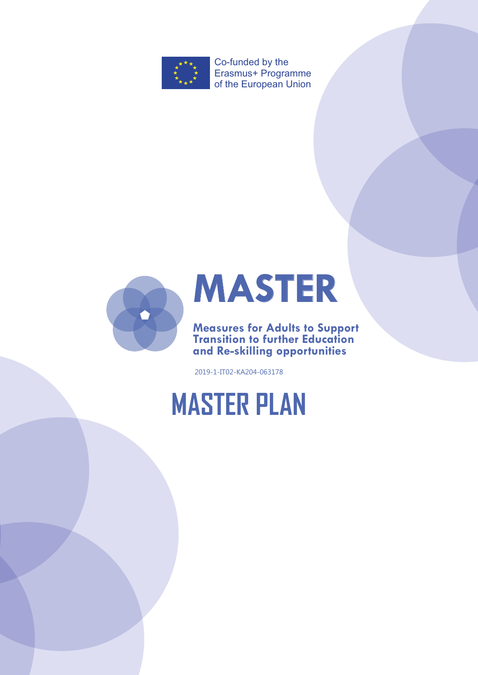

Co-funded by the Erasmus+ Programme of the European Union





**Measures for Adults to Support Transition to further Education and Re-skilling opportunities**

2019-1-IT02-KA204-063178

# **MASTER PLAN**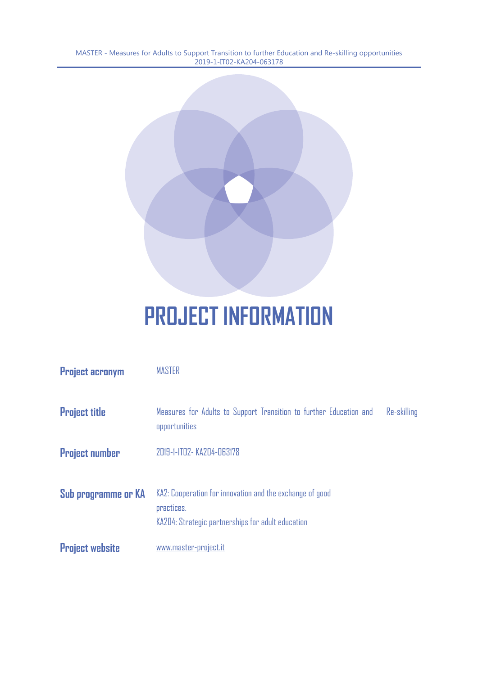

# **PROJECT INFORMATION**

| <b>Project acronym</b> | <b>MASTER</b>                                                                                                               |             |
|------------------------|-----------------------------------------------------------------------------------------------------------------------------|-------------|
| <b>Project title</b>   | Measures for Adults to Support Transition to further Education and<br>opportunities                                         | Re-skilling |
| <b>Project number</b>  | 2019-1-1T02- KA204-063178                                                                                                   |             |
| Sub programme or KA    | KA2: Cooperation for innovation and the exchange of good<br>practices.<br>KA204: Strategic partnerships for adult education |             |
| <b>Project website</b> | www.master-project.it                                                                                                       |             |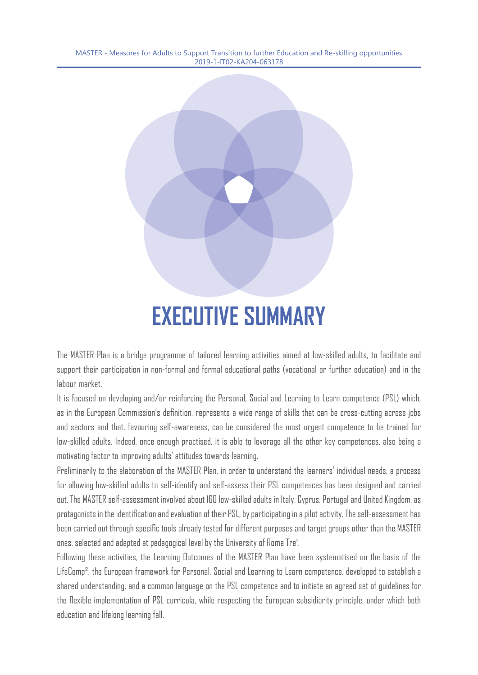

The MASTER Plan is a bridge programme of tailored learning activities aimed at low-skilled adults, to facilitate and support their participation in non-formal and formal educational paths (vocational or further education) and in the labour market.

It is focused on developing and/or reinforcing the Personal, Social and Learning to Learn competence (PSL) which, as in the European Commission's definition, represents a wide range of skills that can be cross-cutting across jobs and sectors and that, favouring self-awareness, can be considered the most urgent competence to be trained for low-skilled adults. Indeed, once enough practised, it is able to leverage all the other key competences, also being a motivating factor to improving adults' attitudes towards learning.

Preliminarily to the elaboration of the MASTER Plan, in order to understand the learners' individual needs, a process for allowing low-skilled adults to self-identify and self-assess their PSL competences has been designed and carried out. The MASTER self-assessment involved about 160 low-skilled adults in Italy, Cyprus, Portugal and United Kingdom, as protagonists in the identification and evaluation of their PSL, by participating in a pilot activity. The self-assessment has been carried out through specific tools already tested for different purposes and target groups other than the MASTER ones, selected and adapted at pedagogical level by the University of Roma Tre'.

Following these activities, the Learning Outcomes of the MASTER Plan have been systematised on the basis of the LifeComp², the European framework for Personal, Social and Learning to Learn competence, developed to establish a shared understanding, and a common language on the PSL competence and to initiate an agreed set of guidelines for the flexible implementation of PSL curricula, while respecting the European subsidiarity principle, under which both education and lifelong learning fall.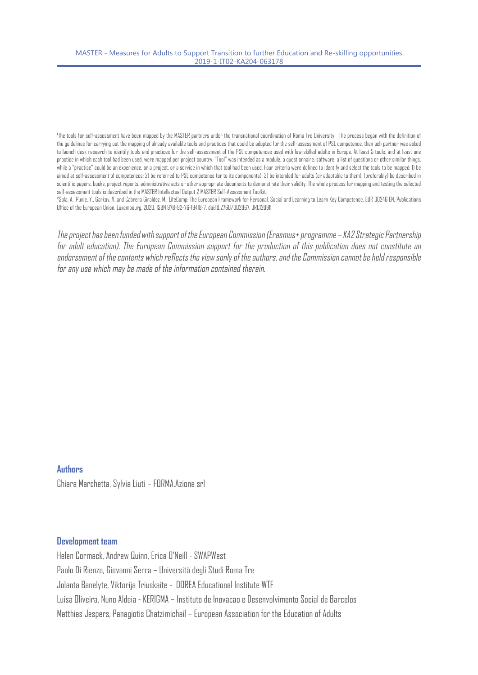The tools for self-assessment have been mapped by the MASTER partners under the transnational coordination of Roma Tre University The process began with the definition of the guidelines for carrying out the mapping of already available tools and practices that could be adopted for the self-assessment of PSL competence, then ach partner was asked to launch desk research to identify tools and practices for the self-assessment of the PSL competences used with low-skilled adults in Europe. At least 5 tools, and at least one practice in which each tool had been used, were mapped per project country. "Tool" was intended as a module, a questionnaire, software, a list of questions or other similar things, while a "practice" could be an experience, or a project, or a service in which that tool had been used. Four criteria were defined to identify and select the tools to be mapped: 1) be aimed at self-assessment of competences; 2) be referred to PSL competence (or to its components); 3) be intended for adults (or adaptable to them); (preferably) be described in scientific papers, books, project reports, administrative acts or other appropriate documents to demonstrate their validity. The whole process for mapping and testing the selected self-assessment tools is described in the MASTER Intellectual Output 2 MASTER Self-Assessment Toolkit.

²Sala, A., Punie, Y., Garkov, V. and Cabrera Giraldez, M., LifeComp: The European Framework for Personal, Social and Learning to Learn Key Competence, EUR 30246 EN, Publications Office of the European Union, Luxembourg, 2020, ISBN 978-92-76-19418-7, doi:10.2760/302967, JRC120911

The project has been funded with support of the European Commission (Erasmus+ programme – KA2 Strategic Partnership for adult education). The European Commission support for the production of this publication does not constitute an endorsement of the contents which reflects the view sonly of the authors, and the Commission cannot be held responsible for any use which may be made of the information contained therein.

#### **Authors**

Chiara Marchetta, Sylvia Liuti – FORMA.Azione srl

#### **Development team**

Helen Cormack, Andrew Quinn, Erica O'Neill - SWAPWest Paolo Di Rienzo, Giovanni Serra – Università degli Studi Roma Tre Jolanta Banelyte, Viktorija Triuskaite - DOREA Educational Institute WTF Luisa Oliveira, Nuno Aldeia - KERIGMA – Instituto de Inovacao e Desenvolvimento Social de Barcelos Matthias Jespers, Panagiotis Chatzimichail – European Association for the Education of Adults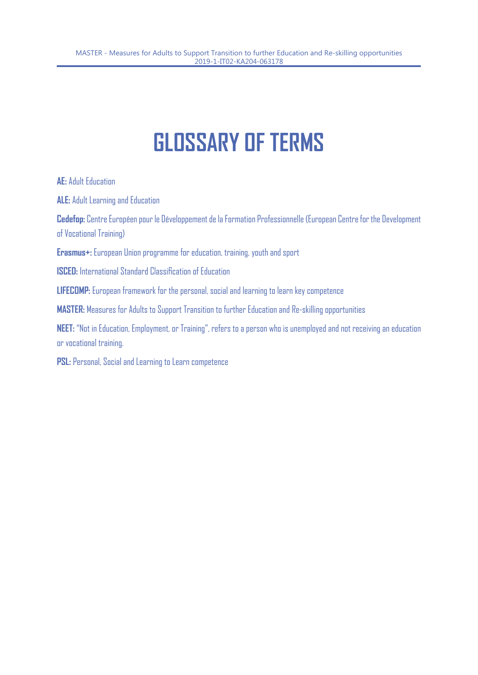# **GLOSSARY OF TERMS**

**AE:** Adult Education

**ALE:** Adult Learning and Education

**Cedefop:** Centre Européen pour le Développement de la Formation Professionnelle (European Centre for the Development of Vocational Training)

**Erasmus+:** European Union programme for education, training, youth and sport

**ISCED:** International Standard Classification of Education

**LIFECOMP:** European framework for the personal, social and learning to learn key competence

**MASTER:** Measures for Adults to Support Transition to further Education and Re-skilling opportunities

**NEET:** "Not in Education, Employment, or Training", refers to a person who is unemployed and not receiving an education or vocational training.

**PSL:** Personal, Social and Learning to Learn competence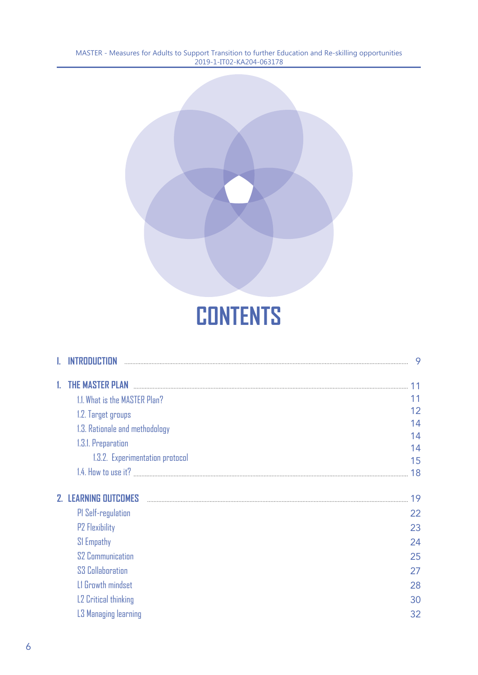

# **CONTENTS**

|    | TRANICTIAN                       | 9        |
|----|----------------------------------|----------|
| 1. | <b>THE MASTER PLAN</b>           | 11       |
|    | 1.1. What is the MASTER Plan?    | 11       |
|    | 1.2. Target groups               | 12       |
|    | 1.3. Rationale and methodology   | 14       |
|    | 1.3.1. Preparation               | 14       |
|    | 1.3.2. Experimentation protocol  | 14<br>15 |
|    |                                  | 18       |
|    | <b>2. LEARNING OUTCOMES</b>      | 19       |
|    | PI Self-regulation               | 22       |
|    | <b>P2 Flexibility</b>            | 23       |
|    | SI Empathy                       | 24       |
|    | <b>S2 Communication</b>          | 25       |
|    | S <sub>3</sub> Collaboration     | 27       |
|    | LI Growth mindset                | 28       |
|    | L <sub>2</sub> Critical thinking | 30       |
|    | L3 Managing learning             | 32       |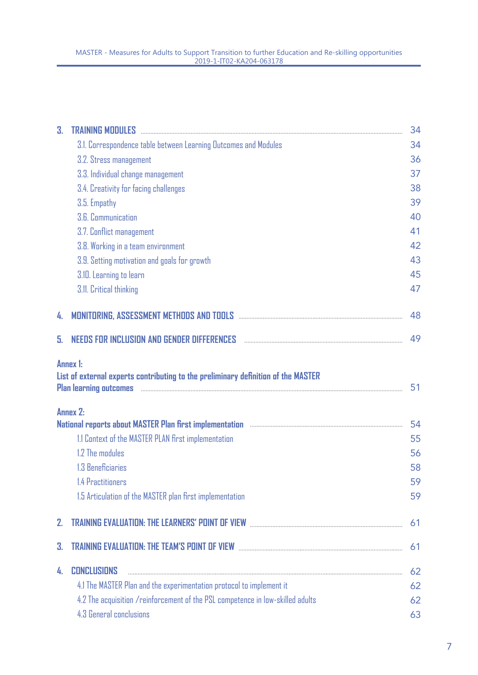| 3. | TRAINING MODULES And All Andrew March 2014 (1995) and the Case of the Case of the Case of the Case of the Case of the Case of the Case of the Case of the Case of the Case of the Case of the Case of the Case of the Case of | 34 |
|----|-------------------------------------------------------------------------------------------------------------------------------------------------------------------------------------------------------------------------------|----|
|    | 3.1. Correspondence table between Learning Outcomes and Modules                                                                                                                                                               | 34 |
|    | 3.2. Stress management                                                                                                                                                                                                        | 36 |
|    | 3.3. Individual change management                                                                                                                                                                                             | 37 |
|    | 3.4. Creativity for facing challenges                                                                                                                                                                                         | 38 |
|    | 3.5. Empathy                                                                                                                                                                                                                  | 39 |
|    | 3.6. Communication                                                                                                                                                                                                            | 40 |
|    | 3.7. Conflict management                                                                                                                                                                                                      | 41 |
|    | 3.8. Working in a team environment                                                                                                                                                                                            | 42 |
|    | 3.9. Setting motivation and goals for growth                                                                                                                                                                                  | 43 |
|    | 3.10. Learning to learn                                                                                                                                                                                                       | 45 |
|    | 3.11. Critical thinking                                                                                                                                                                                                       | 47 |
| 4. |                                                                                                                                                                                                                               | 48 |
| 5. | NEEDS FOR INCLUSION AND GENDER DIFFERENCES And the account of the contract of the contract of the state of the                                                                                                                | 49 |
|    | List of external experts contributing to the preliminary definition of the MASTER                                                                                                                                             | 51 |
|    | <b>Annex 2:</b><br>National reports about MASTER Plan first implementation www.communication.com/www.com/www.com/www.com/www.com/                                                                                             | 54 |
|    | 1.1 Context of the MASTER PLAN first implementation                                                                                                                                                                           | 55 |
|    | 1.2 The modules                                                                                                                                                                                                               | 56 |
|    | 1.3 Beneficiaries                                                                                                                                                                                                             | 58 |
|    | 1.4 Practitioners                                                                                                                                                                                                             | 59 |
|    | 1.5 Articulation of the MASTER plan first implementation                                                                                                                                                                      | 59 |
| 2. | <b>TRAINING EVALUATION: THE LEARNERS' POINT OF VIEW WELL AND RELATIONS CONTRAINING EVALUATION:</b>                                                                                                                            | 61 |
| 3. | <b>TRAINING EVALUATION: THE TEAM'S POINT OF VIEW manual contract of the contract of the CALIC CONTRACT OF TRAINING</b>                                                                                                        | 61 |
|    |                                                                                                                                                                                                                               |    |
| 4. | <b>CONCLUSIONS</b>                                                                                                                                                                                                            | 62 |
|    | 4.1 The MASTER Plan and the experimentation protocol to implement it                                                                                                                                                          | 62 |
|    | 4.2 The acquisition / reinforcement of the PSL competence in low-skilled adults                                                                                                                                               | 62 |
|    | 4.3 General conclusions                                                                                                                                                                                                       | 63 |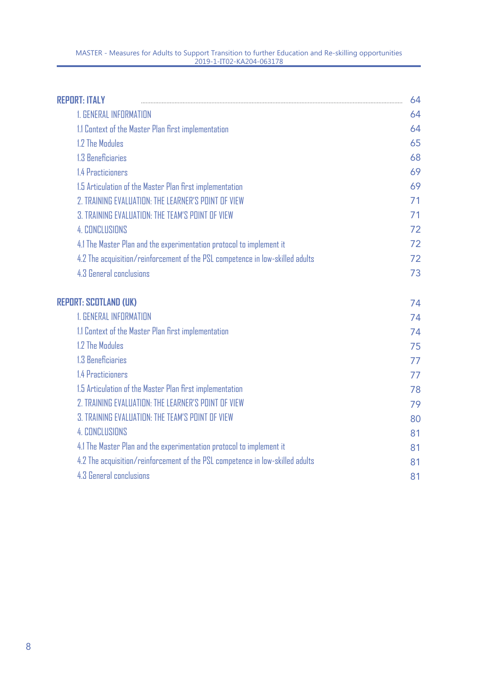| <b>REPORT: ITALY</b>                                                          | 64 |
|-------------------------------------------------------------------------------|----|
| <b>1. GENERAL INFORMATION</b>                                                 | 64 |
| 1.1 Context of the Master Plan first implementation                           | 64 |
| 1.2 The Modules                                                               | 65 |
| 1.3 Beneficiaries                                                             | 68 |
| 1.4 Practicioners                                                             | 69 |
| 1.5 Articulation of the Master Plan first implementation                      | 69 |
| 2. TRAINING EVALUATION: THE LEARNER'S POINT OF VIEW                           | 71 |
| 3. TRAINING EVALUATION: THE TEAM'S POINT OF VIEW                              | 71 |
| <b>4. CONCLUSIONS</b>                                                         | 72 |
| 4.1 The Master Plan and the experimentation protocol to implement it          | 72 |
| 4.2 The acquisition/reinforcement of the PSL competence in low-skilled adults | 72 |
| 4.3 General conclusions                                                       | 73 |
| <b>REPORT: SCOTLAND (UK)</b>                                                  | 74 |
| <b>1. GENERAL INFORMATION</b>                                                 | 74 |
| 1.1 Context of the Master Plan first implementation                           | 74 |
| 1.2 The Modules                                                               | 75 |
| 1.3 Beneficiaries                                                             | 77 |
| 1.4 Practicioners                                                             | 77 |
| 1.5 Articulation of the Master Plan first implementation                      | 78 |
| 2. TRAINING EVALUATION: THE LEARNER'S POINT OF VIEW                           | 79 |
| 3. TRAINING EVALUATION: THE TEAM'S POINT OF VIEW                              | 80 |
| <b>4. CONCLUSIONS</b>                                                         | 81 |
| 4.1 The Master Plan and the experimentation protocol to implement it          | 81 |
| 4.2 The acquisition/reinforcement of the PSL competence in low-skilled adults | 81 |
| 4.3 General conclusions                                                       | 81 |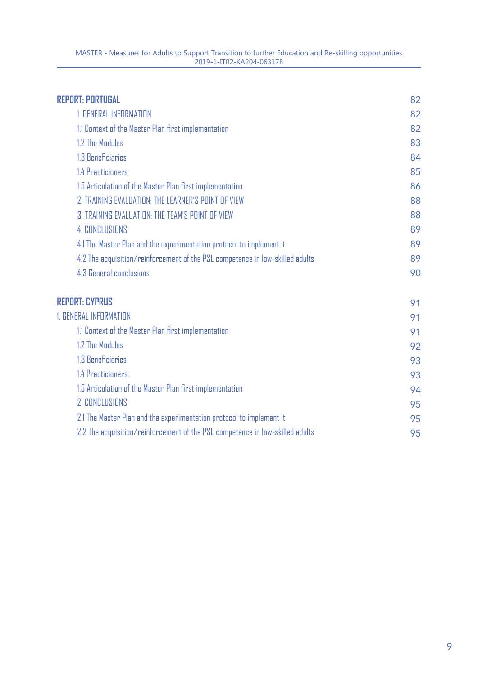| <b>REPORT: PORTUGAL</b>                                                       | 82 |
|-------------------------------------------------------------------------------|----|
| <b>1. GENERAL INFORMATION</b>                                                 | 82 |
| 1.1 Context of the Master Plan first implementation                           | 82 |
| 1.2 The Modules                                                               | 83 |
| 1.3 Beneficiaries                                                             | 84 |
| 1.4 Practicioners                                                             | 85 |
| 1.5 Articulation of the Master Plan first implementation                      | 86 |
| 2. TRAINING EVALUATION: THE LEARNER'S POINT OF VIEW                           | 88 |
| 3. TRAINING EVALUATION: THE TEAM'S POINT OF VIEW                              | 88 |
| <b>4. CONCLUSIONS</b>                                                         | 89 |
| 4.1 The Master Plan and the experimentation protocol to implement it          | 89 |
| 4.2 The acquisition/reinforcement of the PSL competence in low-skilled adults | 89 |
| 4.3 General conclusions                                                       | 90 |
| <b>REPORT: CYPRUS</b>                                                         | 91 |
| <b>1. GENERAL INFORMATION</b>                                                 |    |
| 1.1 Context of the Master Plan first implementation                           | 91 |
| 1.2 The Modules                                                               | 92 |
| 1.3 Beneficiaries                                                             | 93 |
| 1.4 Practicioners                                                             | 93 |
| 1.5 Articulation of the Master Plan first implementation                      | 94 |
| <b>2. CONCLUSIONS</b>                                                         | 95 |
| 2.1 The Master Plan and the experimentation protocol to implement it          | 95 |
| 2.2 The acquisition/reinforcement of the PSL competence in low-skilled adults | 95 |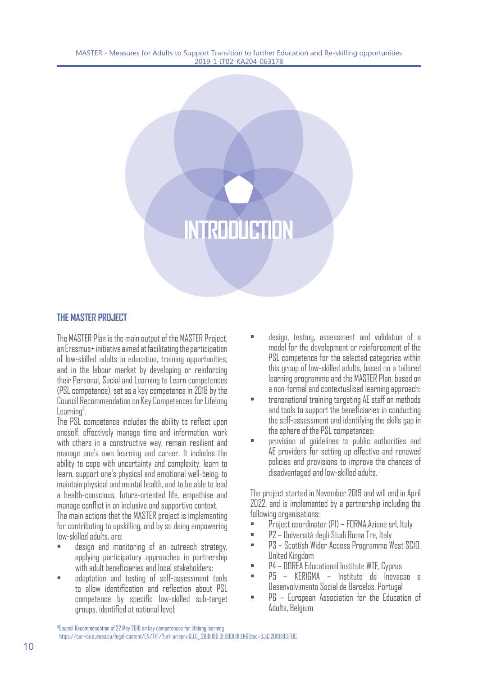# **INTRODUCTIO**

#### **THE MASTER PROJECT**

The MASTER Plan is the main output of the MASTER Project, an Erasmus+ initiative aimed at facilitating the participation of low-skilled adults in education, training opportunities, and in the labour market by developing or reinforcing their Personal, Social and Learning to Learn competences (PSL competence), set as a key competence in 2018 by the Council Recommendation on Key Competences for Lifelong  $L$ earning $3$ . .

The PSL competence includes the ability to reflect upon oneself, effectively manage time and information, work with others in a constructive way, remain resilient and manage one's own learning and career. It includes the ability to cope with uncertainty and complexity, learn to learn, support one's physical and emotional well-being, to maintain physical and mental health, and to be able to lead a health-conscious, future-oriented life, empathise and manage conflict in an inclusive and supportive context.

The main actions that the MASTER project is implementing for contributing to upskilling, and by so doing empowering low-skilled adults, are:

- design and monitoring of an outreach strategy, applying participatory approaches in partnership with adult beneficiaries and local stakeholders;
- adaptation and testing of self-assessment tools to allow identification and reflection about PSL competence by specific low-skilled sub-target groups, identified at national level;
- design, testing, assessment and validation of a model for the development or reinforcement of the PSL competence for the selected categories within this group of low-skilled adults, based on a tailored learning programme and the MASTER Plan, based on a non-formal and contextualised learning approach;
- transnational training targeting AE staff on methods and tools to support the beneficiaries in conducting the self-assessment and identifying the skills gap in the sphere of the PSL competences;
- provision of guidelines to public authorities and AE providers for setting up effective and renewed policies and provisions to improve the chances of disadvantaged and low-skilled adults.

The project started in November 2019 and will end in April 2022, and is implemented by a partnership including the following organisations:

- Project coordinator (P1) FORMA.Azione srl, Italy
- P2 Università degli Studi Roma Tre, Italy
- P3 Scottish Wider Access Programme West SCIO, United Kingdom
- P4 DOREA Educational Institute WTF, Cyprus
- P5 KERIGMA Instituto de Inovacao e Desenvolvimento Social de Barcelos, Portugal
- P6 European Association for the Education of Adults, Belgium

³Council Recommendation of 22 May 2018 on key competences for lifelong learning

https://eur-lex.europa.eu/legal-content/EN/TXT/?uri=uriserv:OJ.C\_.2018.189.01.0001.01.ENG&toc=OJ:C:2018:189:TOC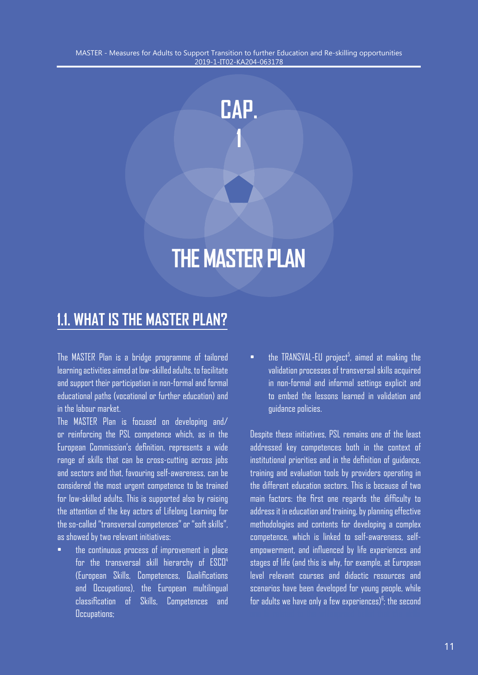**CAP.** 

**1**

# **THE MASTER PLAN**

# **1.1. WHAT IS THE MASTER PLAN?**

The MASTER Plan is a bridge programme of tailored learning activities aimed at low-skilled adults, to facilitate and support their participation in non-formal and formal educational paths (vocational or further education) and in the labour market.

The MASTER Plan is focused on developing and/ or reinforcing the PSL competence which, as in the European Commission's definition, represents a wide range of skills that can be cross-cutting across jobs and sectors and that, favouring self-awareness, can be considered the most urgent competence to be trained for low-skilled adults. This is supported also by raising the attention of the key actors of Lifelong Learning for the so-called "transversal competences" or "soft skills", as showed by two relevant initiatives:

• the continuous process of improvement in place for the transversal skill hierarchy of ESCO<sup>4</sup> (European Skills, Competences, Qualifications and Occupations), the European multilingual classification of Skills, Competences and Occupations;

 $\bullet$  the TRANSVAL-EU project<sup>5</sup>, aimed at making the validation processes of transversal skills acquired in non-formal and informal settings explicit and to embed the lessons learned in validation and guidance policies.

Despite these initiatives, PSL remains one of the least addressed key competences both in the context of institutional priorities and in the definition of guidance, training and evaluation tools by providers operating in the different education sectors. This is because of two main factors: the first one regards the difficulty to address it in education and training, by planning effective methodologies and contents for developing a complex competence, which is linked to self-awareness, selfempowerment, and influenced by life experiences and stages of life (and this is why, for example, at European level relevant courses and didactic resources and scenarios have been developed for young people, while for adults we have only a few experiences)<sup>6</sup>; the second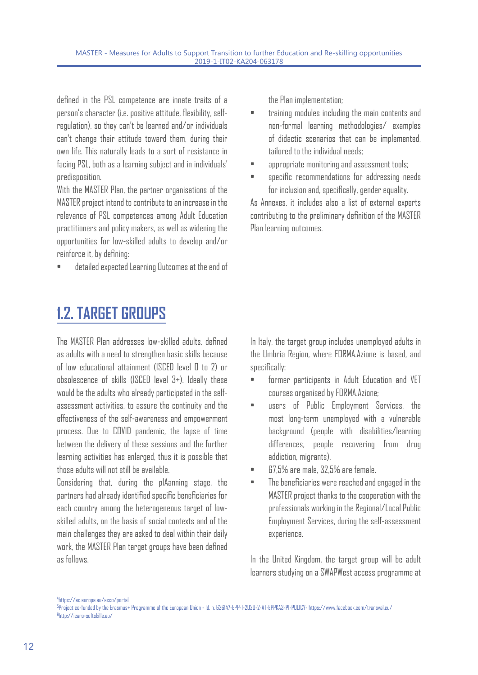defined in the PSL competence are innate traits of a person's character (i.e. positive attitude, flexibility, selfregulation), so they can't be learned and/or individuals can't change their attitude toward them, during their own life. This naturally leads to a sort of resistance in facing PSL, both as a learning subject and in individuals' predisposition.

With the MASTER Plan, the partner organisations of the MASTER project intend to contribute to an increase in the relevance of PSL competences among Adult Education practitioners and policy makers, as well as widening the opportunities for low-skilled adults to develop and/or reinforce it, by defining:

• detailed expected Learning Outcomes at the end of

**1.2. TARGET GROUPS**

The MASTER Plan addresses low-skilled adults, defined as adults with a need to strengthen basic skills because of low educational attainment (ISCED level 0 to 2) or obsolescence of skills (ISCED level 3+). Ideally these would be the adults who already participated in the selfassessment activities, to assure the continuity and the effectiveness of the self-awareness and empowerment process. Due to COVID pandemic, the lapse of time between the delivery of these sessions and the further learning activities has enlarged, thus it is possible that those adults will not still be available.

Considering that, during the plAanning stage, the partners had already identified specific beneficiaries for each country among the heterogeneous target of lowskilled adults, on the basis of social contexts and of the main challenges they are asked to deal within their daily work, the MASTER Plan target groups have been defined as follows.

the Plan implementation;

- training modules including the main contents and non-formal learning methodologies/ examples of didactic scenarios that can be implemented, tailored to the individual needs;
- appropriate monitoring and assessment tools;
- specific recommendations for addressing needs for inclusion and, specifically, gender equality.

As Annexes, it includes also a list of external experts contributing to the preliminary definition of the MASTER Plan learning outcomes.

In Italy, the target group includes unemployed adults in the Umbria Region, where FORMA.Azione is based, and specifically:

- former participants in Adult Education and VET courses organised by FORMA.Azione;
- users of Public Employment Services, the most long-term unemployed with a vulnerable background (people with disabilities/learning differences, people recovering from drug addiction, migrants).
- 67,5% are male, 32,5% are female.
- The beneficiaries were reached and engaged in the MASTER project thanks to the cooperation with the professionals working in the Regional/Local Public Employment Services, during the self-assessment experience.

In the United Kingdom, the target group will be adult learners studying on a SWAPWest access programme at

4 https://ec.europa.eu/esco/portal

<sup>5</sup> Project co-funded by the Erasmus+ Programme of the European Union - Id. n. 626147-EPP-1-2020-2-AT-EPPKA3-PI-POLICY- https://www.facebook.com/transval.eu/ 6 http://icaro-softskills.eu/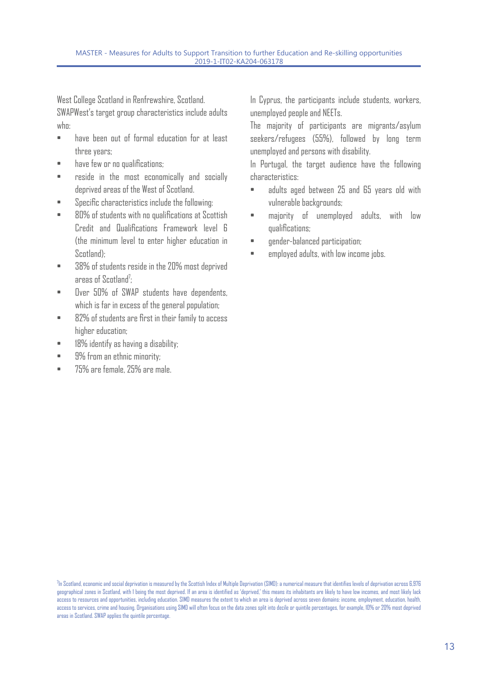West College Scotland in Renfrewshire, Scotland. SWAPWest's target group characteristics include adults whn:

- have been out of formal education for at least three years;
- have few or no qualifications:
- reside in the most economically and socially deprived areas of the West of Scotland.
- Specific characteristics include the following:
- 80% of students with no qualifications at Scottish Credit and Qualifications Framework level 6 (the minimum level to enter higher education in Scotland);
- 38% of students reside in the 20% most deprived areas of  $Scot$  and<sup>7</sup>: ;
- Over 50% of SWAP students have dependents, which is far in excess of the general population;
- 82% of students are first in their family to access higher education:
- 18% identify as having a disability;
- 9% from an ethnic minority;
- 75% are female, 25% are male.

In Cyprus, the participants include students, workers, unemployed people and NEETs.

The majority of participants are migrants/asylum seekers/refugees (55%), followed by long term unemployed and persons with disability.

In Portugal, the target audience have the following characteristics:

- adults aged between 25 and 65 years old with vulnerable backgrounds;
- majority of unemployed adults, with low qualifications;
- gender-balanced participation;
- employed adults, with low income jobs.

<sup>7</sup> In Scotland, economic and social deprivation is measured by the Scottish Index of Multiple Deprivation (SIMD): a numerical measure that identifies levels of deprivation across 6,976 geographical zones in Scotland, with 1 being the most deprived. If an area is identified as 'deprived,' this means its inhabitants are likely to have low incomes, and most likely lack access to resources and opportunities, including education. SIMD measures the extent to which an area is deprived across seven domains: income, employment, education, health, access to services, crime and housing. Organisations using SIMD will often focus on the data zones split into decile or quintile percentages, for example, 10% or 20% most deprived areas in Scotland. SWAP applies the quintile percentage.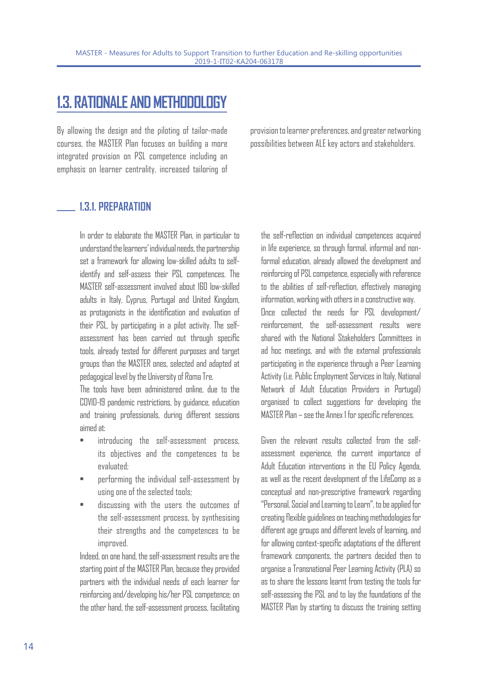# **1.3. RATIONALE AND METHODOLOGY**

By allowing the design and the piloting of tailor-made courses, the MASTER Plan focuses on building a more integrated provision on PSL competence including an emphasis on learner centrality, increased tailoring of provision to learner preferences, and greater networking possibilities between ALE key actors and stakeholders.

#### **1.3.1. PREPARATION**

In order to elaborate the MASTER Plan, in particular to understand the learners' individual needs, the partnership set a framework for allowing low-skilled adults to selfidentify and self-assess their PSL competences. The MASTER self-assessment involved about 160 low-skilled adults in Italy, Cyprus, Portugal and United Kingdom, as protagonists in the identification and evaluation of their PSL, by participating in a pilot activity. The selfassessment has been carried out through specific tools, already tested for different purposes and target groups than the MASTER ones, selected and adapted at pedagogical level by the University of Roma Tre.

The tools have been administered online, due to the COVID-19 pandemic restrictions, by guidance, education and training professionals, during different sessions aimed at:

- introducing the self-assessment process, its objectives and the competences to be evaluated;
- performing the individual self-assessment by using one of the selected tools;
- discussing with the users the outcomes of the self-assessment process, by synthesising their strengths and the competences to be improved.

Indeed, on one hand, the self-assessment results are the starting point of the MASTER Plan, because they provided partners with the individual needs of each learner for reinforcing and/developing his/her PSL competence; on the other hand, the self-assessment process, facilitating

the self-reflection on individual competences acquired in life experience, so through formal, informal and nonformal education, already allowed the development and reinforcing of PSL competence, especially with reference to the abilities of self-reflection, effectively managing information, working with others in a constructive way.

Once collected the needs for PSL development/ reinforcement, the self-assessment results were shared with the National Stakeholders Committees in ad hoc meetings, and with the external professionals participating in the experience through a Peer Learning Activity (i.e. Public Employment Services in Italy, National Network of Adult Education Providers in Portugal) organised to collect suggestions for developing the MASTER Plan – see the Annex 1 for specific references.

Given the relevant results collected from the selfassessment experience, the current importance of Adult Education interventions in the EU Policy Agenda, as well as the recent development of the LifeComp as a conceptual and non-prescriptive framework regarding "Personal, Social and Learning to Learn", to be applied for creating flexible guidelines on teaching methodologies for different age groups and different levels of learning, and for allowing context-specific adaptations of the different framework components, the partners decided then to organise a Transnational Peer Learning Activity (PLA) so as to share the lessons learnt from testing the tools for self-assessing the PSL and to lay the foundations of the MASTER Plan by starting to discuss the training setting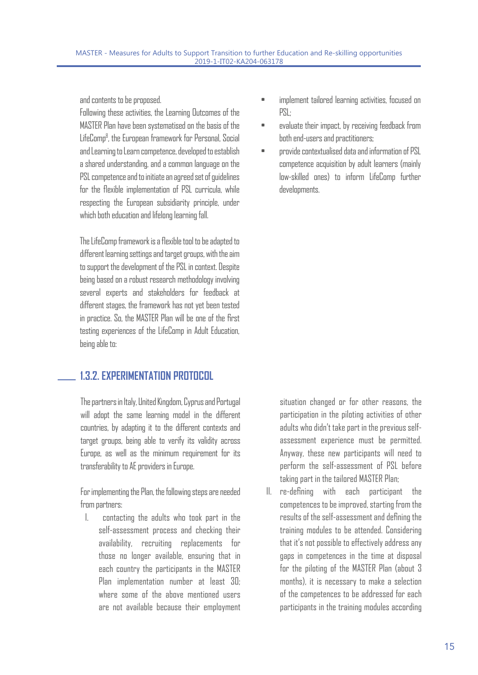and contents to be proposed.

Following these activities, the Learning Outcomes of the MASTER Plan have been systematised on the basis of the LifeComp8 , the European framework for Personal, Social and Learning to Learn competence, developed to establish a shared understanding, and a common language on the PSL competence and to initiate an agreed set of guidelines for the flexible implementation of PSL curricula, while respecting the European subsidiarity principle, under which both education and lifelong learning fall.

The LifeComp framework is a flexible tool to be adapted to different learning settings and target groups, with the aim to support the development of the PSL in context. Despite being based on a robust research methodology involving several experts and stakeholders for feedback at different stages, the framework has not yet been tested in practice. So, the MASTER Plan will be one of the first testing experiences of the LifeComp in Adult Education, being able to:

### **1.3.2. EXPERIMENTATION PROTOCOL**

The partners in Italy, United Kingdom, Cyprus and Portugal will adopt the same learning model in the different countries, by adapting it to the different contexts and target groups, being able to verify its validity across Europe, as well as the minimum requirement for its transferability to AE providers in Europe.

For implementing the Plan, the following steps are needed from partners:

I. contacting the adults who took part in the self-assessment process and checking their availability, recruiting replacements for those no longer available, ensuring that in each country the participants in the MASTER Plan implementation number at least 30; where some of the above mentioned users are not available because their employment

- implement tailored learning activities, focused on PSL;
- evaluate their impact, by receiving feedback from both end-users and practitioners;
- provide contextualised data and information of PSL competence acquisition by adult learners (mainly low-skilled ones) to inform LifeComp further developments.

situation changed or for other reasons, the participation in the piloting activities of other adults who didn't take part in the previous selfassessment experience must be permitted. Anyway, these new participants will need to perform the self-assessment of PSL before taking part in the tailored MASTER Plan;

II. re-defining with each participant the competences to be improved, starting from the results of the self-assessment and defining the training modules to be attended. Considering that it's not possible to effectively address any gaps in competences in the time at disposal for the piloting of the MASTER Plan (about 3 months), it is necessary to make a selection of the competences to be addressed for each participants in the training modules according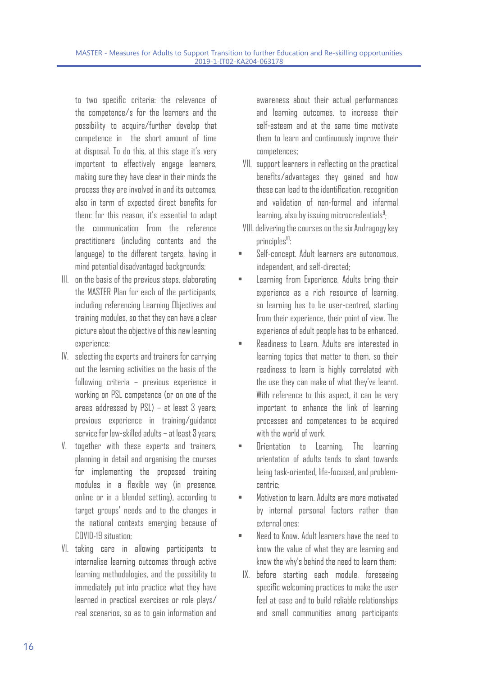to two specific criteria: the relevance of the competence/s for the learners and the possibility to acquire/further develop that competence in the short amount of time at disposal. To do this, at this stage it's very important to effectively engage learners, making sure they have clear in their minds the process they are involved in and its outcomes, also in term of expected direct benefits for them: for this reason, it's essential to adapt the communication from the reference practitioners (including contents and the language) to the different targets, having in mind potential disadvantaged backgrounds;

- III. on the basis of the previous steps, elaborating the MASTER Plan for each of the participants, including referencing Learning Objectives and training modules, so that they can have a clear picture about the objective of this new learning experience;
- IV. selecting the experts and trainers for carrying out the learning activities on the basis of the following criteria – previous experience in working on PSL competence (or on one of the areas addressed by PSL) – at least 3 years; previous experience in training/guidance service for low-skilled adults – at least 3 years;
- V. together with these experts and trainers, planning in detail and organising the courses for implementing the proposed training modules in a flexible way (in presence, online or in a blended setting), according to target groups' needs and to the changes in the national contexts emerging because of COVID-19 situation:
- VI. taking care in allowing participants to internalise learning outcomes through active learning methodologies, and the possibility to immediately put into practice what they have learned in practical exercises or role plays/ real scenarios, so as to gain information and

awareness about their actual performances and learning outcomes, to increase their self-esteem and at the same time motivate them to learn and continuously improve their competences;

- VII. support learners in reflecting on the practical benefits/advantages they gained and how these can lead to the identification, recognition and validation of non-formal and informal  $l$ earning, also by issuing microcredentials $9$ : ;
- VIII. delivering the courses on the six Andragogy key principles<sup>10</sup>:
- Self-concept. Adult learners are autonomous, independent, and self-directed;
- Learning from Experience. Adults bring their experience as a rich resource of learning, so learning has to be user-centred, starting from their experience, their point of view. The experience of adult people has to be enhanced.
- Readiness to Learn. Adults are interested in learning topics that matter to them, so their readiness to learn is highly correlated with the use they can make of what they've learnt. With reference to this aspect, it can be very important to enhance the link of learning processes and competences to be acquired with the world of work.
- Orientation to Learning. The learning orientation of adults tends to slant towards being task-oriented, life-focused, and problemcentric;
- Motivation to learn. Adults are more motivated by internal personal factors rather than external ones;
- Need to Know. Adult learners have the need to know the value of what they are learning and know the why's behind the need to learn them;
- IX. before starting each module, foreseeing specific welcoming practices to make the user feel at ease and to build reliable relationships and small communities among participants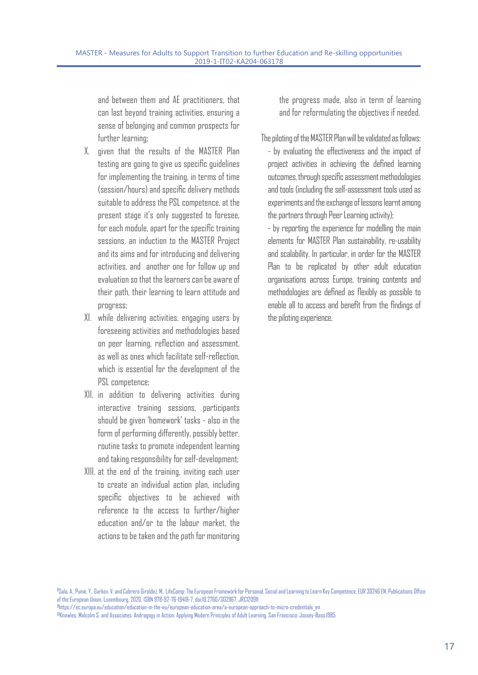and between them and AE practitioners, that can last beyond training activities, ensuring a sense of belonging and common prospects for further learning;

- X. given that the results of the MASTER Plan testing are going to give us specific guidelines for implementing the training, in terms of time (session/hours) and specific delivery methods suitable to address the PSL competence, at the present stage it's only suggested to foresee, for each module, apart for the specific training sessions, an induction to the MASTER Project and its aims and for introducing and delivering activities, and another one for follow up and evaluation so that the learners can be aware of their path, their learning to learn attitude and progress;
- XI. while delivering activities, engaging users by foreseeing activities and methodologies based on peer learning, reflection and assessment, as well as ones which facilitate self-reflection, which is essential for the development of the PSL competence;
- XII. in addition to delivering activities during interactive training sessions, participants should be given 'homework' tasks - also in the form of performing differently, possibly better, routine tasks to promote independent learning and taking responsibility for self-development;
- XIII. at the end of the training, inviting each user to create an individual action plan, including specific objectives to be achieved with reference to the access to further/higher  $eduration$  and/or to the labour market, the actions to be taken and the path for monitoring

the progress made, also in term of learning and for reformulating the objectives if needed.

The piloting of the MASTER Plan will be validated as follows:

- by evaluating the effectiveness and the impact of project activities in achieving the defined learning outcomes, through specific assessment methodologies and tools (including the self-assessment tools used as experiments and the exchange of lessons learnt among the partners through Peer Learning activity);

- by reporting the experience for modelling the main elements for MASTER Plan sustainability, re-usability and scalability. In particular, in order for the MASTER Plan to be replicated by other adult education organisations across Europe, training contents and methodologies are defined as flexibly as possible to enable all to access and benefit from the findings of the piloting experience.

<sup>8</sup>Sala, A., Punie, Y., Garkov, V. and Cabrera Giraldez, M., LifeComp: The European Framework for Personal, Social and Learning to Learn Key Competence, EUR 30246 EN, Publications Office of the European Union, Luxembourg, 2020, ISBN 978-92-76-19418-7, doi:10.2760/302967, JRC120911

9 https://ec.europa.eu/education/education-in-the-eu/european-education-area/a-european-approach-to-micro-credentials\_en 10Knowles, Malcolm S. and Associates. Andragogy in Action: Applying Modern Principles of Adult Learning. San Francisco: Jossey-Bass,1985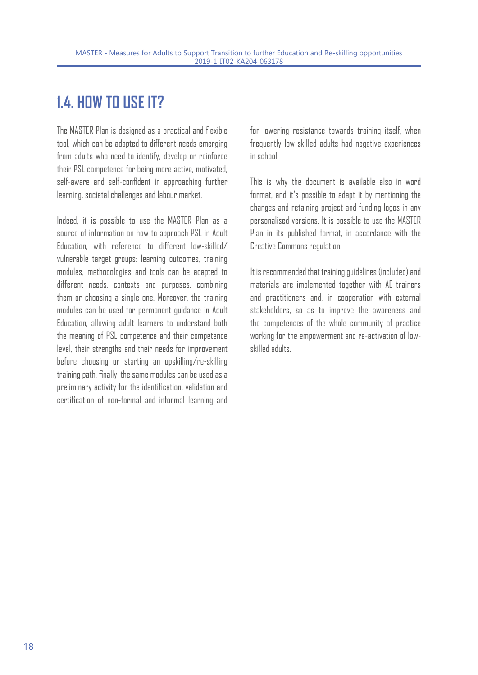# **1.4. HOW TO USE IT?**

The MASTER Plan is designed as a practical and flexible tool, which can be adapted to different needs emerging from adults who need to identify, develop or reinforce their PSL competence for being more active, motivated, self-aware and self-confident in approaching further learning, societal challenges and labour market.

Indeed, it is possible to use the MASTER Plan as a source of information on how to approach PSL in Adult Education, with reference to different low-skilled/ vulnerable target groups: learning outcomes, training modules, methodologies and tools can be adapted to different needs, contexts and purposes, combining them or choosing a single one. Moreover, the training modules can be used for permanent guidance in Adult Education, allowing adult learners to understand both the meaning of PSL competence and their competence level, their strengths and their needs for improvement before choosing or starting an upskilling/re-skilling training path; finally, the same modules can be used as a preliminary activity for the identification, validation and certification of non-formal and informal learning and

for lowering resistance towards training itself, when frequently low-skilled adults had negative experiences in school.

This is why the document is available also in word format, and it's possible to adapt it by mentioning the changes and retaining project and funding logos in any personalised versions. It is possible to use the MASTER Plan in its published format, in accordance with the Creative Commons regulation.

It is recommended that training guidelines (included) and materials are implemented together with AE trainers and practitioners and, in cooperation with external stakeholders, so as to improve the awareness and the competences of the whole community of practice working for the empowerment and re-activation of lowskilled adults.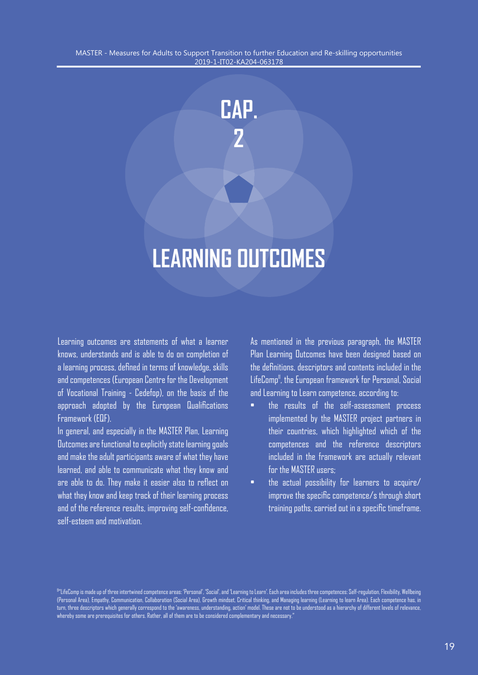

# **LEARNING 0UTCOMES**

Learning outcomes are statements of what a learner knows, understands and is able to do on completion of a learning process, defined in terms of knowledge, skills and competences (European Centre for the Development of Vocational Training - Cedefop), on the basis of the approach adopted by the European Qualifications Framework (EQF).

In general, and especially in the MASTER Plan, Learning Outcomes are functional to explicitly state learning goals and make the adult participants aware of what they have learned, and able to communicate what they know and are able to do. They make it easier also to reflect on what they know and keep track of their learning process and of the reference results, improving self-confidence, self-esteem and motivation.

As mentioned in the previous paragraph, the MASTER Plan Learning Outcomes have been designed based on the definitions, descriptors and contents included in the LifeComp<sup>11</sup>, the European framework for Personal, Social and Learning to Learn competence, according to:

- the results of the self-assessment process implemented by the MASTER project partners in their countries, which highlighted which of the competences and the reference descriptors included in the framework are actually relevant for the MASTER users;
- the actual possibility for learners to acquire/ improve the specific competence/s through short training paths, carried out in a specific timeframe.

11"LifeComp is made up of three intertwined competence areas: 'Personal', 'Social', and 'Learning to Learn'. Each area includes three competences: Self-regulation, Flexibility, Wellbeing (Personal Area), Empathy, Communication, Collaboration (Social Area), Growth mindset, Critical thinking, and Managing learning (Learning to learn Area). Each competence has, in turn, three descriptors which generally correspond to the 'awareness, understanding, action' model. These are not to be understood as a hierarchy of different levels of relevance, whereby some are prerequisites for others. Rather, all of them are to be considered complementary and necessary."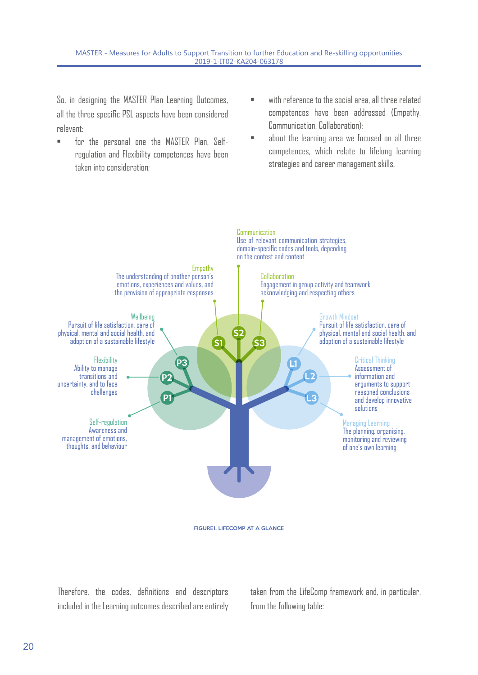So, in designing the MASTER Plan Learning Outcomes, all the three specific PSL aspects have been considered relevant:

- for the personal one the MASTER Plan, Selfregulation and Flexibility competences have been taken into consideration;
- with reference to the social area, all three related competences have been addressed (Empathy, Communication, Collaboration);
- about the learning area we focused on all three competences, which relate to lifelong learning strategies and career management skills.



FIGURE1. LIFECOMP AT A GLANCE

Therefore, the codes, definitions and descriptors included in the Learning outcomes described are entirely taken from the LifeComp framework and, in particular, from the following table: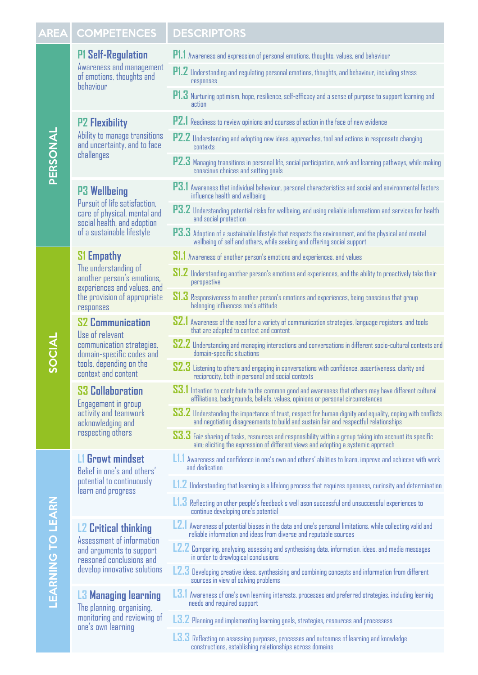#### AREA COMPETENCES DESCRIPTORS

#### **P1 Self-Regulation**

Awareness and management of emotions, thoughts and behaviour

#### **P2 Flexibility**

Ability to manage transitions and uncertainty, and to face challenges

#### **P3 Wellbeing**

Pursuit of life satisfaction, care of physical, mental and social health, and adoption of a sustainable lifestyle

#### **S1 Empathy**

The understanding of another person's emotions, experiences and values, and the provision of appropriate responses

#### **S2 Communication**

Use of relevant communication strategies, domain-specific codes and tools, depending on the context and content

#### **S3 Collaboration**

Engagement in group activity and teamwork acknowledging and respecting others

#### **L1 Growt mindset**

Belief in one's and others' potential to continuously learn and progress

#### **L2 Critical thinking**

Assessment of information and arguments to support reasoned conclusions and develop innovative solutions

#### **L3 Managing learning**

The planning, organising, monitoring and reviewing of one's own learning

- **P1 Self-Regulation P1.1** Awareness and expression of personal emotions, thoughts, values, and behaviour
	- P1.2 Understanding and regulating personal emotions, thoughts, and behaviour, including stress responses
	- **P1.3** Nurturing optimism, hope, resilience, self-efficacy and a sense of purpose to support learning and action
	- **P2.1** Readiness to review opinions and courses of action in the face of new evidence
	- **P2.2** Understanding and adopting new ideas, approaches, tool and actions in responseto changing contexts
	- **P2.3** Managing transitions in personal life, social participation, work and learning pathways, while making conscious choices and setting goals
	- **P3.1** Awareness that individual behaviour, personal characteristics and social and environmental factors influence health and wellbeing
	- **P3.2** Understanding potential risks for wellbeing, and using reliable informationn and services for health and social protection
	- **P3.3** Adoption of a sustainable lifestyle that respects the environment, and the physical and mental wellbeing of self and others, while seeking and offering social support
	- **S1.1** Awareness of another person's emotions and experiences, and values
	- **S1.2** Understanding another person's emotions and experiences, and the ability to proactively take their perspective
	- **S1.3** Responsiveness to another person's emotions and experiences, being conscious that group belonging influences one's attitude
	- **S2.1** Awareness of the need for a variety of communication strategies, language registers, and tools that are adapted to context and content
	- **S2.2** Understanding and managing interactions and conversations in different socio-cultural contexts and domain-specific situations
	- **S2.3** Listening to others and engaging in conversations with confidence, assertiveness, clarity and reciprocity, both in personal and social contexts
	- **S3.1** Intention to contribute to the common good and awareness that others may have different cultural affiliations, backgrounds, beliefs, values, opinions or personal circumstances
	- **S3.2** Understanding the importance of trust, respect for human dignity and equality, coping with conflicts and negotiating disagreements to build and sustain fair and respectful relationships
	- **S3.3** Fair sharing of tasks, resources and responsibility within a group taking into account its specific aim; eliciting the expression of different views and adopting a systemic approach
	- **L1.1** Awareness and confidence in one's own and others' abilities to learn, improve and achiecve with work and dedication
	- **L1.2** Understanding that learning is a lifelong process that requires openness, curiosity and determination
	- **L1.3** Reflecting on other people's feedback s well ason successful and unsuccessful experiences to continue developing one's potential
	- **L2.1** Awareness of potential biases in the data and one's personal limitations, while collecting valid and reliable information and ideas from diverse and reputable sources
	- **L2.2** Comparing, analysing, assessing and synthesising data, information, ideas, and media messages in order to drawlogical conclusions
	- **L2.3** Developing creative ideas, synthesising and combining concepts and information from different sources in view of solving problems
	- **L3.1** Awareness of one's own learning interests, processes and preferred strategies, including learinig needs and required support
	- **L3.2** Planning and implementing learning goals, strategies, resources and processess
	- **L3.3** Reflecting on assessing purposes, processes and outcomes of learning and knowledge constructions, establishing relationships across domains

SOCIAL

PERSONAL

PERSONAL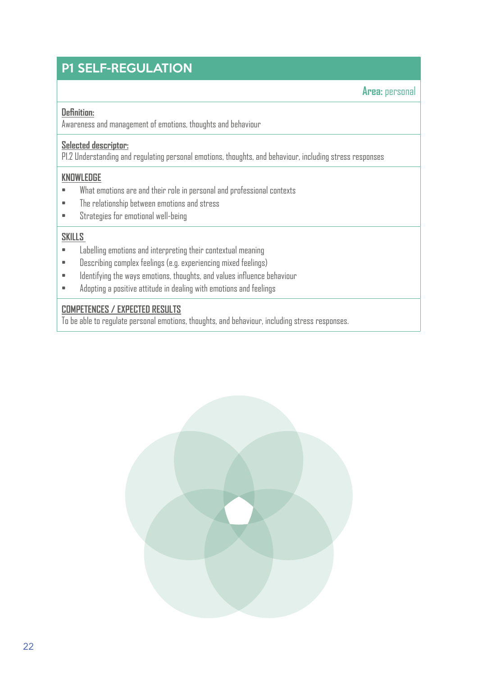### **P1 SELF-REGULATION**

**Area:** personal

#### **Definition:**

Awareness and management of emotions, thoughts and behaviour

#### **Selected descriptor:**

P1.2 Understanding and regulating personal emotions, thoughts, and behaviour, including stress responses

MASTER - Measures for Adults to Support Transition to further Education and Re-skilling opportunities

#### **KNOWLEDGE**

- What emotions are and their role in personal and professional contexts
- The relationship between emotions and stress
- Strategies for emotional well-being

#### **SKILLS**

- Labelling emotions and interpreting their contextual meaning
- Describing complex feelings (e.g. experiencing mixed feelings)
- Identifying the ways emotions, thoughts, and values influence behaviour
- Adopting a positive attitude in dealing with emotions and feelings

#### **COMPETENCES / EXPECTED RESULTS**

To be able to regulate personal emotions, thoughts, and behaviour, including stress responses.

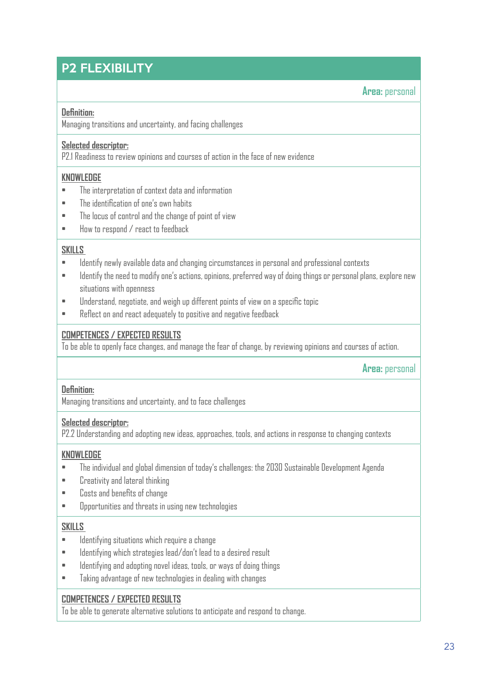### **P2 FLEXIBILITY**

#### **Area:** personal

#### **Definition:**

Managing transitions and uncertainty, and facing challenges

#### **Selected descriptor:**

P2.1 Readiness to review opinions and courses of action in the face of new evidence

#### **KNOWLEDGE**

- The interpretation of context data and information
- The identification of one's own habits
- The locus of control and the change of point of view
- How to respond / react to feedback

#### **SKILLS**

- Identify newly available data and changing circumstances in personal and professional contexts
- Identify the need to modify one's actions, opinions, preferred way of doing things or personal plans, explore new situations with openness

MASTER - Measures for Adults to Support Transition to further Education and Re-skilling opportunities

- Understand, negotiate, and weigh up different points of view on a specific topic
- Reflect on and react adequately to positive and negative feedback

#### **COMPETENCES / EXPECTED RESULTS**

To be able to openly face changes, and manage the fear of change, by reviewing opinions and courses of action.

**Area:** personal

#### **Definition:**

Managing transitions and uncertainty, and to face challenges

#### **Selected descriptor:**

P2.2 Understanding and adopting new ideas, approaches, tools, and actions in response to changing contexts

#### **KNOWLEDGE**

- The individual and global dimension of today's challenges: the 2030 Sustainable Development Agenda
- Creativity and lateral thinking
- Costs and benefits of change
- Opportunities and threats in using new technologies

#### **SKILLS**

- Identifying situations which require a change
- Identifying which strategies lead/don't lead to a desired result
- Identifying and adopting novel ideas, tools, or ways of doing things
- Taking advantage of new technologies in dealing with changes

#### **COMPETENCES / EXPECTED RESULTS**

To be able to generate alternative solutions to anticipate and respond to change.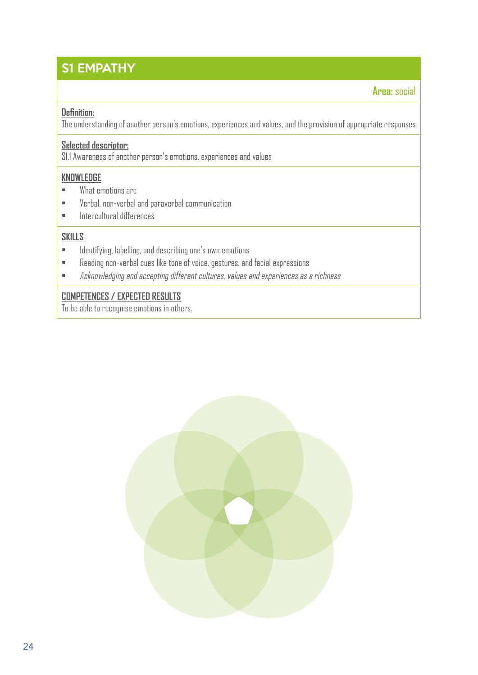### S1 EMPATHY

#### **Area:** social

#### **Definition:**

The understanding of another person's emotions, experiences and values, and the provision of appropriate responses

MASTER - Measures for  $A$  and  $A$  and  $A$  and  $R$  -skilling opportunities and  $R$  -skilling opportunities opportunities opportunities opportunities and  $R$ 

#### **Selected descriptor:**

S1.1 Awareness of another person's emotions, experiences and values

#### **KNOWLEDGE**

- What emotions are
- Verbal, non-verbal and paraverbal communication
- Intercultural differences

#### **SKILLS**

- Identifying, labelling, and describing one's own emotions
- Reading non-verbal cues like tone of voice, gestures, and facial expressions
- Acknowledging and accepting different cultures, values and experiences as a richness

#### **COMPETENCES / EXPECTED RESULTS**

To be able to recognise emotions in others.

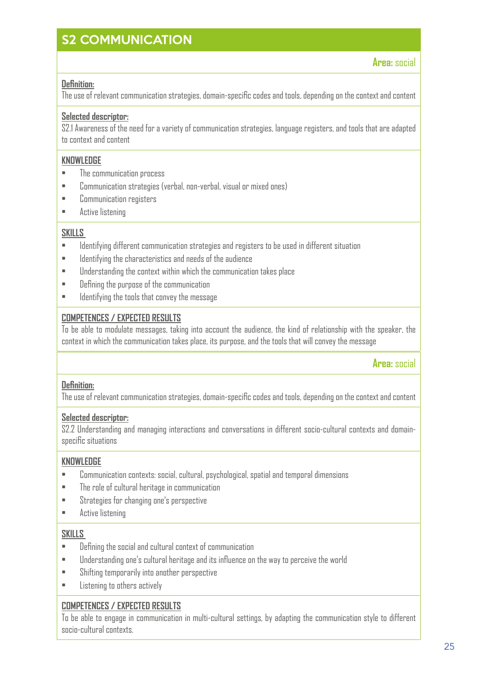### S2 COMMUNICATION

**Area:** social

#### **Definition:**

The use of relevant communication strategies, domain-specific codes and tools, depending on the context and content

#### **Selected descriptor:**

S2.1 Awareness of the need for a variety of communication strategies, language registers, and tools that are adapted to context and content

#### **KNOWLEDGE**

- The communication process
- Communication strategies (verbal, non-verbal, visual or mixed ones)
- Communication registers
- Active listening

#### **SKILLS**

- Identifying different communication strategies and registers to be used in different situation
- Identifying the characteristics and needs of the audience
- Understanding the context within which the communication takes place
- Defining the purpose of the communication
- Identifying the tools that convey the message

#### **COMPETENCES / EXPECTED RESULTS**

To be able to modulate messages, taking into account the audience, the kind of relationship with the speaker, the context in which the communication takes place, its purpose, and the tools that will convey the message

**Area:** social

#### **Definition:**

The use of relevant communication strategies, domain-specific codes and tools, depending on the context and content

#### **Selected descriptor:**

S2.2 Understanding and managing interactions and conversations in different socio-cultural contexts and domainspecific situations

#### **KNOWLEDGE**

- Communication contexts: social, cultural, psychological, spatial and temporal dimensions
- The role of cultural heritage in communication
- Strategies for changing one's perspective
- Active listening

#### **SKILLS**

- Defining the social and cultural context of communication
- Understanding one's cultural heritage and its influence on the way to perceive the world
- Shifting temporarily into another perspective
- Listening to others actively

#### **COMPETENCES / EXPECTED RESULTS**

To be able to engage in communication in multi-cultural settings, by adapting the communication style to different socio-cultural contexts.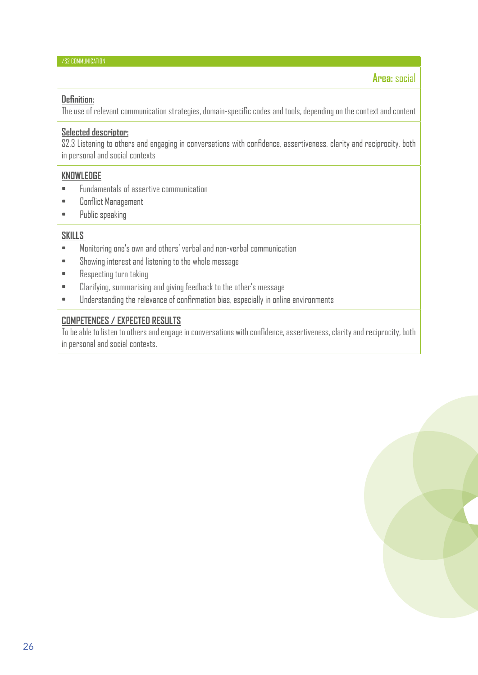#### MASTER - Measures for Adults to Support Transition to further Education and Re-skilling opportunities /S2 COMMUNICATION

#### **Area:** social

#### **Definition:**

The use of relevant communication strategies, domain-specific codes and tools, depending on the context and content

#### **Selected descriptor:**

S2.3 Listening to others and engaging in conversations with confidence, assertiveness, clarity and reciprocity, both in personal and social contexts

#### **KNOWLEDGE**

- Fundamentals of assertive communication
- Conflict Management
- Public speaking

#### **SKILLS**

- Monitoring one's own and others' verbal and non-verbal communication
- Showing interest and listening to the whole message
- Respecting turn taking
- Clarifying, summarising and giving feedback to the other's message
- Understanding the relevance of confirmation bias, especially in online environments

#### **COMPETENCES / EXPECTED RESULTS**

To be able to listen to others and engage in conversations with confidence, assertiveness, clarity and reciprocity, both in personal and social contexts.

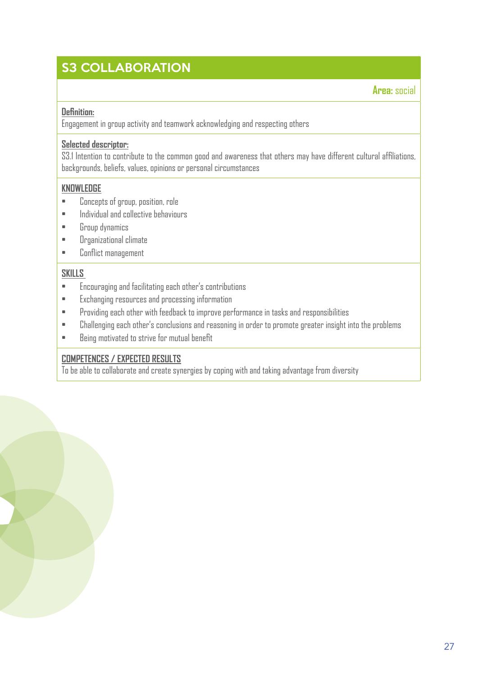### **23 COLLABORATION**

**Area:** social

#### **Definition:**

Engagement in group activity and teamwork acknowledging and respecting others

#### **Selected descriptor:**

S3.1 Intention to contribute to the common good and awareness that others may have different cultural affiliations, backgrounds, beliefs, values, opinions or personal circumstances

MASTER - Measures for Adults to Support Transition to further Education and Re-skilling opportunities

#### **KNOWLEDGE**

- Concepts of group, position, role
- Individual and collective behaviours
- Group dynamics
- Organizational climate
- Conflict management

#### **SKILLS**

- Encouraging and facilitating each other's contributions
- Exchanging resources and processing information
- Providing each other with feedback to improve performance in tasks and responsibilities
- Challenging each other's conclusions and reasoning in order to promote greater insight into the problems
- Being motivated to strive for mutual benefit

#### **COMPETENCES / EXPECTED RESULTS**

To be able to collaborate and create synergies by coping with and taking advantage from diversity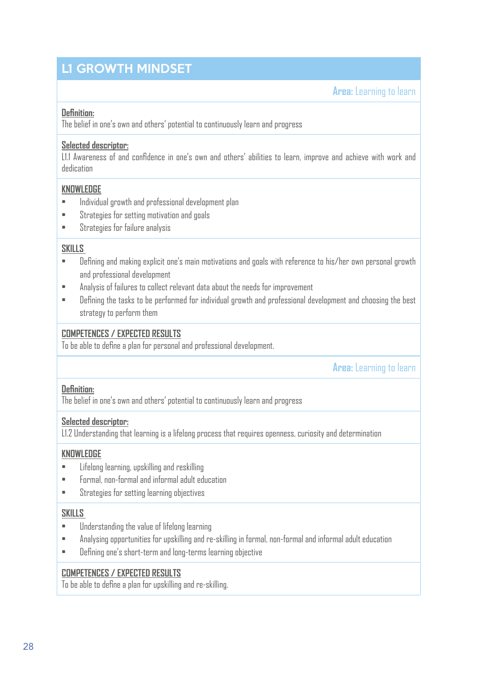### L1 GROWTH MINDSET

**Area:** Learning to learn

#### **Definition:**

The belief in one's own and others' potential to continuously learn and progress

#### **Selected descriptor:**

L1.1 Awareness of and confidence in one's own and others' abilities to learn, improve and achieve with work and dedication

MASTER - Measures for  $A$  and  $A$  and  $A$  and  $R$  -skilling opportunities and  $R$  -skilling opportunities opportunities opportunities opportunities and  $R$ 

#### **KNOWLEDGE**

- Individual growth and professional development plan
- Strategies for setting motivation and goals
- Strategies for failure analysis

#### **SKILLS**

- Defining and making explicit one's main motivations and goals with reference to his/her own personal growth and professional development
- Analysis of failures to collect relevant data about the needs for improvement
- Defining the tasks to be performed for individual growth and professional development and choosing the best strategy to perform them

#### **COMPETENCES / EXPECTED RESULTS**

To be able to define a plan for personal and professional development.

**Area:** Learning to learn

#### **Definition:**

The belief in one's own and others' potential to continuously learn and progress

#### **Selected descriptor:**

L1.2 Understanding that learning is a lifelong process that requires openness, curiosity and determination

#### **KNOWLEDGE**

- Lifelong learning, upskilling and reskilling
- Formal, non-formal and informal adult education
- Strategies for setting learning objectives

#### **SKILLS**

- Understanding the value of lifelong learning
- Analysing opportunities for upskilling and re-skilling in formal, non-formal and informal adult education
- Defining one's short-term and long-terms learning objective

#### **COMPETENCES / EXPECTED RESULTS**

To be able to define a plan for upskilling and re-skilling.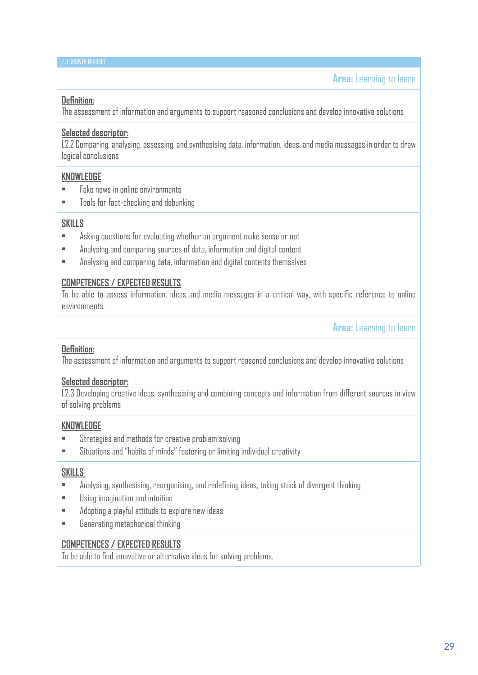#### MASTER - Measures for  $A$  and  $A$  and  $A$  and  $R$  -skilling opportunities and  $R$  -skilling opportunities opportunities opportunities opportunities and  $R$ /L1 GROWTH MINDSET 2019-1-IT02-KA204-063178

#### **Definition:**

The assessment of information and arguments to support reasoned conclusions and develop innovative solutions

#### **Selected descriptor:**

L2.2 Comparing, analysing, assessing, and synthesising data, information, ideas, and media messages in order to draw logical conclusions

#### **KNOWLEDGE**

- Fake news in online environments
- Tools for fact-checking and debunking

#### **SKILLS**

- Asking questions for evaluating whether an argument make sense or not
- Analysing and comparing sources of data, information and digital content
- Analysing and comparing data, information and digital contents themselves

#### **COMPETENCES / EXPECTED RESULTS**

To be able to assess information, ideas and media messages in a critical way, with specific reference to online environments.

**Area:** Learning to learn

#### **Definition:**

The assessment of information and arguments to support reasoned conclusions and develop innovative solutions

#### **Selected descriptor:**

L2.3 Developing creative ideas, synthesising and combining concepts and information from different sources in view of solving problems

#### **KNOWLEDGE**

- Strategies and methods for creative problem solving
- Situations and "habits of minds" fostering or limiting individual creativity

#### **SKILLS**

- Analysing, synthesising, reorganising, and redefining ideas, taking stock of divergent thinking
- Using imagination and intuition
- Adopting a playful attitude to explore new ideas
- Generating metaphorical thinking

#### **COMPETENCES / EXPECTED RESULTS**

To be able to find innovative or alternative ideas for solving problems.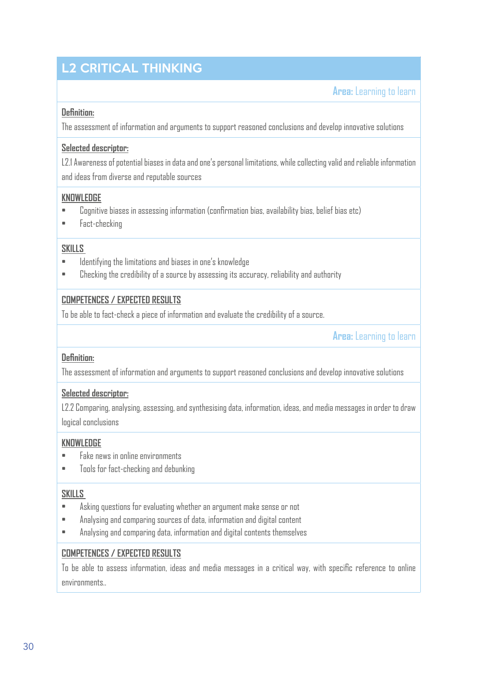# L2 CRITICAL THINKING

**Area:** Learning to learn

#### **Definition:**

The assessment of information and arguments to support reasoned conclusions and develop innovative solutions

#### **Selected descriptor:**

L2.1 Awareness of potential biases in data and one's personal limitations, while collecting valid and reliable information and ideas from diverse and reputable sources

#### **KNOWLEDGE**

- Cognitive biases in assessing information (confirmation bias, availability bias, belief bias etc)
- Fact-checking

#### **SKILLS**

- Identifying the limitations and biases in one's knowledge
- Checking the credibility of a source by assessing its accuracy, reliability and authority

#### **COMPETENCES / EXPECTED RESULTS**

To be able to fact-check a piece of information and evaluate the credibility of a source.

**Area:** Learning to learn

#### **Definition:**

The assessment of information and arguments to support reasoned conclusions and develop innovative solutions

#### **Selected descriptor:**

L2.2 Comparing, analysing, assessing, and synthesising data, information, ideas, and media messages in order to draw logical conclusions

#### **KNOWLEDGE**

- Fake news in online environments
- Tools for fact-checking and debunking

#### **SKILLS**

- Asking questions for evaluating whether an argument make sense or not
- Analysing and comparing sources of data, information and digital content
- Analysing and comparing data, information and digital contents themselves

#### **COMPETENCES / EXPECTED RESULTS**

To be able to assess information, ideas and media messages in a critical way, with specific reference to online environments..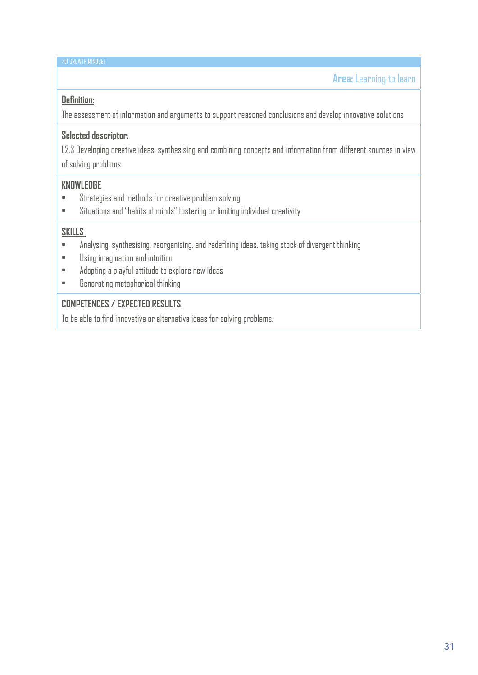#### **Definition:**

The assessment of information and arguments to support reasoned conclusions and develop innovative solutions

#### **Selected descriptor:**

L2.3 Developing creative ideas, synthesising and combining concepts and information from different sources in view of solving problems

#### **KNOWLEDGE**

- Strategies and methods for creative problem solving
- Situations and "habits of minds" fostering or limiting individual creativity

#### **SKILLS**

- Analysing, synthesising, reorganising, and redefining ideas, taking stock of divergent thinking
- Using imagination and intuition
- Adopting a playful attitude to explore new ideas
- Generating metaphorical thinking

#### **COMPETENCES / EXPECTED RESULTS**

To be able to find innovative or alternative ideas for solving problems.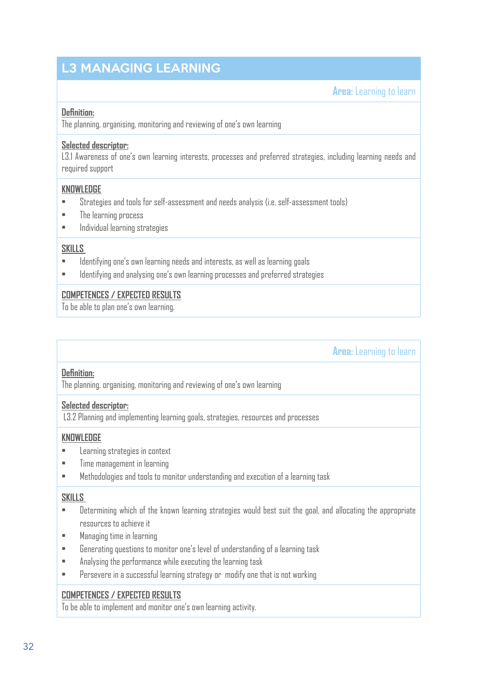### L3 MANAGING LEARNING **MANAGING**

**Area:** Learning to learn

#### **Definition:**

The planning, organising, monitoring and reviewing of one's own learning

#### **Selected descriptor:**

L3.1 Awareness of one's own learning interests, processes and preferred strategies, including learning needs and required support

MASTER - Measures for  $A$  and  $A$  and  $R$  -skilling opportunities and  $R$  -skilling opportunities opportunities opportunities opportunities opportunities opportunities opportunities opportunities opportunities opportuniti

#### **KNOWLEDGE**

- Strategies and tools for self-assessment and needs analysis (i.e. self-assessment tools)
- The learning process
- Individual learning strategies

#### **SKILLS**

- Identifying one's own learning needs and interests, as well as learning goals
- Identifying and analysing one's own learning processes and preferred strategies

#### **COMPETENCES / EXPECTED RESULTS**

To be able to plan one's own learning.

**Area:** Learning to learn

#### **Definition:**

The planning, organising, monitoring and reviewing of one's own learning

#### **Selected descriptor:**

L3.2 Planning and implementing learning goals, strategies, resources and processes

#### **KNOWLEDGE**

- Learning strategies in context
- Time management in learning
- Methodologies and tools to monitor understanding and execution of a learning task

#### **SKILLS**

- Determining which of the known learning strategies would best suit the goal, and allocating the appropriate resources to achieve it
- Managing time in learning
- Generating questions to monitor one's level of understanding of a learning task
- Analysing the performance while executing the learning task
- Persevere in a successful learning strategy or modify one that is not working

#### **COMPETENCES / EXPECTED RESULTS**

To be able to implement and monitor one's own learning activity.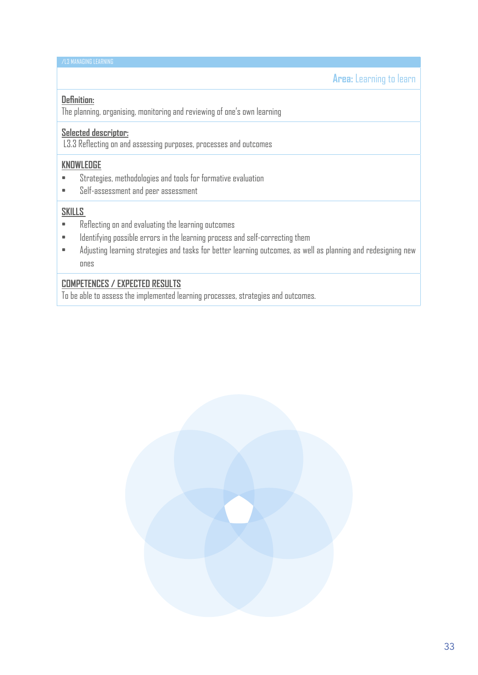#### MASTER - Measures for  $A$  and  $A$  and  $R$  -skilling opportunities and  $R$  -skilling opportunities opportunities opportunities opportunities opportunities opportunities opportunities opportunities opportunities opportuniti /L3 MANAGING LEARNING

**Area:** Learning to learn

#### **Definition:**

The planning, organising, monitoring and reviewing of one's own learning

#### **Selected descriptor:**

L3.3 Reflecting on and assessing purposes, processes and outcomes

#### **KNOWLEDGE**

- Strategies, methodologies and tools for formative evaluation
- Self-assessment and peer assessment

#### **SKILLS**

- Reflecting on and evaluating the learning outcomes
- Identifying possible errors in the learning process and self-correcting them
- Adjusting learning strategies and tasks for better learning outcomes, as well as planning and redesigning new ones

#### **COMPETENCES / EXPECTED RESULTS**

To be able to assess the implemented learning processes, strategies and outcomes.

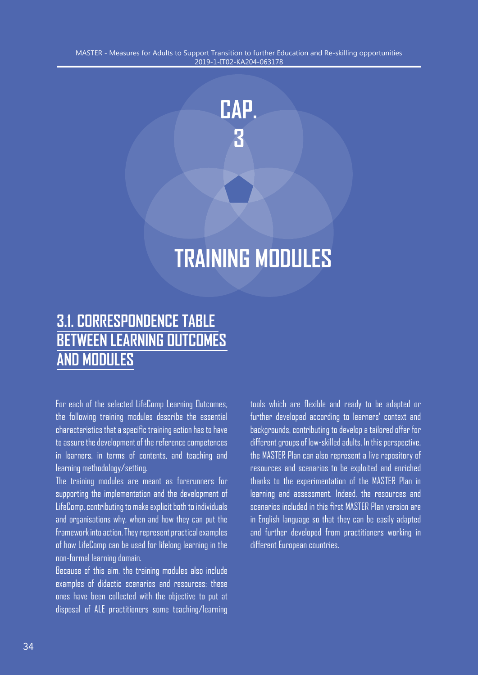

# **TRAINING MODULES**

# **3.1. CORRESPONDENCE TABLE BETWEEN LEARNING OUTCOMES AND MODULES**

For each of the selected LifeComp Learning Outcomes, the following training modules describe the essential characteristics that a specific training action has to have to assure the development of the reference competences in learners, in terms of contents, and teaching and learning methodology/setting.

The training modules are meant as forerunners for supporting the implementation and the development of LifeComp, contributing to make explicit both to individuals and organisations why, when and how they can put the framework into action. They represent practical examples of how LifeComp can be used for lifelong learning in the non-formal learning domain.

Because of this aim, the training modules also include examples of didactic scenarios and resources: these ones have been collected with the objective to put at disposal of ALE practitioners some teaching/learning

tools which are flexible and ready to be adapted or further developed according to learners' context and backgrounds, contributing to develop a tailored offer for different groups of low-skilled adults. In this perspective, the MASTER Plan can also represent a live repository of resources and scenarios to be exploited and enriched thanks to the experimentation of the MASTER Plan in learning and assessment. Indeed, the resources and scenarios included in this first MASTER Plan version are in English language so that they can be easily adapted and further developed from practitioners working in different European countries.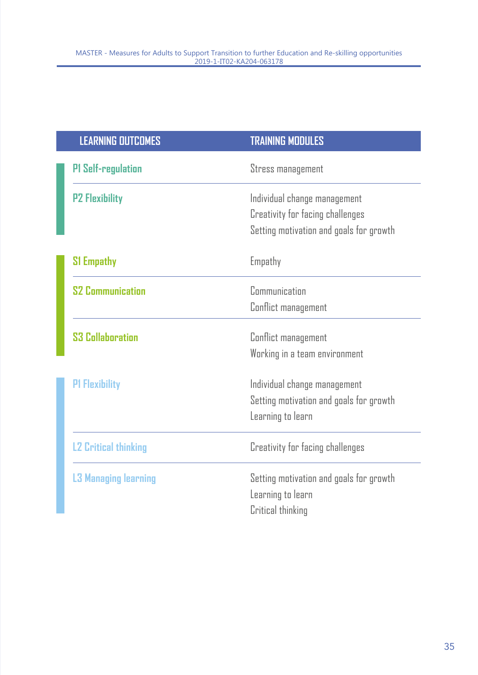| <b>LEARNING OUTCOMES</b>    | <b>TRAINING MODULES</b>                 |
|-----------------------------|-----------------------------------------|
| <b>PI Self-regulation</b>   | Stress management                       |
| <b>P2 Flexibility</b>       | Individual change management            |
|                             | Creativity for facing challenges        |
|                             | Setting motivation and goals for growth |
| <b>S1 Empathy</b>           | Empathy                                 |
| <b>S2 Communication</b>     | Communication                           |
|                             | Conflict management                     |
| <b>S3 Collaboration</b>     | Conflict management                     |
|                             | Working in a team environment           |
| <b>P1 Flexibility</b>       | Individual change management            |
|                             | Setting motivation and goals for growth |
|                             | Learning to learn                       |
| <b>L2 Critical thinking</b> | Creativity for facing challenges        |
| <b>L3 Managing learning</b> | Setting motivation and goals for growth |
|                             | Learning to learn                       |
|                             | Critical thinking                       |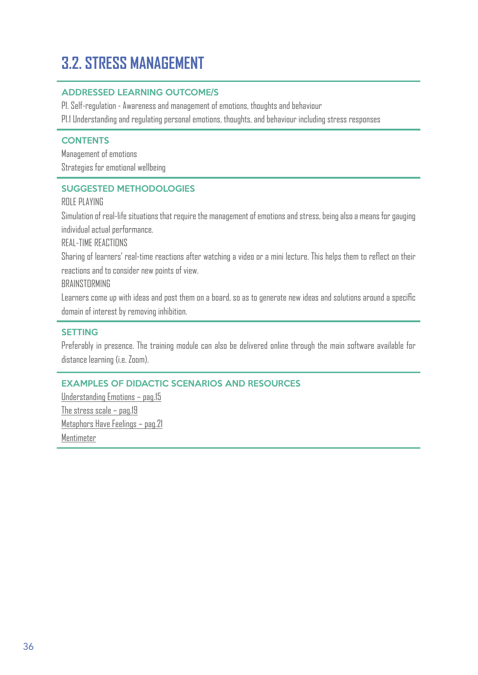# **MASTER SUPPORT TRANSITION TRANSITION TRANSITION TRANSITION TRANSITION TRANSITION TRANSITION AND RE-SKILLING OPPORTUNITIES IN A SUPPORTUNITIES OPPORTUNITIES OPPORTUNITIES IN A SUPPORTUNITIES OPPORTUNITIES OPPORTUNITIES OPP**

#### ADDRESSED LEARNING OUTCOME/S

P1. Self-regulation - Awareness and management of emotions, thoughts and behaviour

P1.1 Understanding and regulating personal emotions, thoughts, and behaviour including stress responses

#### **CONTENTS**

Management of emotions Strategies for emotional wellbeing

#### SUGGESTED METHODOLOGIES

#### ROLE PLAYING

Simulation of real-life situations that require the management of emotions and stress, being also a means for gauging individual actual performance.

#### REAL-TIME REACTIONS

Sharing of learners' real-time reactions after watching a video or a mini lecture. This helps them to reflect on their reactions and to consider new points of view.

#### RRAINSTORMING

Learners come up with ideas and post them on a board, so as to generate new ideas and solutions around a specific domain of interest by removing inhibition.

#### SETTING

Preferably in presence. The training module can also be delivered online through the main software available for distance learning (i.e. Zoom).

#### EXAMPLES OF DIDACTIC SCENARIOS AND RESOURCES

Understanding Emotions – pag.15 The stress scale – pag.19 Metaphors Have Feelings – pag.21 Mentimeter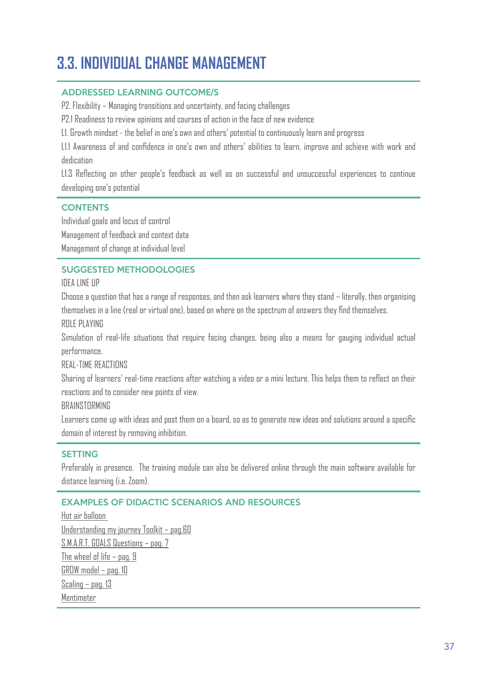## **3.3. INDIVIDUAL CHANGE MANAGEMENT**

#### ADDRESSED LEARNING OUTCOME/S

P2. Flexibility – Managing transitions and uncertainty, and facing challenges

P2.1 Readiness to review opinions and courses of action in the face of new evidence

L1. Growth mindset - the belief in one's own and others' potential to continuously learn and progress

L1.1 Awareness of and confidence in one's own and others' abilities to learn, improve and achieve with work and dedication

L1.3 Reflecting on other people's feedback as well as on successful and unsuccessful experiences to continue developing one's potential

#### **CONTENTS**

Individual goals and locus of control Management of feedback and context data

Management of change at individual level

#### SUGGESTED METHODOLOGIES

IDEA LINE UP

Choose a question that has a range of responses, and then ask learners where they stand – literally, then organising themselves in a line (real or virtual one), based on where on the spectrum of answers they find themselves. ROLE PLAYING

Simulation of real-life situations that require facing changes, being also a means for gauging individual actual performance.

REAL-TIME REACTIONS

Sharing of learners' real-time reactions after watching a video or a mini lecture. This helps them to reflect on their reactions and to consider new points of view.

**BRAINSTORMING** 

Learners come up with ideas and post them on a board, so as to generate new ideas and solutions around a specific domain of interest by removing inhibition.

#### SETTING

Preferably in presence. The training module can also be delivered online through the main software available for distance learning (i.e. Zoom).

#### EXAMPLES OF DIDACTIC SCENARIOS AND RESOURCES

Hot air balloon Understanding my journey Toolkit – pag.60 S.M.A.R.T. GOALS Questions – pag. 7 The wheel of life  $-$  pag. 9 GROW model – pag. 10 Scaling – pag. 13 Mentimeter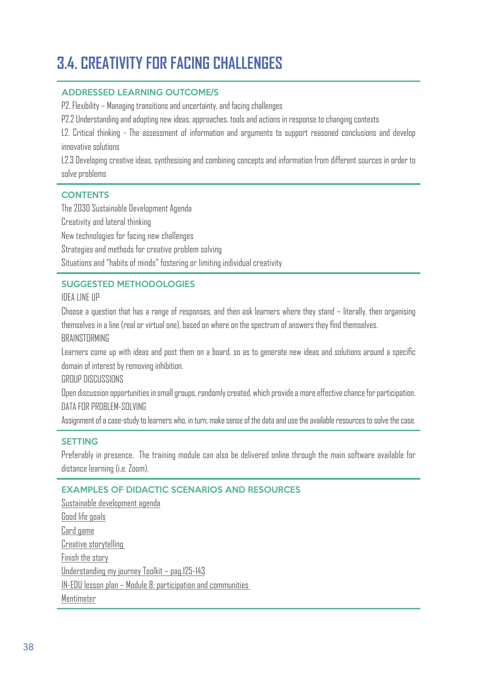## 3.4. CREATIVITY FOR FACING CHALLENGES

#### ADDRESSED LEARNING OUTCOME/S

P2. Flexibility – Managing transitions and uncertainty, and facing challenges

P2.2 Understanding and adopting new ideas, approaches, tools and actions in response to changing contexts

L2. Critical thinking - The assessment of information and arguments to support reasoned conclusions and develop innovative solutions

L2.3 Developing creative ideas, synthesising and combining concepts and information from different sources in order to solve problems

#### **CONTENTS**

The 2030 Sustainable Development Agenda Creativity and lateral thinking New technologies for facing new challenges Strategies and methods for creative problem solving Situations and "habits of minds" fostering or limiting individual creativity

#### SUGGESTED METHODOLOGIES

IDEA LINE UP

Choose a question that has a range of responses, and then ask learners where they stand – literally, then organising themselves in a line (real or virtual one), based on where on the spectrum of answers they find themselves. BRAINSTORMING

Learners come up with ideas and post them on a board, so as to generate new ideas and solutions around a specific domain of interest by removing inhibition.

GROUP DISCUSSIONS

Open discussion opportunities in small groups, randomly created, which provide a more effective chance for participation. DATA FOR PROBLEM-SOLVING

Assignment of a case-study to learners who, in turn, make sense of the data and use the available resources to solve the case.

#### SETTING

Preferably in presence. The training module can also be delivered online through the main software available for distance learning (i.e. Zoom).

#### EXAMPLES OF DIDACTIC SCENARIOS AND RESOURCES

Sustainable development agenda Good life goals Card game Creative storytelling Finish the story Understanding my journey Toolkit – pag.125-143 IN-EDU lesson plan – Module 8: participation and communities Mentimeter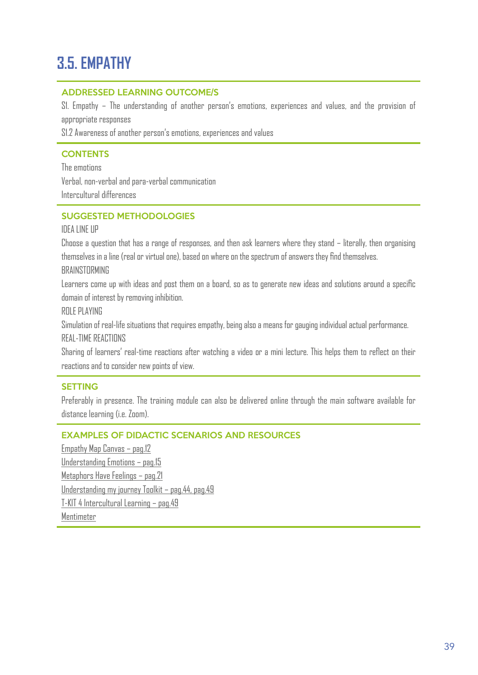#### $M_{\rm H}$  , and a measure  $\sigma$  and  $R_{\rm H}$  to Support Transition and Re-skilling opportunities opportunities opportunities opportunities opportunities opportunities opportunities opportunities opportunities opportunities 2019-1-IT02-KA204-063178 **3.5. EMPATHY**

#### ADDRESSED LEARNING OUTCOME/S

S1. Empathy – The understanding of another person's emotions, experiences and values, and the provision of appropriate responses

S1.2 Awareness of another person's emotions, experiences and values

#### **CONTENTS**

The emotions Verbal, non-verbal and para-verbal communication Intercultural differences

#### SUGGESTED METHODOLOGIES

#### IDEA LINE UP

Choose a question that has a range of responses, and then ask learners where they stand – literally, then organising themselves in a line (real or virtual one), based on where on the spectrum of answers they find themselves. **BRAINSTORMING** 

Learners come up with ideas and post them on a board, so as to generate new ideas and solutions around a specific domain of interest by removing inhibition.

ROLE PLAYING

Simulation of real-life situations that requires empathy, being also a means for gauging individual actual performance. REAL-TIME REACTIONS

Sharing of learners' real-time reactions after watching a video or a mini lecture. This helps them to reflect on their reactions and to consider new points of view.

#### SETTING

Preferably in presence. The training module can also be delivered online through the main software available for distance learning (i.e. Zoom).

#### EXAMPLES OF DIDACTIC SCENARIOS AND RESOURCES

Empathy Map Canvas – pag.12 Understanding Emotions – pag.15 Metaphors Have Feelings – pag.21 Understanding my journey Toolkit – pag.44, pag.49 T-KIT 4 Intercultural Learning – pag.49 Mentimeter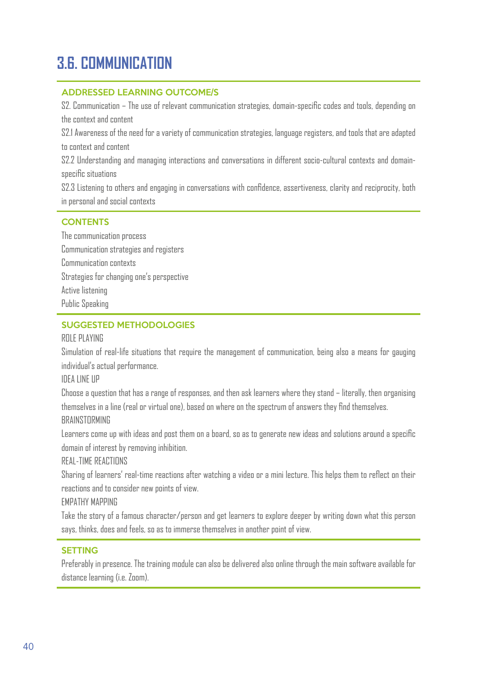## MASTER - Measures for Adults to Support Transition to further Education and Re-skilling opportunities 2019-1-IT02-KA204-063178 **3.6. COMMUNICATION**

#### ADDRESSED LEARNING OUTCOME/S

S2. Communication – The use of relevant communication strategies, domain-specific codes and tools, depending on the context and content

S2.1 Awareness of the need for a variety of communication strategies, language registers, and tools that are adapted to context and content

S2.2 Understanding and managing interactions and conversations in different socio-cultural contexts and domainspecific situations

S2.3 Listening to others and engaging in conversations with confidence, assertiveness, clarity and reciprocity, both in personal and social contexts

#### **CONTENTS**

The communication process Communication strategies and registers Communication contexts Strategies for changing one's perspective Active listening Public Speaking

#### SUGGESTED METHODOLOGIES

#### ROLE PLAYING

Simulation of real-life situations that require the management of communication, being also a means for gauging individual's actual performance.

IDEA LINE UP

Choose a question that has a range of responses, and then ask learners where they stand – literally, then organising themselves in a line (real or virtual one), based on where on the spectrum of answers they find themselves. **BRAINSTORMING** 

Learners come up with ideas and post them on a board, so as to generate new ideas and solutions around a specific domain of interest by removing inhibition.

REAL-TIME REACTIONS

Sharing of learners' real-time reactions after watching a video or a mini lecture. This helps them to reflect on their reactions and to consider new points of view.

EMPATHY MAPPING

Take the story of a famous character/person and get learners to explore deeper by writing down what this person says, thinks, does and feels, so as to immerse themselves in another point of view.

#### SETTING

Preferably in presence. The training module can also be delivered also online through the main software available for distance learning (i.e. Zoom).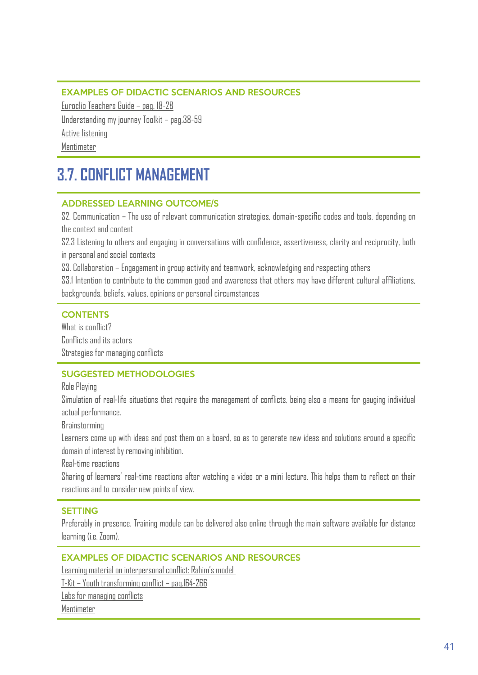#### EXAMPLES OF DIDACTIC SCENARIOS AND RESOURCES

Euroclio Teachers Guide – pag. 18-28 Understanding my journey Toolkit – pag.38-59 Active listening

Mentimeter

### **3.7. CONFLICT MANAGEMENT**

#### ADDRESSED LEARNING OUTCOME/S

S2. Communication – The use of relevant communication strategies, domain-specific codes and tools, depending on the context and content

S2.3 Listening to others and engaging in conversations with confidence, assertiveness, clarity and reciprocity, both in personal and social contexts

S3. Collaboration – Engagement in group activity and teamwork, acknowledging and respecting others

S3.1 Intention to contribute to the common good and awareness that others may have different cultural affiliations, backgrounds, beliefs, values, opinions or personal circumstances

#### **CONTENTS**

What is conflict? Conflicts and its actors Strategies for managing conflicts

#### SUGGESTED METHODOLOGIES

Role Playing

Simulation of real-life situations that require the management of conflicts, being also a means for gauging individual actual performance.

Brainstorming

Learners come up with ideas and post them on a board, so as to generate new ideas and solutions around a specific domain of interest by removing inhibition.

Real-time reactions

Sharing of learners' real-time reactions after watching a video or a mini lecture. This helps them to reflect on their reactions and to consider new points of view.

#### SETTING

Preferably in presence. Training module can be delivered also online through the main software available for distance learning (i.e. Zoom).

#### EXAMPLES OF DIDACTIC SCENARIOS AND RESOURCES

Learning material on interpersonal conflict: Rahim's model

T-Kit – Youth transforming conflict – pag.164-266

Labs for managing conflicts

Mentimeter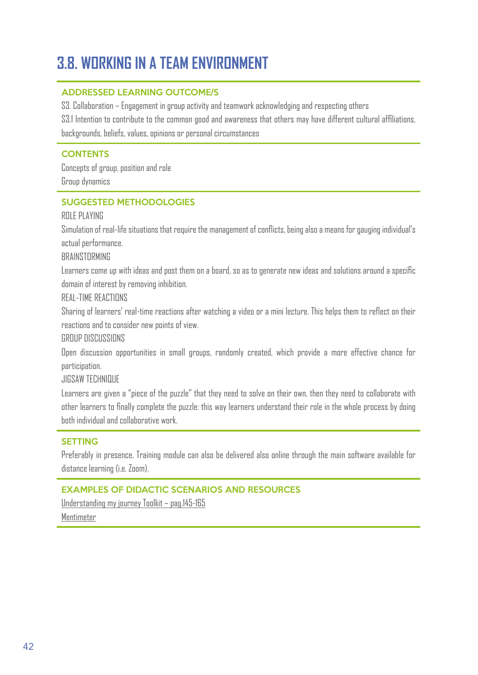## 3.8. WORKING IN A TEAM ENVIRONMENT

#### ADDRESSED LEARNING OUTCOME/S

S3. Collaboration – Engagement in group activity and teamwork acknowledging and respecting others S3.1 Intention to contribute to the common good and awareness that others may have different cultural affiliations, backgrounds, beliefs, values, opinions or personal circumstances

#### **CONTENTS**

Concepts of group, position and role Group dynamics

#### SUGGESTED METHODOLOGIES

#### ROLE PLAYING

Simulation of real-life situations that require the management of conflicts, being also a means for gauging individual's actual performance.

**BRAINSTORMING** 

Learners come up with ideas and post them on a board, so as to generate new ideas and solutions around a specific domain of interest by removing inhibition.

REAL-TIME REACTIONS

Sharing of learners' real-time reactions after watching a video or a mini lecture. This helps them to reflect on their reactions and to consider new points of view.

GROUP DISCUSSIONS

Open discussion opportunities in small groups, randomly created, which provide a more effective chance for participation.

JIGSAW TECHNIQUE

Learners are given a "piece of the puzzle" that they need to solve on their own, then they need to collaborate with other learners to finally complete the puzzle: this way learners understand their role in the whole process by doing both individual and collaborative work.

#### SETTING

Preferably in presence. Training module can also be delivered also online through the main software available for distance learning (i.e. Zoom).

#### EXAMPLES OF DIDACTIC SCENARIOS AND RESOURCES

Understanding my journey Toolkit – pag.145-165 **Mentimeter**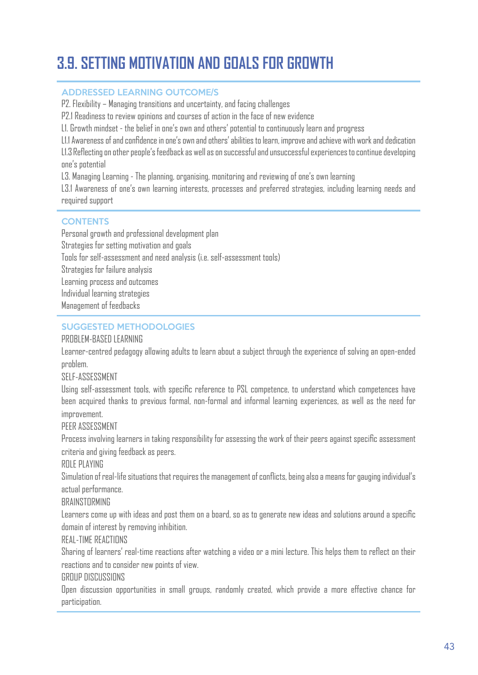## 3.9. SETTING MOTIVATION AND GOALS FOR GROWTH

#### ADDRESSED LEARNING OUTCOME/S

P2. Flexibility – Managing transitions and uncertainty, and facing challenges

P2.1 Readiness to review opinions and courses of action in the face of new evidence

L1. Growth mindset - the belief in one's own and others' potential to continuously learn and progress

L1.1 Awareness of and confidence in one's own and others' abilities to learn, improve and achieve with work and dedication

L1.3 Reflecting on other people's feedback as well as on successful and unsuccessful experiences to continue developing one's potential

L3. Managing Learning - The planning, organising, monitoring and reviewing of one's own learning

L3.1 Awareness of one's own learning interests, processes and preferred strategies, including learning needs and required support

#### **CONTENTS**

Personal growth and professional development plan Strategies for setting motivation and goals Tools for self-assessment and need analysis (i.e. self-assessment tools) Strategies for failure analysis Learning process and outcomes Individual learning strategies Management of feedbacks

#### SUGGESTED METHODOLOGIES

#### PROBLEM-BASED LEARNING

Learner-centred pedagogy allowing adults to learn about a subject through the experience of solving an open-ended problem.

#### SELF-ASSESSMENT

Using self-assessment tools, with specific reference to PSL competence, to understand which competences have been acquired thanks to previous formal, non-formal and informal learning experiences, as well as the need for improvement.

#### PEER ASSESSMENT

Process involving learners in taking responsibility for assessing the work of their peers against specific assessment criteria and giving feedback as peers.

#### ROLE PLAYING

Simulation of real-life situations that requires the management of conflicts, being also a means for gauging individual's actual performance.

#### **BRAINSTORMING**

Learners come up with ideas and post them on a board, so as to generate new ideas and solutions around a specific domain of interest by removing inhibition.

#### REAL-TIME REACTIONS

Sharing of learners' real-time reactions after watching a video or a mini lecture. This helps them to reflect on their reactions and to consider new points of view.

#### GROUP DISCUSSIONS

Open discussion opportunities in small groups, randomly created, which provide a more effective chance for participation.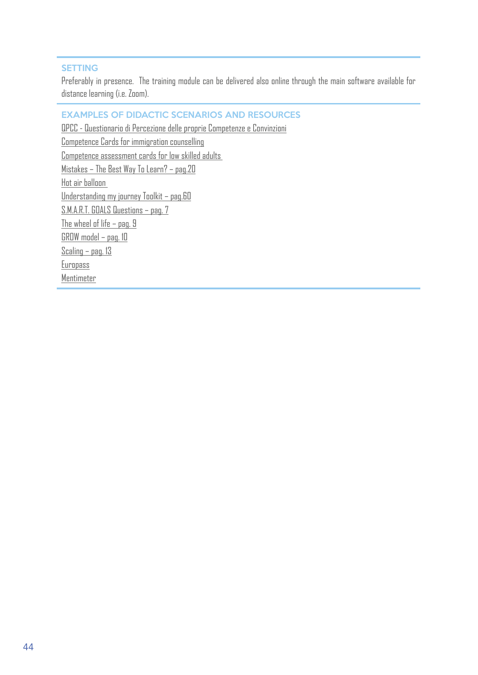#### SETTING

Preferably in presence. The training module can be delivered also online through the main software available for distance learning (i.e. Zoom).

MASTER - Measures for Adults to Support Transition to further Education and Re-skilling opportunities

#### EXAMPLES OF DIDACTIC SCENARIOS AND RESOURCES

QPCC - Questionario di Percezione delle proprie Competenze e Convinzioni Competence Cards for immigration counselling Competence assessment cards for low skilled adults Mistakes – The Best Way To Learn? – pag.20 Hot air balloon Understanding my journey Toolkit – pag.60 S.M.A.R.T. GOALS Questions – pag. 7 The wheel of life – pag. 9 GROW model – pag. 10 Scaling – pag. 13 **Europass** Mentimeter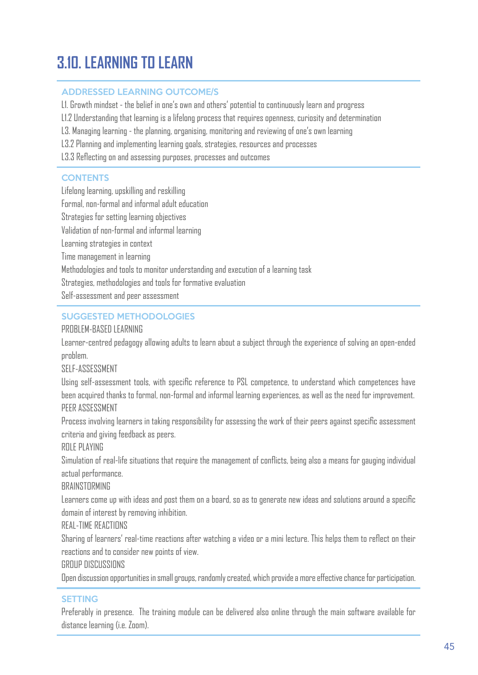## **MASTER - MEASURES TO LEARNING TO FURTHER EDUCATION AND RE-SKILLING OPPORTUNITIES IN AND RE-SKILLING OPPORTUNITIES OPPORTUNITIES IN AND RE-SKILLING OPPORTUNITIES OPPORTUNITIES IN A SECOND POPULATION OPPORTUNITIES OPPORTUNI**

#### ADDRESSED LEARNING OUTCOME/S

L1. Growth mindset - the belief in one's own and others' potential to continuously learn and progress

L1.2 Understanding that learning is a lifelong process that requires openness, curiosity and determination

L3. Managing learning - the planning, organising, monitoring and reviewing of one's own learning

L3.2 Planning and implementing learning goals, strategies, resources and processes

L3.3 Reflecting on and assessing purposes, processes and outcomes

#### **CONTENTS**

Lifelong learning, upskilling and reskilling Formal, non-formal and informal adult education Strategies for setting learning objectives Validation of non-formal and informal learning Learning strategies in context Time management in learning Methodologies and tools to monitor understanding and execution of a learning task Strategies, methodologies and tools for formative evaluation Self-assessment and peer assessment

#### SUGGESTED METHODOLOGIES

#### PROBLEM-BASED LEARNING

Learner-centred pedagogy allowing adults to learn about a subject through the experience of solving an open-ended problem.

SELF-ASSESSMENT

Using self-assessment tools, with specific reference to PSL competence, to understand which competences have been acquired thanks to formal, non-formal and informal learning experiences, as well as the need for improvement. PEER ASSESSMENT

Process involving learners in taking responsibility for assessing the work of their peers against specific assessment criteria and giving feedback as peers.

ROLE PLAYING

Simulation of real-life situations that require the management of conflicts, being also a means for gauging individual actual performance.

**BRAINSTORMING** 

Learners come up with ideas and post them on a board, so as to generate new ideas and solutions around a specific domain of interest by removing inhibition.

REAL-TIME REACTIONS

Sharing of learners' real-time reactions after watching a video or a mini lecture. This helps them to reflect on their reactions and to consider new points of view.

GROUP DISCUSSIONS

Open discussion opportunities in small groups, randomly created, which provide a more effective chance for participation.

#### SETTING

Preferably in presence. The training module can be delivered also online through the main software available for distance learning (i.e. Zoom).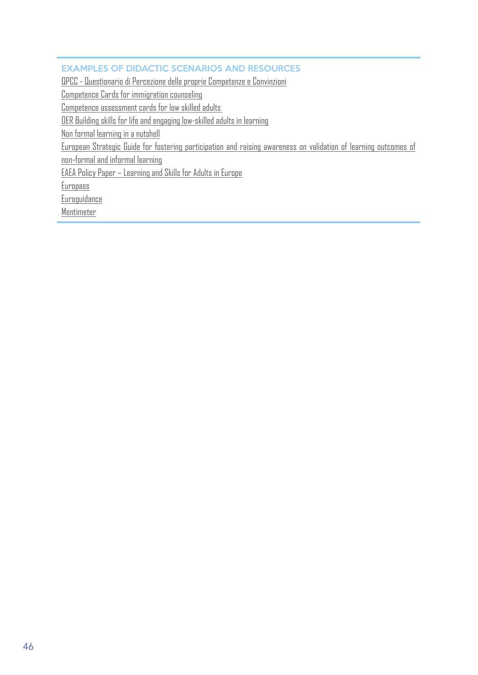### **EXAMPLES OF DIDACTIC SCENARIOS AND RESOURCES**

QPCC - Questionario di Percezione delle proprie Competenze e Convinzioni

Competence Cards for immigration counseling

Competence assessment cards for low skilled adults

OER Building skills for life and engaging low-skilled adults in learning

Non formal learning in a nutshell

European Strategic Guide for fostering participation and raising awareness on validation of learning outcomes of

MASTER - Measures for  $A$  and  $A$  and  $R$  -skilling opportunities and  $R$  -skilling opportunities opportunities opportunities opportunities opportunities opportunities opportunities opportunities opportunities opportuniti

non-formal and informal learning

EAEA Policy Paper – Learning and Skills for Adults in Europe

Europass

Euroguidance

**Mentimeter**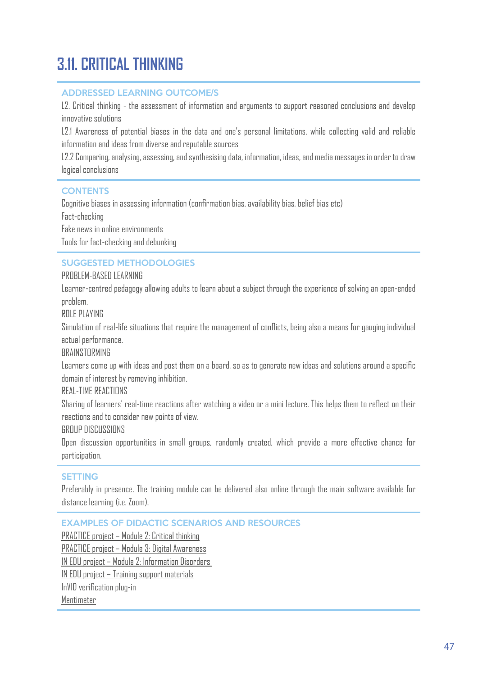## **MASTER - MEASURES FOR ADULTS TRANSITION AND RE-SKILLING OPPORTUNITIES AND RE-SKILLING OPPORTUNITIES AND RE-SKILLING OPPORTUNITIES OPPORTUNITIES AND RE-SKILLING OPPORTUNITIES OPPORTUNITIES AND RE-SKILLING OPPORTUNITIES OPP**

#### ADDRESSED LEARNING OUTCOME/S

L2. Critical thinking - the assessment of information and arguments to support reasoned conclusions and develop innovative solutions

L2.1 Awareness of potential biases in the data and one's personal limitations, while collecting valid and reliable information and ideas from diverse and reputable sources

L2.2 Comparing, analysing, assessing, and synthesising data, information, ideas, and media messages in order to draw logical conclusions

#### **CONTENTS**

Cognitive biases in assessing information (confirmation bias, availability bias, belief bias etc)

Fact-checking

Fake news in online environments

Tools for fact-checking and debunking

#### SUGGESTED METHODOLOGIES

#### PROBLEM-BASED LEARNING

Learner-centred pedagogy allowing adults to learn about a subject through the experience of solving an open-ended problem.

ROLE PLAYING

Simulation of real-life situations that require the management of conflicts, being also a means for gauging individual actual performance.

#### **BRAINSTORMING**

Learners come up with ideas and post them on a board, so as to generate new ideas and solutions around a specific domain of interest by removing inhibition.

REAL-TIME REACTIONS

Sharing of learners' real-time reactions after watching a video or a mini lecture. This helps them to reflect on their reactions and to consider new points of view.

GROUP DISCUSSIONS

Open discussion opportunities in small groups, randomly created, which provide a more effective chance for participation.

#### SETTING

Preferably in presence. The training module can be delivered also online through the main software available for distance learning (i.e. Zoom).

EXAMPLES OF DIDACTIC SCENARIOS AND RESOURCES

PRACTICE project – Module 2: Critical thinking

PRACTICE project – Module 3: Digital Awareness

IN EDU project – Module 2: Information Disorders

IN EDU project – Training support materials

InVID verification plug-in

Mentimeter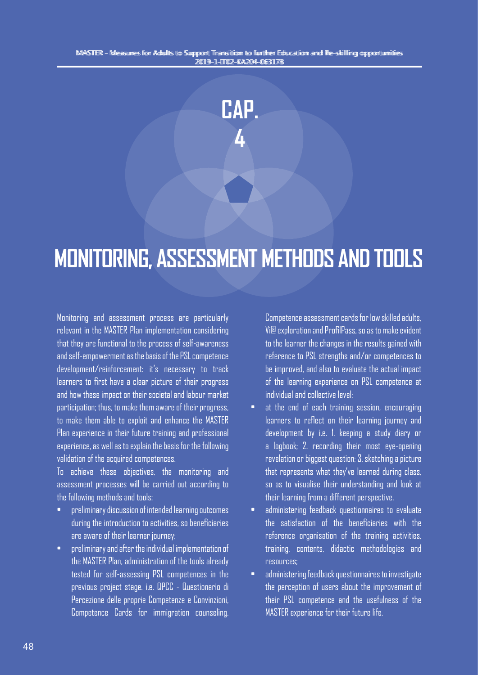

# **MONITORING, ASSESSMENT METHODS AND TOOLS**

Monitoring and assessment process are particularly relevant in the MASTER Plan implementation considering that they are functional to the process of self-awareness and self-empowerment as the basis of the PSL competence development/reinforcement: it's necessary to track learners to first have a clear picture of their progress and how these impact on their societal and labour market participation; thus, to make them aware of their progress, to make them able to exploit and enhance the MASTER Plan experience in their future training and professional experience, as well as to explain the basis for the following validation of the acquired competences.

To achieve these objectives, the monitoring and assessment processes will be carried out according to the following methods and tools:

- preliminary discussion of intended learning outcomes during the introduction to activities, so beneficiaries are aware of their learner journey;
- preliminary and after the individual implementation of the MASTER Plan, administration of the tools already tested for self-assessing PSL competences in the previous project stage. i.e. QPCC - Questionario di Percezione delle proprie Competenze e Convinzioni, Competence Cards for immigration counseling.

Competence assessment cards for low skilled adults, Vi@ exploration and ProfilPass, so as to make evident to the learner the changes in the results gained with reference to PSL strengths and/or competences to be improved, and also to evaluate the actual impact of the learning experience on PSL competence at individual and collective level;

- at the end of each training session, encouraging learners to reflect on their learning journey and development by i.e. 1. keeping a study diary or a logbook; 2. recording their most eye-opening revelation or biggest question; 3. sketching a picture that represents what they've learned during class, so as to visualise their understanding and look at their learning from a different perspective.
- administering feedback questionnaires to evaluate the satisfaction of the beneficiaries with the reference organisation of the training activities, training, contents, didactic methodologies and resources;
- administering feedback questionnaires to investigate the perception of users about the improvement of their PSL competence and the usefulness of the MASTER experience for their future life.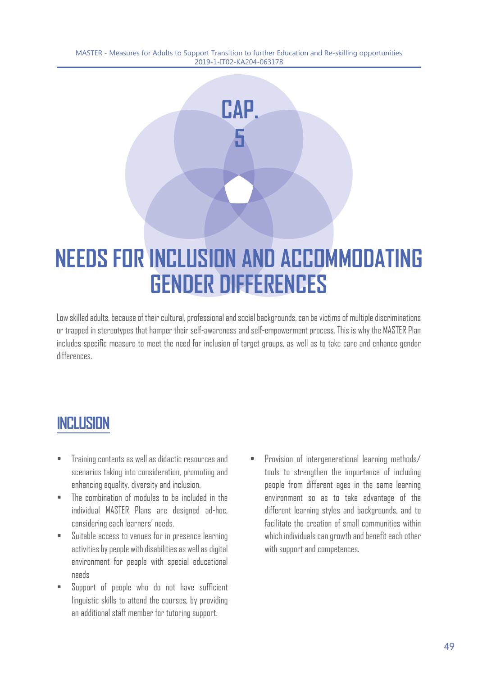**CAP.** 

**5**

# **NEEDS FOR INCLUSION AND ACCOMMODATING GENDER DIFFERENCES**

Low skilled adults, because of their cultural, professional and social backgrounds, can be victims of multiple discriminations or trapped in stereotypes that hamper their self-awareness and self-empowerment process. This is why the MASTER Plan includes specific measure to meet the need for inclusion of target groups, as well as to take care and enhance gender differences.

### **INCLUSION**

- Training contents as well as didactic resources and scenarios taking into consideration, promoting and enhancing equality, diversity and inclusion.
- The combination of modules to be included in the individual MASTER Plans are designed ad-hoc, considering each learners' needs.
- Suitable access to venues for in presence learning activities by people with disabilities as well as digital environment for people with special educational needs
- Support of people who do not have sufficient linguistic skills to attend the courses, by providing an additional staff member for tutoring support.
- Provision of intergenerational learning methods/ tools to strengthen the importance of including people from different ages in the same learning environment so as to take advantage of the different learning styles and backgrounds, and to facilitate the creation of small communities within which individuals can growth and benefit each other with support and competences.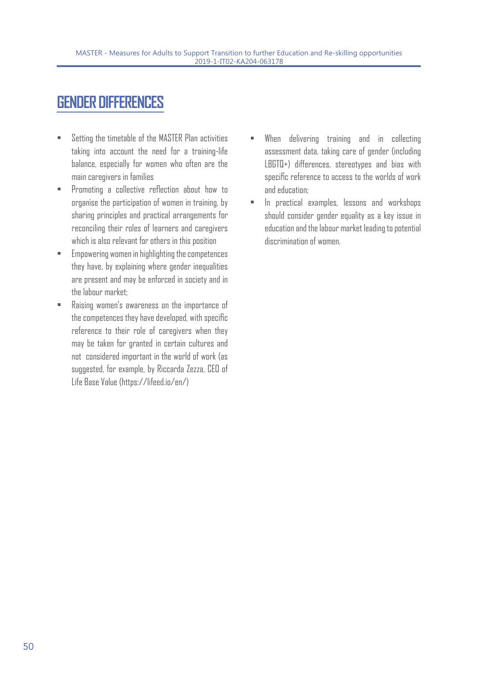### **GENDER DIFFERENCES**

- Setting the timetable of the MASTER Plan activities taking into account the need for a training-life balance, especially for women who often are the main caregivers in families
- Promoting a collective reflection about how to organise the participation of women in training, by sharing principles and practical arrangements for reconciling their roles of learners and caregivers which is also relevant for others in this position
- Empowering women in highlighting the competences they have, by explaining where gender inequalities are present and may be enforced in society and in the labour market;
- Raising women's awareness on the importance of the competences they have developed, with specific reference to their role of caregivers when they may be taken for granted in certain cultures and not considered important in the world of work (as suggested, for example, by Riccarda Zezza, CEO of Life Base Value (https://lifeed.io/en/)
- When delivering training and in collecting assessment data, taking care of gender (including LBGTQ+) differences, stereotypes and bias with specific reference to access to the worlds of work and education;
- In practical examples, lessons and workshops should consider gender equality as a key issue in education and the labour market leading to potential discrimination of women.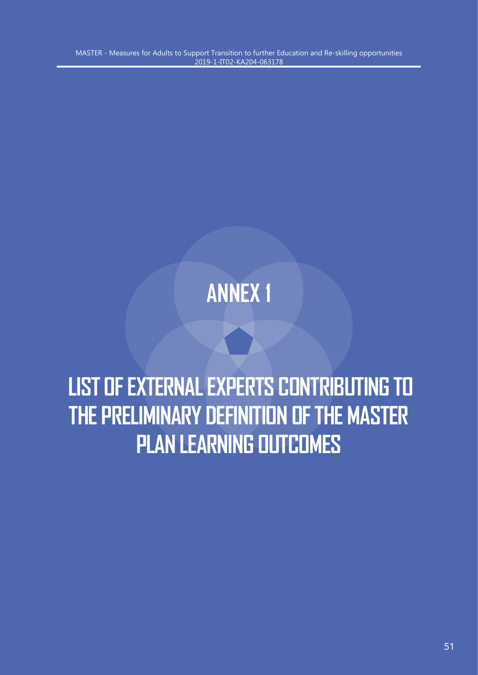# **ANNEX 1**

# **LIST OF EXTERNAL EXPERTS CONTRIBUTING TO THE PRELIMINARY DEFINITION OF THE MASTER PLAN LEARNING OUTCOMES**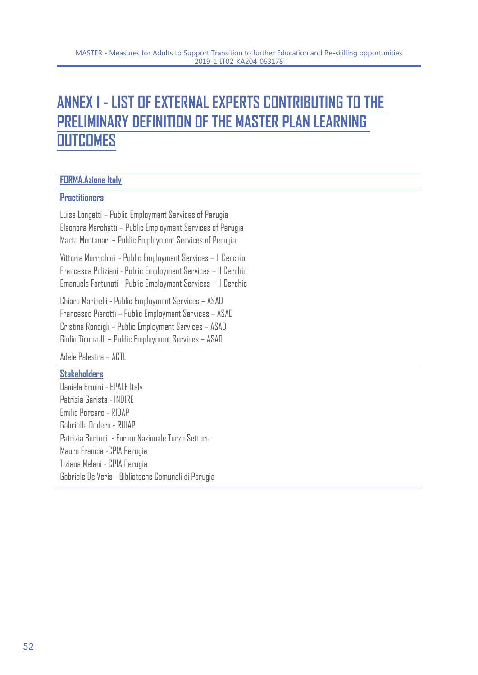### **ANNEX 1 - LIST OF EXTERNAL EXPERTS CONTRIBUTING TO THE PRELIMINARY DEFINITION OF THE MASTER PLAN LEARNING OUTCOMES**

#### **FORMA.Azione Italy**

#### **Practitioners**

Luisa Longetti – Public Employment Services of Perugia Eleonora Marchetti – Public Employment Services of Perugia Marta Montanari – Public Employment Services of Perugia

Vittoria Morrichini – Public Employment Services – Il Cerchio Francesca Poliziani - Public Employment Services – Il Cerchio Emanuela Fortunati - Public Employment Services – Il Cerchio

Chiara Marinelli - Public Employment Services – ASAD Francesco Pierotti – Public Employment Services – ASAD Cristina Roncigli – Public Employment Services – ASAD Giulio Tironzelli – Public Employment Services – ASAD

Adele Palestra – ACTL

#### **Stakeholders**

Daniela Ermini - EPALE Italy Patrizia Garista - INDIRE Emilio Porcaro - RIDAP Gabriella Dodero - RUIAP Patrizia Bertoni - Forum Nazionale Terzo Settore Mauro Francia -CPIA Perugia Tiziana Melani - CPIA Perugia Gabriele De Veris - Biblioteche Comunali di Perugia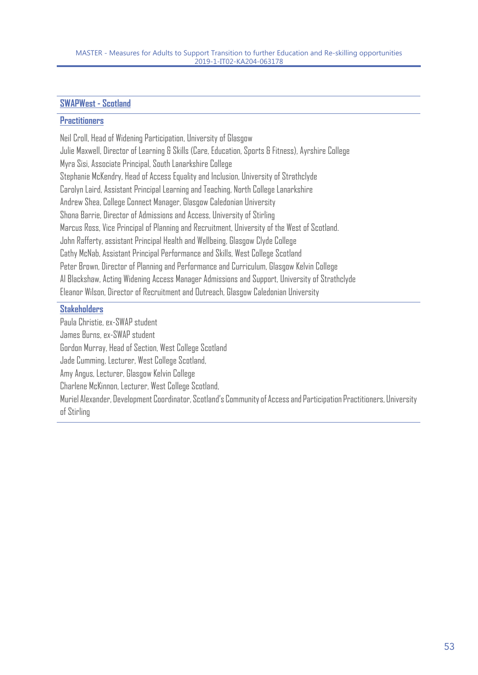#### **SWAPWest - Scotland**

#### **Practitioners**

Neil Croll, Head of Widening Participation, University of Glasgow Julie Maxwell, Director of Learning & Skills (Care, Education, Sports & Fitness), Ayrshire College Myra Sisi, Associate Principal, South Lanarkshire College Stephanie McKendry, Head of Access Equality and Inclusion, University of Strathclyde Carolyn Laird, Assistant Principal Learning and Teaching, North College Lanarkshire Andrew Shea, College Connect Manager, Glasgow Caledonian University Shona Barrie, Director of Admissions and Access, University of Stirling Marcus Ross, Vice Principal of Planning and Recruitment, University of the West of Scotland. John Rafferty, assistant Principal Health and Wellbeing, Glasgow Clyde College Cathy McNab, Assistant Principal Performance and Skills, West College Scotland Peter Brown, Director of Planning and Performance and Curriculum, Glasgow Kelvin College Al Blackshaw, Acting Widening Access Manager Admissions and Support, University of Strathclyde Eleanor Wilson, Director of Recruitment and Outreach, Glasgow Caledonian University

#### **Stakeholders**

Paula Christie, ex-SWAP student James Burns, ex-SWAP student Gordon Murray, Head of Section, West College Scotland Jade Cumming, Lecturer, West College Scotland, Amy Angus, Lecturer, Glasgow Kelvin College Charlene McKinnon, Lecturer, West College Scotland, Muriel Alexander, Development Coordinator, Scotland's Community of Access and Participation Practitioners, University of Stirling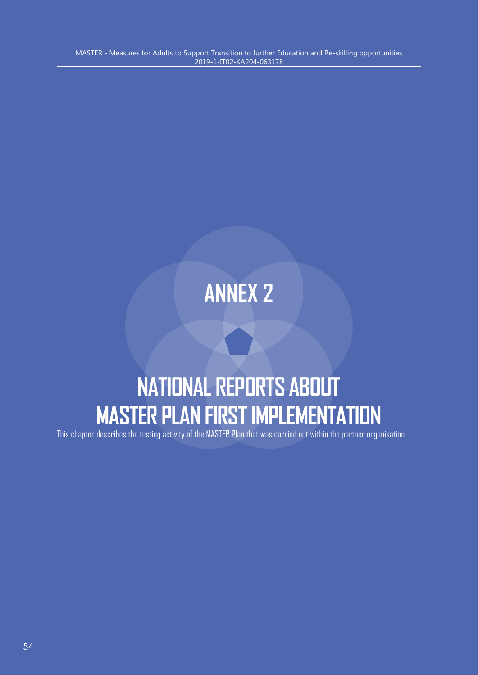# **ANNEX 2**

# **NATIONAL REPORTS ABOUT MASTER PLAN FIRST IMPLEMENTATION**

This chapter describes the testing activity of the MASTER Plan that was carried out within the partner organisation.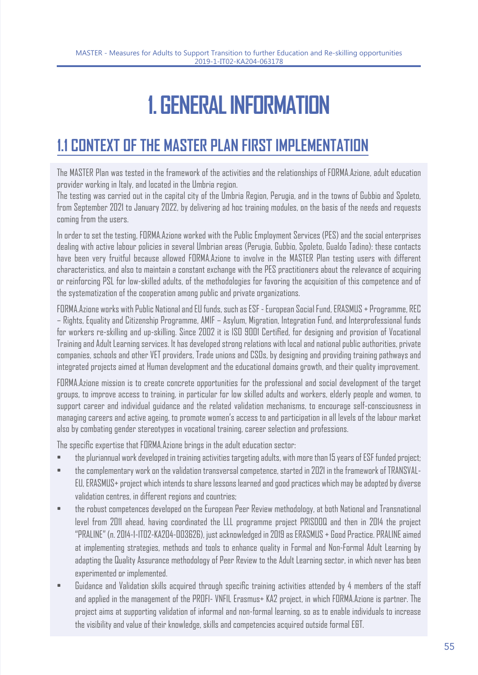# **1. GENERAL INFORMATION**

### **1.1 CONTEXT OF THE MASTER PLAN FIRST IMPLEMENTATION**

The MASTER Plan was tested in the framework of the activities and the relationships of FORMA.Azione, adult education provider working in Italy, and located in the Umbria region.

The testing was carried out in the capital city of the Umbria Region, Perugia, and in the towns of Gubbio and Spoleto, from September 2021 to January 2022, by delivering ad hoc training modules, on the basis of the needs and requests coming from the users.

In order to set the testing, FORMA.Azione worked with the Public Employment Services (PES) and the social enterprises dealing with active labour policies in several Umbrian areas (Perugia, Gubbio, Spoleto, Gualdo Tadino): these contacts have been very fruitful because allowed FORMA.Azione to involve in the MASTER Plan testing users with different characteristics, and also to maintain a constant exchange with the PES practitioners about the relevance of acquiring or reinforcing PSL for low-skilled adults, of the methodologies for favoring the acquisition of this competence and of the systematization of the cooperation among public and private organizations.

FORMA.Azione works with Public National and EU funds, such as ESF - European Social Fund, ERASMUS + Programme, REC – Rights, Equality and Citizenship Programme, AMIF – Asylum, Migration, Integration Fund, and Interprofessional funds for workers re-skilling and up-skilling. Since 2002 it is ISO 9001 Certified, for designing and provision of Vocational Training and Adult Learning services. It has developed strong relations with local and national public authorities, private companies, schools and other VET providers, Trade unions and CSOs, by designing and providing training pathways and integrated projects aimed at Human development and the educational domains growth, and their quality improvement.

FORMA.Azione mission is to create concrete opportunities for the professional and social development of the target groups, to improve access to training, in particular for low skilled adults and workers, elderly people and women, to support career and individual guidance and the related validation mechanisms, to encourage self-consciousness in managing careers and active ageing, to promote women's access to and participation in all levels of the labour market also by combating gender stereotypes in vocational training, career selection and professions.

The specific expertise that FORMA.Azione brings in the adult education sector:

- the pluriannual work developed in training activities targeting adults, with more than 15 years of ESF funded project;
- the complementary work on the validation transversal competence, started in 2021 in the framework of TRANSVAL-EU, ERASMUS+ project which intends to share lessons learned and good practices which may be adopted by diverse validation centres, in different regions and countries;
- the robust competences developed on the European Peer Review methodology, at both National and Transnational level from 2011 ahead, having coordinated the LLL programme project PRISDOQ and then in 2014 the project "PRALINE" (n. 2014-1-IT02-KA204-003626), just acknowledged in 2019 as ERASMUS + Good Practice. PRALINE aimed at implementing strategies, methods and tools to enhance quality in Formal and Non-Formal Adult Learning by adapting the Quality Assurance methodology of Peer Review to the Adult Learning sector, in which never has been experimented or implemented.
- Guidance and Validation skills acquired through specific training activities attended by 4 members of the staff and applied in the management of the PROFI- VNFIL Erasmus+ KA2 project, in which FORMA.Azione is partner. The project aims at supporting validation of informal and non-formal learning, so as to enable individuals to increase the visibility and value of their knowledge, skills and competencies acquired outside formal E&T.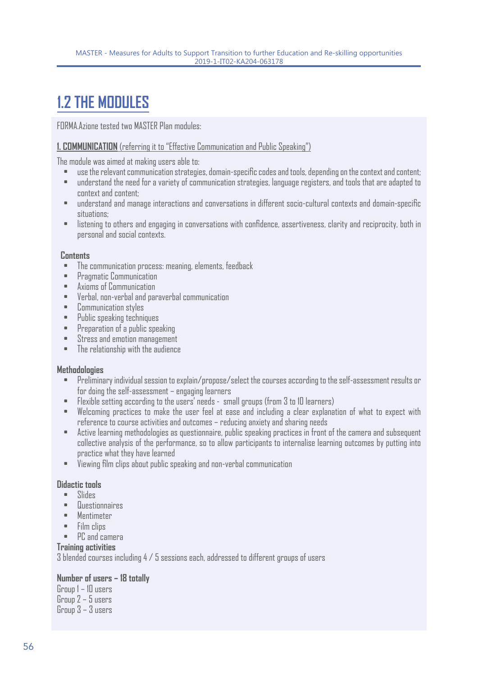### **1.2 THE MODULES**

FORMA.Azione tested two MASTER Plan modules:

#### **1. COMMUNICATION** (referring it to "Effective Communication and Public Speaking")

The module was aimed at making users able to:

- use the relevant communication strategies, domain-specific codes and tools, depending on the context and content;
- understand the need for a variety of communication strategies, language registers, and tools that are adapted to context and content;
- understand and manage interactions and conversations in different socio-cultural contexts and domain-specific situations;
- listening to others and engaging in conversations with confidence, assertiveness, clarity and reciprocity, both in personal and social contexts.

#### **Contents**

- The communication process: meaning, elements, feedback
- Pragmatic Communication
- Axioms of Communication
- Verbal, non-verbal and paraverbal communication
- Communication styles
- Public speaking techniques
- Preparation of a public speaking
- Stress and emotion management
- The relationship with the audience

#### **Methodologies**

- Preliminary individual session to explain/propose/select the courses according to the self-assessment results or for doing the self-assessment – engaging learners
- Flexible setting according to the users' needs small groups (from 3 to 10 learners)
- Welcoming practices to make the user feel at ease and including a clear explanation of what to expect with reference to course activities and outcomes – reducing anxiety and sharing needs
- Active learning methodologies as questionnaire, public speaking practices in front of the camera and subsequent collective analysis of the performance, so to allow participants to internalise learning outcomes by putting into practice what they have learned
- Viewing film clips about public speaking and non-verbal communication

#### **Didactic tools**

- Slides
- Questionnaires
- Mentimeter
- Film clips
- PC and camera

#### **Training activities**

3 blended courses including 4 / 5 sessions each, addressed to different groups of users

#### **Number of users – 18 totally**

Group 1 – 10 users Group 2 – 5 users Group 3 – 3 users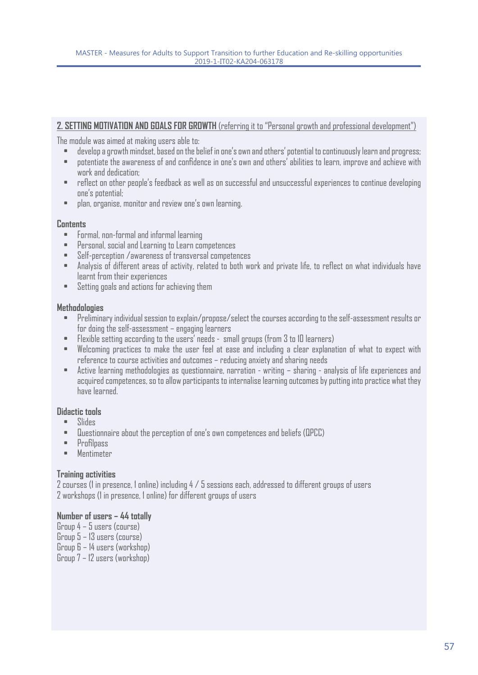#### **2. SETTING MOTIVATION AND GOALS FOR GROWTH** (referring it to "Personal growth and professional development")

The module was aimed at making users able to:

- develop a growth mindset, based on the belief in one's own and others' potential to continuously learn and progress;
- potentiate the awareness of and confidence in one's own and others' abilities to learn, improve and achieve with work and dedication;
- reflect on other people's feedback as well as on successful and unsuccessful experiences to continue developing one's potential;
- plan, organise, monitor and review one's own learning.

#### **Contents**

- Formal, non-formal and informal learning
- Personal, social and Learning to Learn competences
- Self-perception /awareness of transversal competences
- Analysis of different areas of activity, related to both work and private life, to reflect on what individuals have learnt from their experiences
- Setting goals and actions for achieving them

#### **Methodologies**

- Preliminary individual session to explain/propose/select the courses according to the self-assessment results or for doing the self-assessment – engaging learners
- Flexible setting according to the users' needs small groups (from 3 to 10 learners)
- Welcoming practices to make the user feel at ease and including a clear explanation of what to expect with reference to course activities and outcomes – reducing anxiety and sharing needs
- Active learning methodologies as questionnaire, narration writing sharing analysis of life experiences and acquired competences, so to allow participants to internalise learning outcomes by putting into practice what they have learned.

#### **Didactic tools**

- Slides
- Questionnaire about the perception of one's own competences and beliefs (QPCC)
- Profilpass
- Mentimeter

#### **Training activities**

2 courses (1 in presence, 1 online) including 4 / 5 sessions each, addressed to different groups of users 2 workshops (1 in presence, 1 online) for different groups of users

#### **Number of users – 44 totally**

Group 4 – 5 users (course) Group 5 – 13 users (course)

Group 6 – 14 users (workshop)

Group 7 – 12 users (workshop)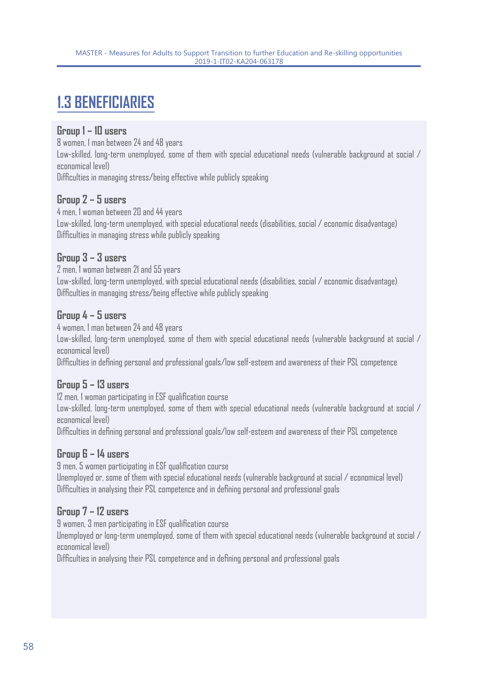### **1.3 BENEFICIARIES**

#### **Group 1 – 10 users**

8 women, 1 man between 24 and 48 years

Low-skilled, long-term unemployed, some of them with special educational needs (vulnerable background at social / economical level)

Difficulties in managing stress/being effective while publicly speaking

#### **Group 2 – 5 users**

4 men, 1 woman between 20 and 44 years Low-skilled, long-term unemployed, with special educational needs (disabilities, social / economic disadvantage) Difficulties in managing stress while publicly speaking

#### **Group 3 – 3 users**

2 men, 1 woman between 21 and 55 years Low-skilled, long-term unemployed, with special educational needs (disabilities, social / economic disadvantage) Difficulties in managing stress/being effective while publicly speaking

#### **Group 4 – 5 users**

4 women, 1 man between 24 and 48 years

Low-skilled, long-term unemployed, some of them with special educational needs (vulnerable background at social / economical level)

Difficulties in defining personal and professional goals/low self-esteem and awareness of their PSL competence

#### **Group 5 – 13 users**

12 men, 1 woman participating in ESF qualification course

Low-skilled, long-term unemployed, some of them with special educational needs (vulnerable background at social / economical level)

Difficulties in defining personal and professional goals/low self-esteem and awareness of their PSL competence

#### **Group 6 – 14 users**

9 men, 5 women participating in ESF qualification course

Unemployed or, some of them with special educational needs (vulnerable background at social / economical level) Difficulties in analysing their PSL competence and in defining personal and professional goals

#### **Group 7 – 12 users**

9 women, 3 men participating in ESF qualification course

Unemployed or long-term unemployed, some of them with special educational needs (vulnerable background at social / economical level)

Difficulties in analysing their PSL competence and in defining personal and professional goals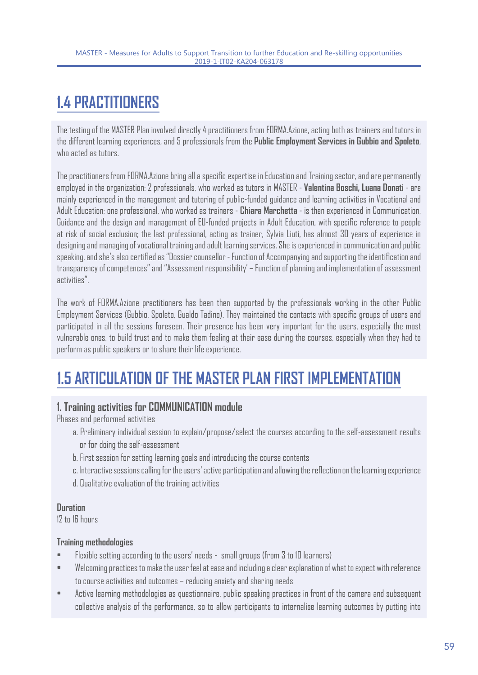## **1.4 PRACTITIONERS**

The testing of the MASTER Plan involved directly 4 practitioners from FORMA.Azione, acting both as trainers and tutors in the different learning experiences, and 5 professionals from the **Public Employment Services in Gubbio and Spoleto**, who acted as tutors.

The practitioners from FORMA.Azione bring all a specific expertise in Education and Training sector, and are permanently employed in the organization: 2 professionals, who worked as tutors in MASTER - **Valentina Boschi, Luana Donati** - are mainly experienced in the management and tutoring of public-funded guidance and learning activities in Vocational and Adult Education; one professional, who worked as trainers - **Chiara Marchetta** - is then experienced in Communication, Guidance and the design and management of EU-funded projects in Adult Education, with specific reference to people at risk of social exclusion; the last professional, acting as trainer, Sylvia Liuti, has almost 30 years of experience in designing and managing of vocational training and adult learning services. She is experienced in communication and public speaking, and she's also certified as "Dossier counsellor - Function of Accompanying and supporting the identification and transparency of competences" and "Assessment responsibility' – Function of planning and implementation of assessment activities".

The work of FORMA.Azione practitioners has been then supported by the professionals working in the other Public Employment Services (Gubbio, Spoleto, Gualdo Tadino). They maintained the contacts with specific groups of users and participated in all the sessions foreseen. Their presence has been very important for the users, especially the most vulnerable ones, to build trust and to make them feeling at their ease during the courses, especially when they had to perform as public speakers or to share their life experience.

## **1.5 ARTICULATION OF THE MASTER PLAN FIRST IMPLEMENTATION**

#### **1. Training activities for COMMUNICATION module**

Phases and performed activities

- a. Preliminary individual session to explain/propose/select the courses according to the self-assessment results or for doing the self-assessment
- b. First session for setting learning goals and introducing the course contents
- c. Interactive sessions calling for the users' active participation and allowing the reflection on the learning experience
- d. Qualitative evaluation of the training activities

#### **Duration**

12 to 16 hours

#### **Training methodologies**

- Flexible setting according to the users' needs small groups (from 3 to 10 learners)
- Welcoming practices to make the user feel at ease and including a clear explanation of what to expect with reference to course activities and outcomes – reducing anxiety and sharing needs
- Active learning methodologies as questionnaire, public speaking practices in front of the camera and subsequent collective analysis of the performance, so to allow participants to internalise learning outcomes by putting into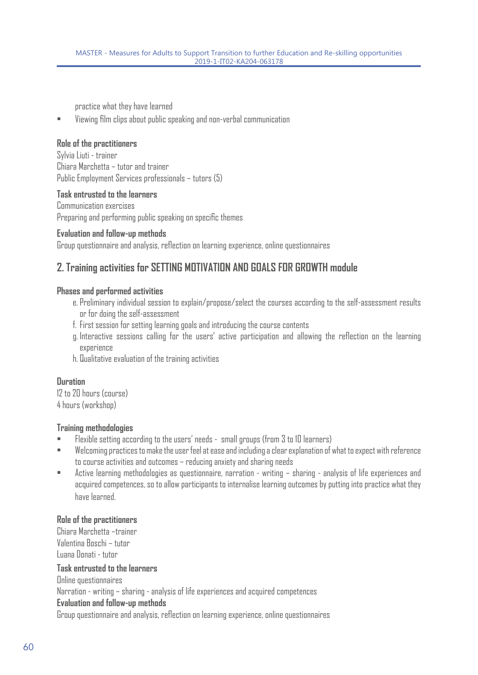practice what they have learned

• Viewing film clips about public speaking and non-verbal communication

#### **Role of the practitioners**

Sylvia Liuti - trainer Chiara Marchetta – tutor and trainer Public Employment Services professionals – tutors (5)

#### **Task entrusted to the learners**

Communication exercises Preparing and performing public speaking on specific themes

#### **Evaluation and follow-up methods**

Group questionnaire and analysis, reflection on learning experience, online questionnaires

#### **2. Training activities for SETTING MOTIVATION AND GOALS FOR GROWTH module**

#### **Phases and performed activities**

- e. Preliminary individual session to explain/propose/select the courses according to the self-assessment results or for doing the self-assessment
- f. First session for setting learning goals and introducing the course contents
- g. Interactive sessions calling for the users' active participation and allowing the reflection on the learning experience
- h. Qualitative evaluation of the training activities

#### **Duration**

12 to 20 hours (course) 4 hours (workshop)

#### **Training methodologies**

- Flexible setting according to the users' needs small groups (from 3 to 10 learners)
- Welcoming practices to make the user feel at ease and including a clear explanation of what to expect with reference to course activities and outcomes – reducing anxiety and sharing needs
- Active learning methodologies as questionnaire, narration writing sharing analysis of life experiences and acquired competences, so to allow participants to internalise learning outcomes by putting into practice what they have learned.

#### **Role of the practitioners**

Chiara Marchetta –trainer Valentina Boschi – tutor Luana Donati - tutor

#### **Task entrusted to the learners**

Online questionnaires

Narration - writing – sharing - analysis of life experiences and acquired competences

#### **Evaluation and follow-up methods**

Group questionnaire and analysis, reflection on learning experience, online questionnaires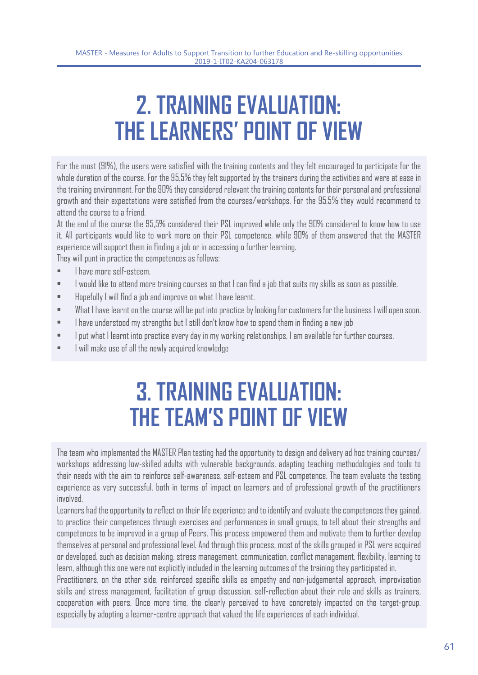## **2. TRAINING EVALUATION: THE LEARNERS' POINT OF VIEW**

For the most (91%), the users were satisfied with the training contents and they felt encouraged to participate for the whole duration of the course. For the 95,5% they felt supported by the trainers during the activities and were at ease in the training environment. For the 90% they considered relevant the training contents for their personal and professional growth and their expectations were satisfied from the courses/workshops. For the 95,5% they would recommend to attend the course to a friend.

At the end of the course the 95,5% considered their PSL improved while only the 90% considered to know how to use it. All participants would like to work more on their PSL competence, while 90% of them answered that the MASTER experience will support them in finding a job or in accessing o further learning.

They will punt in practice the competences as follows:

- I have more self-esteem.
- I would like to attend more training courses so that I can find a job that suits my skills as soon as possible.
- Hopefully I will find a job and improve on what I have learnt.
- What I have learnt on the course will be put into practice by looking for customers for the business I will open soon.
- I have understood my strengths but I still don't know how to spend them in finding a new job
- I put what I learnt into practice every day in my working relationships, I am available for further courses.
- I will make use of all the newly acquired knowledge

## **3. TRAINING EVALUATION: THE TEAM'S POINT OF VIEW**

The team who implemented the MASTER Plan testing had the opportunity to design and delivery ad hoc training courses/ workshops addressing low-skilled adults with vulnerable backgrounds, adapting teaching methodologies and tools to their needs with the aim to reinforce self-awareness, self-esteem and PSL competence. The team evaluate the testing experience as very successful, both in terms of impact on learners and of professional growth of the practitioners involved.

Learners had the opportunity to reflect on their life experience and to identify and evaluate the competences they gained, to practice their competences through exercises and performances in small groups, to tell about their strengths and competences to be improved in a group of Peers. This process empowered them and motivate them to further develop themselves at personal and professional level. And through this process, most of the skills grouped in PSL were acquired or developed, such as decision making, stress management, communication, conflict management, flexibility, learning to learn, although this one were not explicitly included in the learning outcomes of the training they participated in.

Practitioners, on the other side, reinforced specific skills as empathy and non-judgemental approach, improvisation skills and stress management, facilitation of group discussion, self-reflection about their role and skills as trainers, cooperation with peers. Once more time, the clearly perceived to have concretely impacted on the target-group, especially by adopting a learner-centre approach that valued the life experiences of each individual.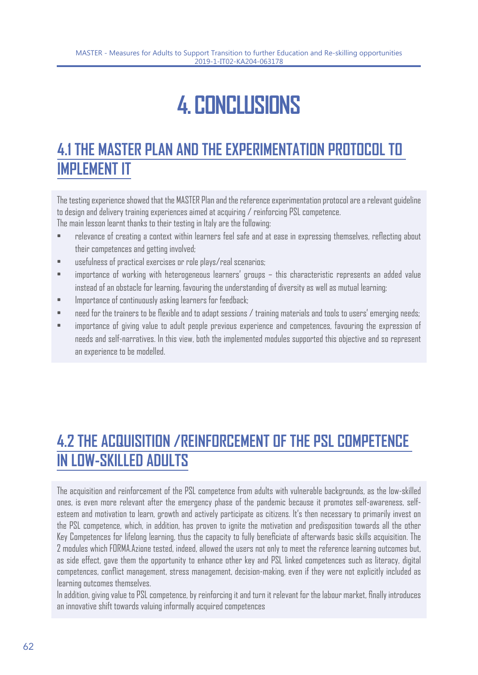# **4. CONCLUSIONS**

### **4.1 THE MASTER PLAN AND THE EXPERIMENTATION PROTOCOL TO IMPLEMENT IT**

The testing experience showed that the MASTER Plan and the reference experimentation protocol are a relevant guideline to design and delivery training experiences aimed at acquiring / reinforcing PSL competence.

The main lesson learnt thanks to their testing in Italy are the following:

- relevance of creating a context within learners feel safe and at ease in expressing themselves, reflecting about their competences and getting involved;
- usefulness of practical exercises or role plays/real scenarios;
- importance of working with heterogeneous learners' groups this characteristic represents an added value instead of an obstacle for learning, favouring the understanding of diversity as well as mutual learning;
- Importance of continuously asking learners for feedback;
- need for the trainers to be flexible and to adapt sessions / training materials and tools to users' emerging needs;
- importance of giving value to adult people previous experience and competences, favouring the expression of needs and self-narratives. In this view, both the implemented modules supported this objective and so represent an experience to be modelled.

### **4.2 THE ACQUISITION /REINFORCEMENT OF THE PSL COMPETENCE IN LOW-SKILLED ADULTS**

The acquisition and reinforcement of the PSL competence from adults with vulnerable backgrounds, as the low-skilled ones, is even more relevant after the emergency phase of the pandemic because it promotes self-awareness, selfesteem and motivation to learn, growth and actively participate as citizens. It's then necessary to primarily invest on the PSL competence, which, in addition, has proven to ignite the motivation and predisposition towards all the other Key Competences for lifelong learning, thus the capacity to fully beneficiate of afterwards basic skills acquisition. The 2 modules which FORMA.Azione tested, indeed, allowed the users not only to meet the reference learning outcomes but, as side effect, gave them the opportunity to enhance other key and PSL linked competences such as literacy, digital competences, conflict management, stress management, decision-making, even if they were not explicitly included as learning outcomes themselves.

In addition, giving value to PSL competence, by reinforcing it and turn it relevant for the labour market, finally introduces an innovative shift towards valuing informally acquired competences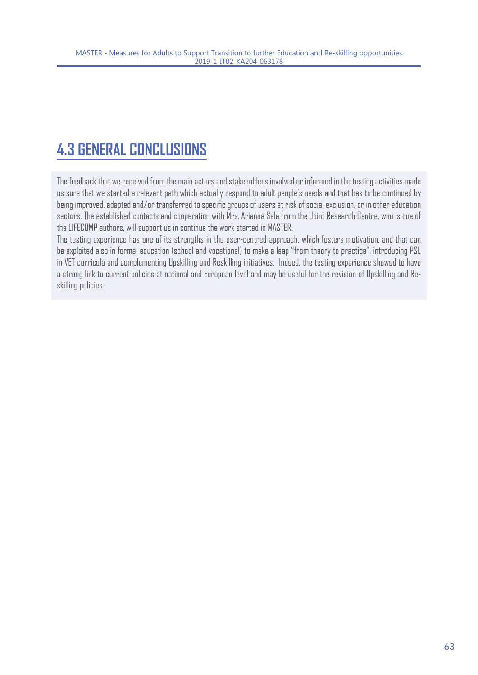### **4.3 GENERAL CONCLUSIONS**

The feedback that we received from the main actors and stakeholders involved or informed in the testing activities made us sure that we started a relevant path which actually respond to adult people's needs and that has to be continued by being improved, adapted and/or transferred to specific groups of users at risk of social exclusion, or in other education sectors. The established contacts and cooperation with Mrs. Arianna Sala from the Joint Research Centre, who is one of the LIFECOMP authors, will support us in continue the work started in MASTER.

The testing experience has one of its strengths in the user-centred approach, which fosters motivation, and that can be exploited also in formal education (school and vocational) to make a leap "from theory to practice", introducing PSL in VET curricula and complementing Upskilling and Reskilling initiatives. Indeed, the testing experience showed to have a strong link to current policies at national and European level and may be useful for the revision of Upskilling and Reskilling policies.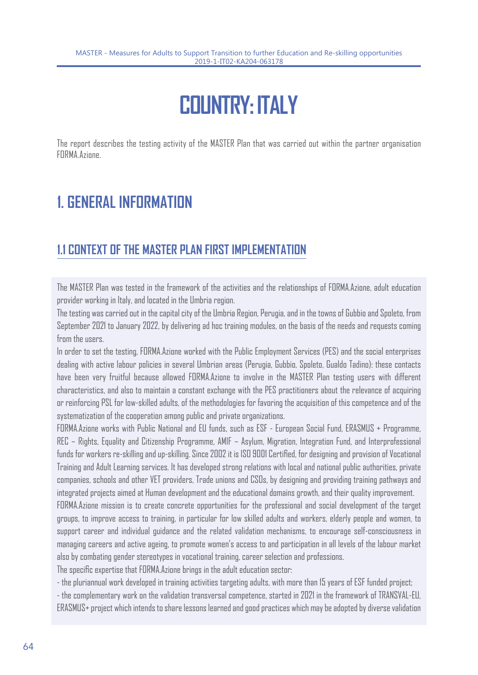# **COUNTRY: ITALY**

The report describes the testing activity of the MASTER Plan that was carried out within the partner organisation FORMA.Azione.

### **1. GENERAL INFORMATION**

### **1.1 CONTEXT OF THE MASTER PLAN FIRST IMPLEMENTATION**

The MASTER Plan was tested in the framework of the activities and the relationships of FORMA.Azione, adult education provider working in Italy, and located in the Umbria region.

The testing was carried out in the capital city of the Umbria Region, Perugia, and in the towns of Gubbio and Spoleto, from September 2021 to January 2022, by delivering ad hoc training modules, on the basis of the needs and requests coming from the users.

In order to set the testing, FORMA.Azione worked with the Public Employment Services (PES) and the social enterprises dealing with active labour policies in several Umbrian areas (Perugia, Gubbio, Spoleto, Gualdo Tadino): these contacts have been very fruitful because allowed FORMA.Azione to involve in the MASTER Plan testing users with different characteristics, and also to maintain a constant exchange with the PES practitioners about the relevance of acquiring or reinforcing PSL for low-skilled adults, of the methodologies for favoring the acquisition of this competence and of the systematization of the cooperation among public and private organizations.

FORMA.Azione works with Public National and EU funds, such as ESF - European Social Fund, ERASMUS + Programme, REC – Rights, Equality and Citizenship Programme, AMIF – Asylum, Migration, Integration Fund, and Interprofessional funds for workers re-skilling and up-skilling. Since 2002 it is ISO 9001 Certified, for designing and provision of Vocational Training and Adult Learning services. It has developed strong relations with local and national public authorities, private companies, schools and other VET providers, Trade unions and CSOs, by designing and providing training pathways and integrated projects aimed at Human development and the educational domains growth, and their quality improvement.

FORMA.Azione mission is to create concrete opportunities for the professional and social development of the target groups, to improve access to training, in particular for low skilled adults and workers, elderly people and women, to support career and individual guidance and the related validation mechanisms, to encourage self-consciousness in managing careers and active ageing, to promote women's access to and participation in all levels of the labour market also by combating gender stereotypes in vocational training, career selection and professions.

The specific expertise that FORMA.Azione brings in the adult education sector:

- the pluriannual work developed in training activities targeting adults, with more than 15 years of ESF funded project;

- the complementary work on the validation transversal competence, started in 2021 in the framework of TRANSVAL-EU, ERASMUS+ project which intends to share lessons learned and good practices which may be adopted by diverse validation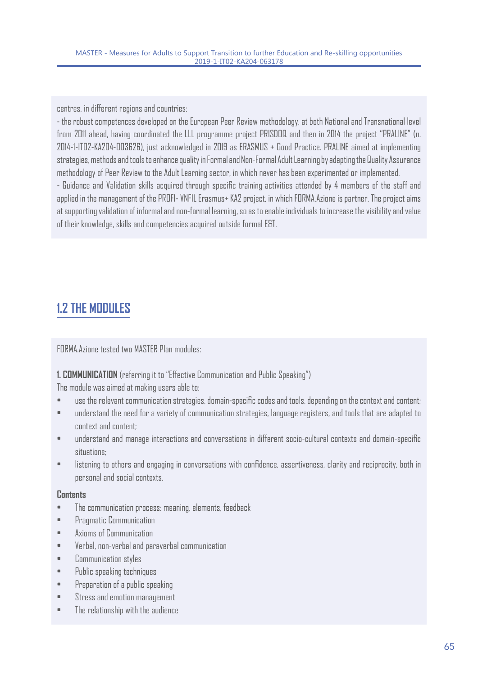centres, in different regions and countries;

- the robust competences developed on the European Peer Review methodology, at both National and Transnational level from 2011 ahead, having coordinated the LLL programme project PRISDOQ and then in 2014 the project "PRALINE" (n. 2014-1-IT02-KA204-003626), just acknowledged in 2019 as ERASMUS + Good Practice. PRALINE aimed at implementing strategies, methods and tools to enhance quality in Formal and Non-Formal Adult Learning by adapting the Quality Assurance methodology of Peer Review to the Adult Learning sector, in which never has been experimented or implemented.

- Guidance and Validation skills acquired through specific training activities attended by 4 members of the staff and applied in the management of the PROFI- VNFIL Erasmus+ KA2 project, in which FORMA.Azione is partner. The project aims at supporting validation of informal and non-formal learning, so as to enable individuals to increase the visibility and value of their knowledge, skills and competencies acquired outside formal E&T.

### **1.2 THE MODULES**

FORMA.Azione tested two MASTER Plan modules:

#### **1. COMMUNICATION** (referring it to "Effective Communication and Public Speaking")

The module was aimed at making users able to:

- use the relevant communication strategies, domain-specific codes and tools, depending on the context and content;
- understand the need for a variety of communication strategies, language registers, and tools that are adapted to context and content;
- understand and manage interactions and conversations in different socio-cultural contexts and domain-specific situations;
- listening to others and engaging in conversations with confidence, assertiveness, clarity and reciprocity, both in personal and social contexts.

#### **Contents**

- The communication process: meaning, elements, feedback
- Pragmatic Communication
- Axioms of Communication
- Verbal, non-verbal and paraverbal communication
- Communication styles
- Public speaking techniques
- Preparation of a public speaking
- Stress and emotion management
- The relationship with the audience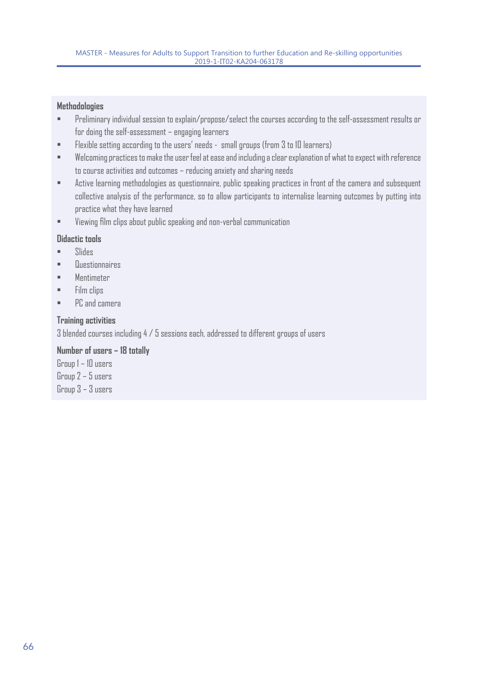#### **Methodologies**

- Preliminary individual session to explain/propose/select the courses according to the self-assessment results or for doing the self-assessment – engaging learners
- Flexible setting according to the users' needs small groups (from 3 to 10 learners)
- Welcoming practices to make the user feel at ease and including a clear explanation of what to expect with reference to course activities and outcomes – reducing anxiety and sharing needs
- Active learning methodologies as questionnaire, public speaking practices in front of the camera and subsequent collective analysis of the performance, so to allow participants to internalise learning outcomes by putting into practice what they have learned
- Viewing film clips about public speaking and non-verbal communication

#### **Didactic tools**

- Slides
- Questionnaires
- Mentimeter
- Film clips
- PC and camera

#### **Training activities**

3 blended courses including 4 / 5 sessions each, addressed to different groups of users

#### **Number of users – 18 totally**

Group 1 – 10 users Group 2 – 5 users Group 3 – 3 users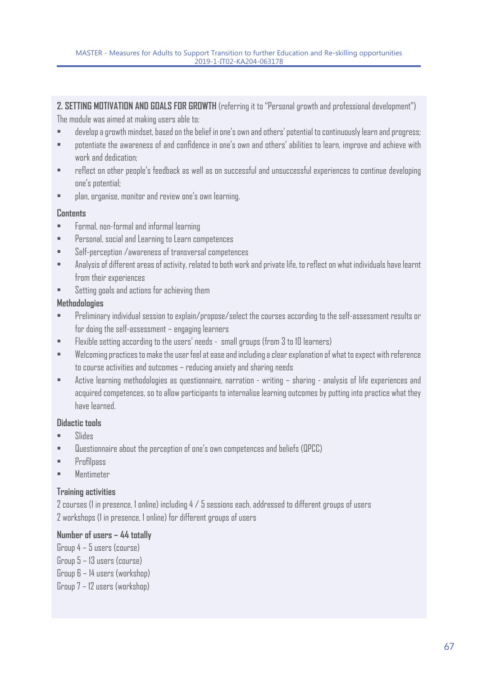**2. SETTING MOTIVATION AND GOALS FOR GROWTH** (referring it to "Personal growth and professional development")

The module was aimed at making users able to:

- develop a growth mindset, based on the belief in one's own and others' potential to continuously learn and progress;
- potentiate the awareness of and confidence in one's own and others' abilities to learn, improve and achieve with work and dedication;
- reflect on other people's feedback as well as on successful and unsuccessful experiences to continue developing one's potential;
- plan, organise, monitor and review one's own learning.

#### **Contents**

- Formal, non-formal and informal learning
- Personal, social and Learning to Learn competences
- Self-perception /awareness of transversal competences
- Analysis of different areas of activity, related to both work and private life, to reflect on what individuals have learnt from their experiences
- Setting goals and actions for achieving them

#### **Methodologies**

- Preliminary individual session to explain/propose/select the courses according to the self-assessment results or for doing the self-assessment – engaging learners
- Flexible setting according to the users' needs small groups (from 3 to 10 learners)
- Welcoming practices to make the user feel at ease and including a clear explanation of what to expect with reference to course activities and outcomes – reducing anxiety and sharing needs
- Active learning methodologies as questionnaire, narration writing sharing analysis of life experiences and acquired competences, so to allow participants to internalise learning outcomes by putting into practice what they have learned.

#### **Didactic tools**

- Slides
- Questionnaire about the perception of one's own competences and beliefs (QPCC)
- Profilpass
- Mentimeter

#### **Training activities**

2 courses (1 in presence, 1 online) including 4 / 5 sessions each, addressed to different groups of users 2 workshops (1 in presence, 1 online) for different groups of users

#### **Number of users – 44 totally**

Group 4 – 5 users (course) Group 5 – 13 users (course) Group 6 – 14 users (workshop) Group 7 – 12 users (workshop)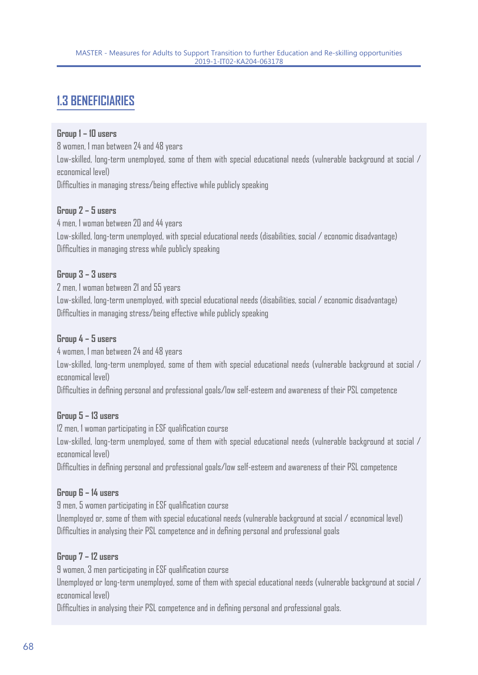### **1.3 BENEFICIARIES**

#### **Group 1 – 10 users**

8 women, 1 man between 24 and 48 years Low-skilled, long-term unemployed, some of them with special educational needs (vulnerable background at social / economical level) Difficulties in managing stress/being effective while publicly speaking

#### **Group 2 – 5 users**

4 men, 1 woman between 20 and 44 years Low-skilled, long-term unemployed, with special educational needs (disabilities, social / economic disadvantage) Difficulties in managing stress while publicly speaking

#### **Group 3 – 3 users**

2 men, 1 woman between 21 and 55 years

Low-skilled, long-term unemployed, with special educational needs (disabilities, social / economic disadvantage) Difficulties in managing stress/being effective while publicly speaking

#### **Group 4 – 5 users**

4 women, 1 man between 24 and 48 years Low-skilled, long-term unemployed, some of them with special educational needs (vulnerable background at social / economical level)

Difficulties in defining personal and professional goals/low self-esteem and awareness of their PSL competence

#### **Group 5 – 13 users**

12 men, 1 woman participating in ESF qualification course

Low-skilled, long-term unemployed, some of them with special educational needs (vulnerable background at social / economical level)

Difficulties in defining personal and professional goals/low self-esteem and awareness of their PSL competence

#### **Group 6 – 14 users**

9 men, 5 women participating in ESF qualification course

Unemployed or, some of them with special educational needs (vulnerable background at social / economical level) Difficulties in analysing their PSL competence and in defining personal and professional goals

#### **Group 7 – 12 users**

9 women, 3 men participating in ESF qualification course

Unemployed or long-term unemployed, some of them with special educational needs (vulnerable background at social / economical level)

Difficulties in analysing their PSL competence and in defining personal and professional goals.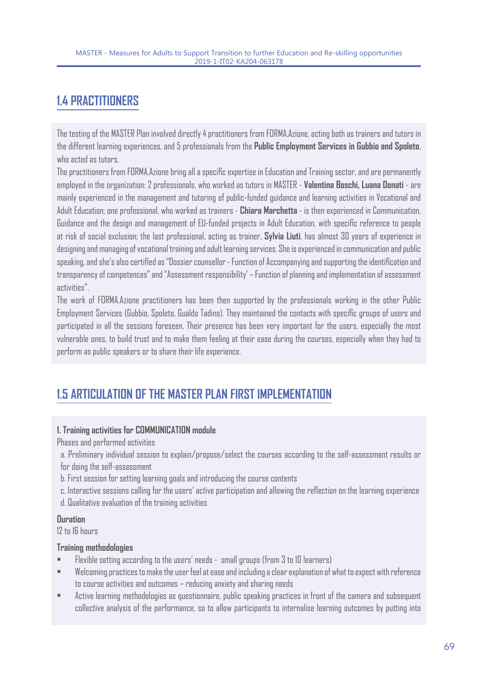### **1.4 PRACTITIONERS**

The testing of the MASTER Plan involved directly 4 practitioners from FORMA.Azione, acting both as trainers and tutors in the different learning experiences, and 5 professionals from the **Public Employment Services in Gubbio and Spoleto**, who acted as tutors.

The practitioners from FORMA.Azione bring all a specific expertise in Education and Training sector, and are permanently employed in the organization: 2 professionals, who worked as tutors in MASTER - **Valentina Boschi, Luana Donati** - are mainly experienced in the management and tutoring of public-funded guidance and learning activities in Vocational and Adult Education; one professional, who worked as trainers - **Chiara Marchetta** - is then experienced in Communication, Guidance and the design and management of EU-funded projects in Adult Education, with specific reference to people at risk of social exclusion; the last professional, acting as trainer, **Sylvia Liuti**, has almost 30 years of experience in designing and managing of vocational training and adult learning services. She is experienced in communication and public speaking, and she's also certified as "Dossier counsellor - Function of Accompanying and supporting the identification and transparency of competences" and "Assessment responsibility' – Function of planning and implementation of assessment activities".

The work of FORMA.Azione practitioners has been then supported by the professionals working in the other Public Employment Services (Gubbio, Spoleto, Gualdo Tadino). They maintained the contacts with specific groups of users and participated in all the sessions foreseen. Their presence has been very important for the users, especially the most vulnerable ones, to build trust and to make them feeling at their ease during the courses, especially when they had to perform as public speakers or to share their life experience.

### **1.5 ARTICULATION OF THE MASTER PLAN FIRST IMPLEMENTATION**

#### **1. Training activities for COMMUNICATION module**

Phases and performed activities

a. Preliminary individual session to explain/propose/select the courses according to the self-assessment results or for doing the self-assessment

b. First session for setting learning goals and introducing the course contents

c. Interactive sessions calling for the users' active participation and allowing the reflection on the learning experience

d. Qualitative evaluation of the training activities

#### **Duration**

12 to 16 hours

#### **Training methodologies**

- Flexible setting according to the users' needs small groups (from 3 to 10 learners)
- Welcoming practices to make the user feel at ease and including a clear explanation of what to expect with reference to course activities and outcomes – reducing anxiety and sharing needs
- Active learning methodologies as questionnaire, public speaking practices in front of the camera and subsequent collective analysis of the performance, so to allow participants to internalise learning outcomes by putting into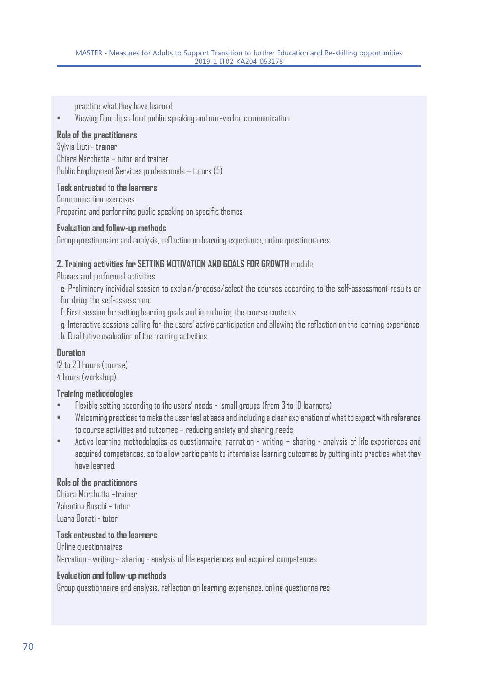practice what they have learned

• Viewing film clips about public speaking and non-verbal communication

#### **Role of the practitioners**

Sylvia Liuti - trainer Chiara Marchetta – tutor and trainer Public Employment Services professionals – tutors (5)

#### **Task entrusted to the learners**

Communication exercises Preparing and performing public speaking on specific themes

#### **Evaluation and follow-up methods**

Group questionnaire and analysis, reflection on learning experience, online questionnaires

#### **2. Training activities for SETTING MOTIVATION AND GOALS FOR GROWTH** module

Phases and performed activities

e. Preliminary individual session to explain/propose/select the courses according to the self-assessment results or for doing the self-assessment

f. First session for setting learning goals and introducing the course contents

g. Interactive sessions calling for the users' active participation and allowing the reflection on the learning experience

h. Qualitative evaluation of the training activities

#### **Duration**

12 to 20 hours (course) 4 hours (workshop)

#### **Training methodologies**

- Flexible setting according to the users' needs small groups (from 3 to 10 learners)
- Welcoming practices to make the user feel at ease and including a clear explanation of what to expect with reference to course activities and outcomes – reducing anxiety and sharing needs
- Active learning methodologies as questionnaire, narration writing sharing analysis of life experiences and acquired competences, so to allow participants to internalise learning outcomes by putting into practice what they have learned.

#### **Role of the practitioners**

Chiara Marchetta –trainer Valentina Boschi – tutor Luana Donati - tutor

#### **Task entrusted to the learners**

Online questionnaires Narration - writing – sharing - analysis of life experiences and acquired competences

#### **Evaluation and follow-up methods**

Group questionnaire and analysis, reflection on learning experience, online questionnaires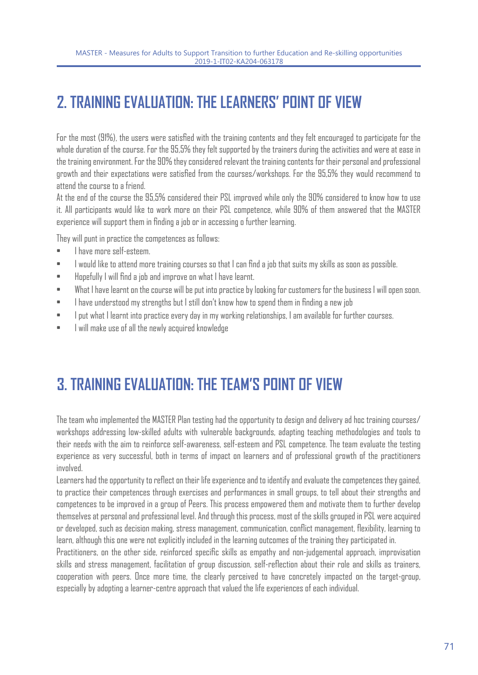### **2. TRAINING EVALUATION: THE LEARNERS' POINT OF VIEW**

For the most (91%), the users were satisfied with the training contents and they felt encouraged to participate for the whole duration of the course. For the 95,5% they felt supported by the trainers during the activities and were at ease in the training environment. For the 90% they considered relevant the training contents for their personal and professional growth and their expectations were satisfied from the courses/workshops. For the 95,5% they would recommend to attend the course to a friend.

At the end of the course the 95,5% considered their PSL improved while only the 90% considered to know how to use it. All participants would like to work more on their PSL competence, while 90% of them answered that the MASTER experience will support them in finding a job or in accessing o further learning.

They will punt in practice the competences as follows:

- **I have more self-esteem.**
- I would like to attend more training courses so that I can find a job that suits my skills as soon as possible.
- Hopefully I will find a job and improve on what I have learnt.
- What I have learnt on the course will be put into practice by looking for customers for the business I will open soon.
- I have understood my strengths but I still don't know how to spend them in finding a new job
- I put what I learnt into practice every day in my working relationships, I am available for further courses.
- I will make use of all the newly acquired knowledge

### **3. TRAINING EVALUATION: THE TEAM'S POINT OF VIEW**

The team who implemented the MASTER Plan testing had the opportunity to design and delivery ad hoc training courses/ workshops addressing low-skilled adults with vulnerable backgrounds, adapting teaching methodologies and tools to their needs with the aim to reinforce self-awareness, self-esteem and PSL competence. The team evaluate the testing experience as very successful, both in terms of impact on learners and of professional growth of the practitioners involved.

Learners had the opportunity to reflect on their life experience and to identify and evaluate the competences they gained, to practice their competences through exercises and performances in small groups, to tell about their strengths and competences to be improved in a group of Peers. This process empowered them and motivate them to further develop themselves at personal and professional level. And through this process, most of the skills grouped in PSL were acquired or developed, such as decision making, stress management, communication, conflict management, flexibility, learning to learn, although this one were not explicitly included in the learning outcomes of the training they participated in.

Practitioners, on the other side, reinforced specific skills as empathy and non-judgemental approach, improvisation skills and stress management, facilitation of group discussion, self-reflection about their role and skills as trainers, cooperation with peers. Once more time, the clearly perceived to have concretely impacted on the target-group, especially by adopting a learner-centre approach that valued the life experiences of each individual.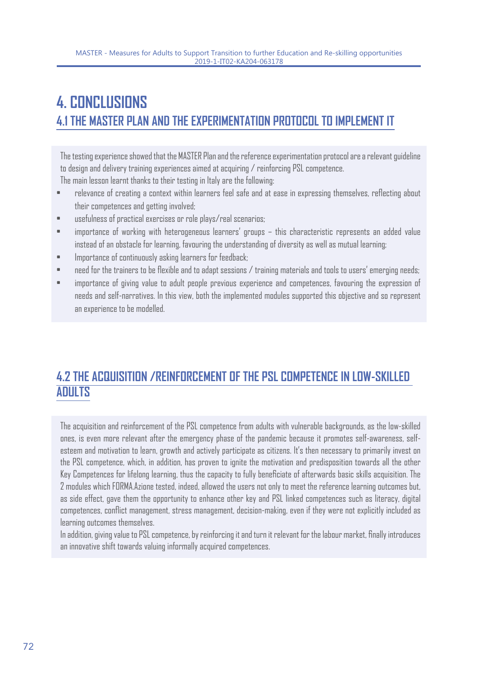### **4. CONCLUSIONS 4.1 THE MASTER PLAN AND THE EXPERIMENTATION PROTOCOL TO IMPLEMENT IT**

The testing experience showed that the MASTER Plan and the reference experimentation protocol are a relevant guideline to design and delivery training experiences aimed at acquiring / reinforcing PSL competence. The main lesson learnt thanks to their testing in Italy are the following:

- relevance of creating a context within learners feel safe and at ease in expressing themselves, reflecting about their competences and getting involved;
- usefulness of practical exercises or role plays/real scenarios;
- importance of working with heterogeneous learners' groups this characteristic represents an added value instead of an obstacle for learning, favouring the understanding of diversity as well as mutual learning;
- Importance of continuously asking learners for feedback;
- need for the trainers to be flexible and to adapt sessions / training materials and tools to users' emerging needs;
- importance of giving value to adult people previous experience and competences, favouring the expression of needs and self-narratives. In this view, both the implemented modules supported this objective and so represent an experience to be modelled.

### **4.2 THE ACQUISITION /REINFORCEMENT OF THE PSL COMPETENCE IN LOW-SKILLED ADULTS**

The acquisition and reinforcement of the PSL competence from adults with vulnerable backgrounds, as the low-skilled ones, is even more relevant after the emergency phase of the pandemic because it promotes self-awareness, selfesteem and motivation to learn, growth and actively participate as citizens. It's then necessary to primarily invest on the PSL competence, which, in addition, has proven to ignite the motivation and predisposition towards all the other Key Competences for lifelong learning, thus the capacity to fully beneficiate of afterwards basic skills acquisition. The 2 modules which FORMA.Azione tested, indeed, allowed the users not only to meet the reference learning outcomes but, as side effect, gave them the opportunity to enhance other key and PSL linked competences such as literacy, digital competences, conflict management, stress management, decision-making, even if they were not explicitly included as learning outcomes themselves.

In addition, giving value to PSL competence, by reinforcing it and turn it relevant for the labour market, finally introduces an innovative shift towards valuing informally acquired competences.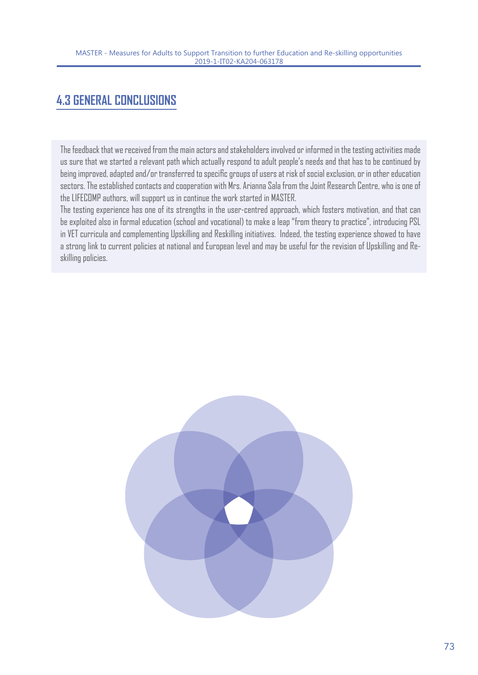# **4.3 GENERAL CONCLUSIONS**

The feedback that we received from the main actors and stakeholders involved or informed in the testing activities made us sure that we started a relevant path which actually respond to adult people's needs and that has to be continued by being improved, adapted and/or transferred to specific groups of users at risk of social exclusion, or in other education sectors. The established contacts and cooperation with Mrs. Arianna Sala from the Joint Research Centre, who is one of the LIFECOMP authors, will support us in continue the work started in MASTER.

The testing experience has one of its strengths in the user-centred approach, which fosters motivation, and that can be exploited also in formal education (school and vocational) to make a leap "from theory to practice", introducing PSL in VET curricula and complementing Upskilling and Reskilling initiatives. Indeed, the testing experience showed to have a strong link to current policies at national and European level and may be useful for the revision of Upskilling and Reskilling policies.

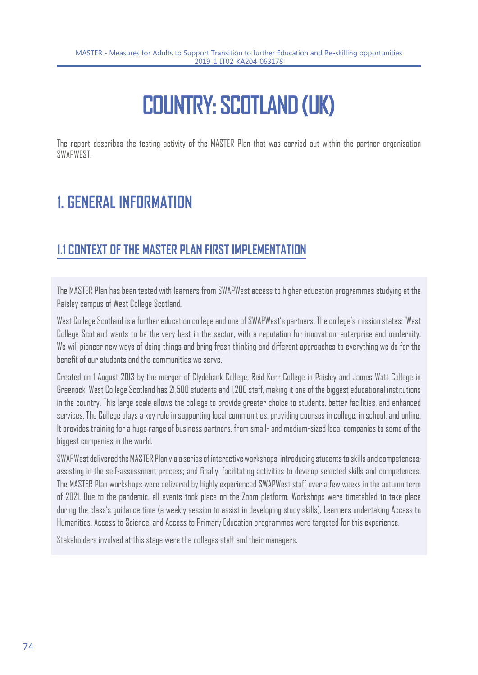# **COUNTRY: SCOTLAND (UK)**

The report describes the testing activity of the MASTER Plan that was carried out within the partner organisation **SWAPWEST** 

# **1. GENERAL INFORMATION**

### **1.1 CONTEXT OF THE MASTER PLAN FIRST IMPLEMENTATION**

The MASTER Plan has been tested with learners from SWAPWest access to higher education programmes studying at the Paisley campus of West College Scotland.

West College Scotland is a further education college and one of SWAPWest's partners. The college's mission states: 'West College Scotland wants to be the very best in the sector, with a reputation for innovation, enterprise and modernity. We will pioneer new ways of doing things and bring fresh thinking and different approaches to everything we do for the benefit of our students and the communities we serve.'

Created on 1 August 2013 by the merger of Clydebank College, Reid Kerr College in Paisley and James Watt College in Greenock, West College Scotland has 21,500 students and 1,200 staff, making it one of the biggest educational institutions in the country. This large scale allows the college to provide greater choice to students, better facilities, and enhanced services. The College plays a key role in supporting local communities, providing courses in college, in school, and online. It provides training for a huge range of business partners, from small- and medium-sized local companies to some of the biggest companies in the world.

SWAPWest delivered the MASTER Plan via a series of interactive workshops, introducing students to skills and competences; assisting in the self-assessment process; and finally, facilitating activities to develop selected skills and competences. The MASTER Plan workshops were delivered by highly experienced SWAPWest staff over a few weeks in the autumn term of 2021. Due to the pandemic, all events took place on the Zoom platform. Workshops were timetabled to take place during the class's guidance time (a weekly session to assist in developing study skills). Learners undertaking Access to Humanities, Access to Science, and Access to Primary Education programmes were targeted for this experience.

Stakeholders involved at this stage were the colleges staff and their managers.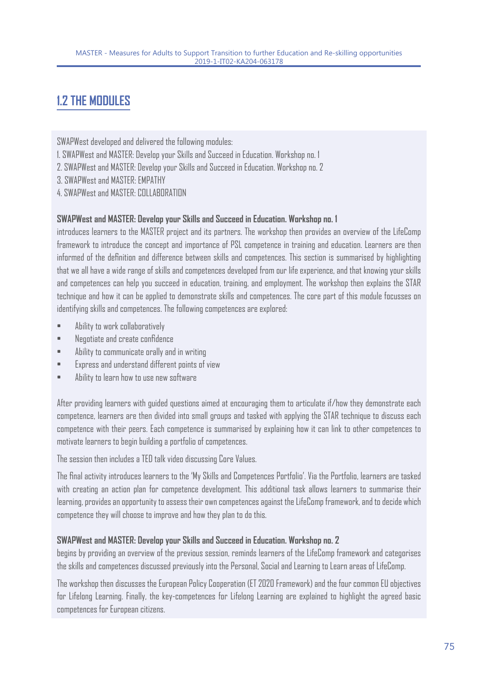# **1.2 THE MODULES**

SWAPWest developed and delivered the following modules:

- 1. SWAPWest and MASTER: Develop your Skills and Succeed in Education. Workshop no. 1
- 2. SWAPWest and MASTER: Develop your Skills and Succeed in Education. Workshop no. 2
- 3. SWAPWest and MASTER: EMPATHY
- 4. SWAPWest and MASTER: COLLABORATION

#### **SWAPWest and MASTER: Develop your Skills and Succeed in Education. Workshop no. 1**

introduces learners to the MASTER project and its partners. The workshop then provides an overview of the LifeComp framework to introduce the concept and importance of PSL competence in training and education. Learners are then informed of the definition and difference between skills and competences. This section is summarised by highlighting that we all have a wide range of skills and competences developed from our life experience, and that knowing your skills and competences can help you succeed in education, training, and employment. The workshop then explains the STAR technique and how it can be applied to demonstrate skills and competences. The core part of this module focusses on identifying skills and competences. The following competences are explored:

- Ability to work collaboratively
- Negotiate and create confidence
- Ability to communicate orally and in writing
- Express and understand different points of view
- Ability to learn how to use new software

After providing learners with guided questions aimed at encouraging them to articulate if/how they demonstrate each competence, learners are then divided into small groups and tasked with applying the STAR technique to discuss each competence with their peers. Each competence is summarised by explaining how it can link to other competences to motivate learners to begin building a portfolio of competences.

The session then includes a TED talk video discussing Core Values.

The final activity introduces learners to the 'My Skills and Competences Portfolio'. Via the Portfolio, learners are tasked with creating an action plan for competence development. This additional task allows learners to summarise their learning, provides an opportunity to assess their own competences against the LifeComp framework, and to decide which competence they will choose to improve and how they plan to do this.

#### **SWAPWest and MASTER: Develop your Skills and Succeed in Education. Workshop no. 2**

begins by providing an overview of the previous session, reminds learners of the LifeComp framework and categorises the skills and competences discussed previously into the Personal, Social and Learning to Learn areas of LifeComp.

The workshop then discusses the European Policy Cooperation (ET 2020 Framework) and the four common EU objectives for Lifelong Learning. Finally, the key-competences for Lifelong Learning are explained to highlight the agreed basic competences for European citizens.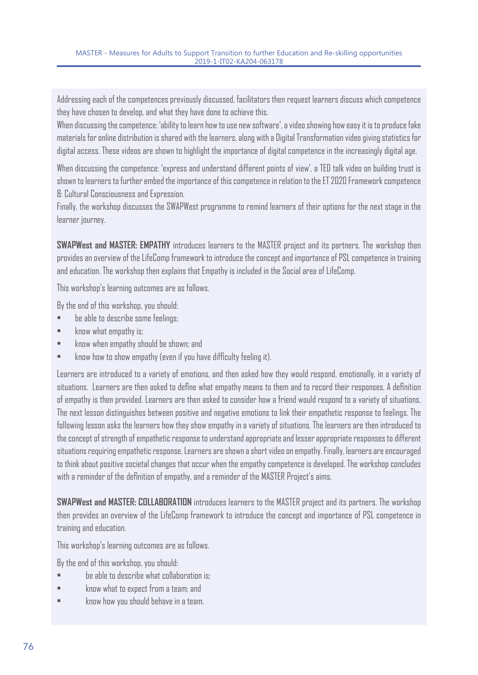Addressing each of the competences previously discussed, facilitators then request learners discuss which competence they have chosen to develop, and what they have done to achieve this.

When discussing the competence: 'ability to learn how to use new software', a video showing how easy it is to produce fake materials for online distribution is shared with the learners, along with a Digital Transformation video giving statistics for digital access. These videos are shown to highlight the importance of digital competence in the increasingly digital age.

When discussing the competence: 'express and understand different points of view', a TED talk video on building trust is shown to learners to further embed the importance of this competence in relation to the ET 2020 Framework competence 8: Cultural Consciousness and Expression.

Finally, the workshop discusses the SWAPWest programme to remind learners of their options for the next stage in the learner journey.

**SWAPWest and MASTER: EMPATHY** introduces learners to the MASTER project and its partners. The workshop then provides an overview of the LifeComp framework to introduce the concept and importance of PSL competence in training and education. The workshop then explains that Empathy is included in the Social area of LifeComp.

This workshop's learning outcomes are as follows.

By the end of this workshop, you should:

- be able to describe some feelings;
- know what empathy is;
- know when empathy should be shown; and
- know how to show empathy (even if you have difficulty feeling it).

Learners are introduced to a variety of emotions, and then asked how they would respond, emotionally, in a variety of situations. Learners are then asked to define what empathy means to them and to record their responses. A definition of empathy is then provided. Learners are then asked to consider how a friend would respond to a variety of situations. The next lesson distinguishes between positive and negative emotions to link their empathetic response to feelings. The following lesson asks the learners how they show empathy in a variety of situations. The learners are then introduced to the concept of strength of empathetic response to understand appropriate and lesser appropriate responses to different situations requiring empathetic response. Learners are shown a short video on empathy. Finally, learners are encouraged to think about positive societal changes that occur when the empathy competence is developed. The workshop concludes with a reminder of the definition of empathy, and a reminder of the MASTER Project's aims.

**SWAPWest and MASTER: COLLABORATION** introduces learners to the MASTER project and its partners. The workshop then provides an overview of the LifeComp framework to introduce the concept and importance of PSL competence in training and education.

This workshop's learning outcomes are as follows.

By the end of this workshop, you should:

- be able to describe what collaboration is;
- know what to expect from a team; and
- know how you should behave in a team.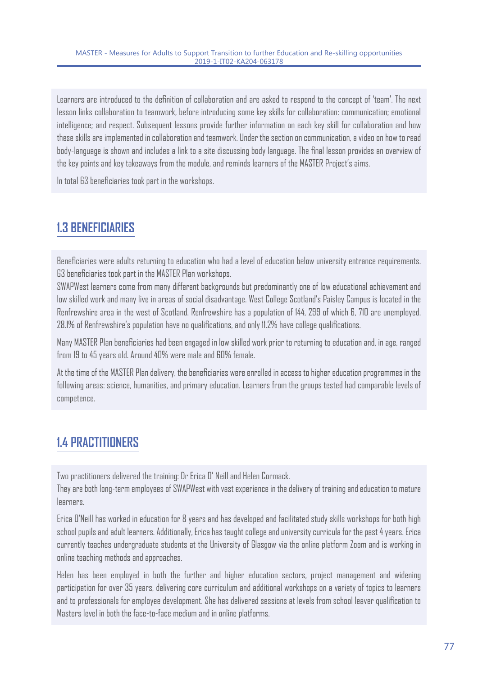Learners are introduced to the definition of collaboration and are asked to respond to the concept of 'team'. The next lesson links collaboration to teamwork, before introducing some key skills for collaboration: communication; emotional intelligence; and respect. Subsequent lessons provide further information on each key skill for collaboration and how these skills are implemented in collaboration and teamwork. Under the section on communication, a video on how to read body-language is shown and includes a link to a site discussing body language. The final lesson provides an overview of the key points and key takeaways from the module, and reminds learners of the MASTER Project's aims.

In total 63 beneficiaries took part in the workshops.

### **1.3 BENEFICIARIES**

Beneficiaries were adults returning to education who had a level of education below university entrance requirements. 63 beneficiaries took part in the MASTER Plan workshops.

SWAPWest learners come from many different backgrounds but predominantly one of low educational achievement and low skilled work and many live in areas of social disadvantage. West College Scotland's Paisley Campus is located in the Renfrewshire area in the west of Scotland. Renfrewshire has a population of 144, 299 of which 6, 710 are unemployed. 28.1% of Renfrewshire's population have no qualifications, and only 11.2% have college qualifications.

Many MASTER Plan beneficiaries had been engaged in low skilled work prior to returning to education and, in age, ranged from 19 to 45 years old. Around 40% were male and 60% female.

At the time of the MASTER Plan delivery, the beneficiaries were enrolled in access to higher education programmes in the following areas: science, humanities, and primary education. Learners from the groups tested had comparable levels of competence.

# **1.4 PRACTITIONERS**

Two practitioners delivered the training: Dr Erica O' Neill and Helen Cormack.

They are both long-term employees of SWAPWest with vast experience in the delivery of training and education to mature learners.

Erica O'Neill has worked in education for 8 years and has developed and facilitated study skills workshops for both high school pupils and adult learners. Additionally, Erica has taught college and university curricula for the past 4 years. Erica currently teaches undergraduate students at the University of Glasgow via the online platform Zoom and is working in online teaching methods and approaches.

Helen has been employed in both the further and higher education sectors, project management and widening participation for over 35 years, delivering core curriculum and additional workshops on a variety of topics to learners and to professionals for employee development. She has delivered sessions at levels from school leaver qualification to Masters level in both the face-to-face medium and in online platforms.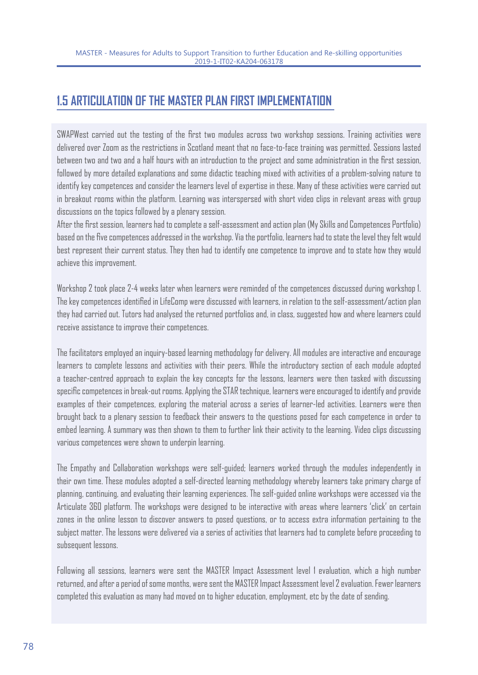### **1.5 ARTICULATION OF THE MASTER PLAN FIRST IMPLEMENTATION**

SWAPWest carried out the testing of the first two modules across two workshop sessions. Training activities were delivered over Zoom as the restrictions in Scotland meant that no face-to-face training was permitted. Sessions lasted between two and two and a half hours with an introduction to the project and some administration in the first session, followed by more detailed explanations and some didactic teaching mixed with activities of a problem-solving nature to identify key competences and consider the learners level of expertise in these. Many of these activities were carried out in breakout rooms within the platform. Learning was interspersed with short video clips in relevant areas with group discussions on the topics followed by a plenary session.

After the first session, learners had to complete a self-assessment and action plan (My Skills and Competences Portfolio) based on the five competences addressed in the workshop. Via the portfolio, learners had to state the level they felt would best represent their current status. They then had to identify one competence to improve and to state how they would achieve this improvement.

Workshop 2 took place 2-4 weeks later when learners were reminded of the competences discussed during workshop 1. The key competences identified in LifeComp were discussed with learners, in relation to the self-assessment/action plan they had carried out. Tutors had analysed the returned portfolios and, in class, suggested how and where learners could receive assistance to improve their competences.

The facilitators employed an inquiry-based learning methodology for delivery. All modules are interactive and encourage learners to complete lessons and activities with their peers. While the introductory section of each module adopted a teacher-centred approach to explain the key concepts for the lessons, learners were then tasked with discussing specific competences in break-out rooms. Applying the STAR technique, learners were encouraged to identify and provide examples of their competences, exploring the material across a series of learner-led activities. Learners were then brought back to a plenary session to feedback their answers to the questions posed for each competence in order to embed learning. A summary was then shown to them to further link their activity to the learning. Video clips discussing various competences were shown to underpin learning.

The Empathy and Collaboration workshops were self-guided; learners worked through the modules independently in their own time. These modules adopted a self-directed learning methodology whereby learners take primary charge of planning, continuing, and evaluating their learning experiences. The self-guided online workshops were accessed via the Articulate 360 platform. The workshops were designed to be interactive with areas where learners 'click' on certain zones in the online lesson to discover answers to posed questions, or to access extra information pertaining to the subject matter. The lessons were delivered via a series of activities that learners had to complete before proceeding to subsequent lessons.

Following all sessions, learners were sent the MASTER Impact Assessment level 1 evaluation, which a high number returned, and after a period of some months, were sent the MASTER Impact Assessment level 2 evaluation. Fewer learners completed this evaluation as many had moved on to higher education, employment, etc by the date of sending.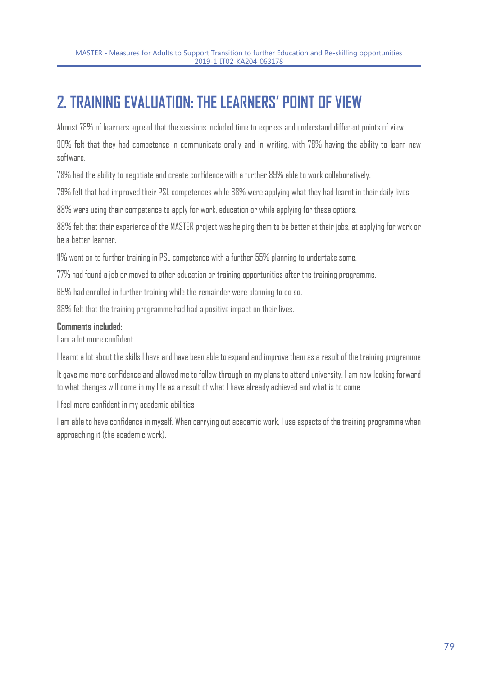# **2. TRAINING EVALUATION: THE LEARNERS' POINT OF VIEW**

Almost 78% of learners agreed that the sessions included time to express and understand different points of view.

90% felt that they had competence in communicate orally and in writing, with 78% having the ability to learn new software.

78% had the ability to negotiate and create confidence with a further 89% able to work collaboratively.

79% felt that had improved their PSL competences while 88% were applying what they had learnt in their daily lives.

88% were using their competence to apply for work, education or while applying for these options.

88% felt that their experience of the MASTER project was helping them to be better at their jobs, at applying for work or be a better learner.

11% went on to further training in PSL competence with a further 55% planning to undertake some.

77% had found a job or moved to other education or training opportunities after the training programme.

66% had enrolled in further training while the remainder were planning to do so.

88% felt that the training programme had had a positive impact on their lives.

#### **Comments included:**

I am a lot more confident

I learnt a lot about the skills I have and have been able to expand and improve them as a result of the training programme

It gave me more confidence and allowed me to follow through on my plans to attend university. I am now looking forward to what changes will come in my life as a result of what I have already achieved and what is to come

I feel more confident in my academic abilities

I am able to have confidence in myself. When carrying out academic work, I use aspects of the training programme when approaching it (the academic work).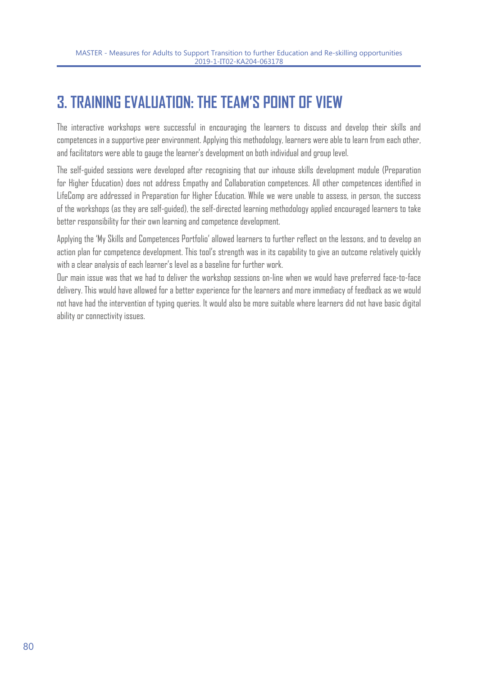# **3. TRAINING EVALUATION: THE TEAM'S POINT OF VIEW**

The interactive workshops were successful in encouraging the learners to discuss and develop their skills and competences in a supportive peer environment. Applying this methodology, learners were able to learn from each other, and facilitators were able to gauge the learner's development on both individual and group level.

The self-guided sessions were developed after recognising that our inhouse skills development module (Preparation for Higher Education) does not address Empathy and Collaboration competences. All other competences identified in LifeComp are addressed in Preparation for Higher Education. While we were unable to assess, in person, the success of the workshops (as they are self-guided), the self-directed learning methodology applied encouraged learners to take better responsibility for their own learning and competence development.

Applying the 'My Skills and Competences Portfolio' allowed learners to further reflect on the lessons, and to develop an action plan for competence development. This tool's strength was in its capability to give an outcome relatively quickly with a clear analysis of each learner's level as a baseline for further work.

Our main issue was that we had to deliver the workshop sessions on-line when we would have preferred face-to-face delivery. This would have allowed for a better experience for the learners and more immediacy of feedback as we would not have had the intervention of typing queries. It would also be more suitable where learners did not have basic digital ability or connectivity issues.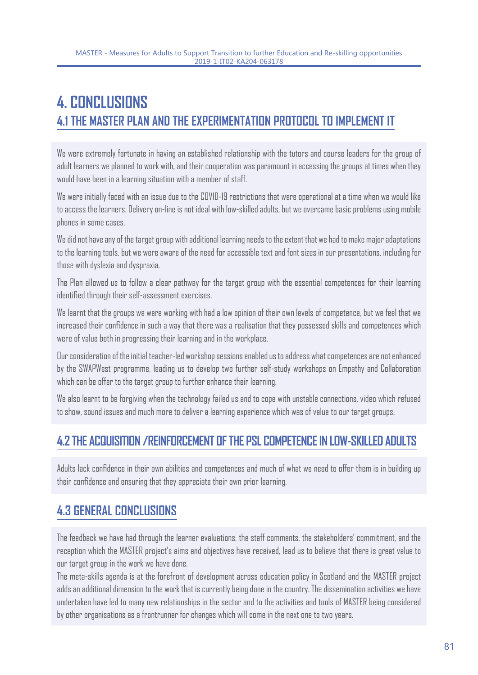# **4. CONCLUSIONS 4.1 THE MASTER PLAN AND THE EXPERIMENTATION PROTOCOL TO IMPLEMENT IT**

We were extremely fortunate in having an established relationship with the tutors and course leaders for the group of adult learners we planned to work with, and their cooperation was paramount in accessing the groups at times when they would have been in a learning situation with a member of staff.

We were initially faced with an issue due to the COVID-19 restrictions that were operational at a time when we would like to access the learners. Delivery on-line is not ideal with low-skilled adults, but we overcame basic problems using mobile phones in some cases.

We did not have any of the target group with additional learning needs to the extent that we had to make major adaptations to the learning tools, but we were aware of the need for accessible text and font sizes in our presentations, including for those with dyslexia and dyspraxia.

The Plan allowed us to follow a clear pathway for the target group with the essential competences for their learning identified through their self-assessment exercises.

We learnt that the groups we were working with had a low opinion of their own levels of competence, but we feel that we increased their confidence in such a way that there was a realisation that they possessed skills and competences which were of value both in progressing their learning and in the workplace.

Our consideration of the initial teacher-led workshop sessions enabled us to address what competences are not enhanced by the SWAPWest programme, leading us to develop two further self-study workshops on Empathy and Collaboration which can be offer to the target group to further enhance their learning.

We also learnt to be forgiving when the technology failed us and to cope with unstable connections, video which refused to show, sound issues and much more to deliver a learning experience which was of value to our target groups.

### **4.2 THE ACQUISITION /REINFORCEMENT OF THE PSL COMPETENCE IN LOW-SKILLED ADULTS**

Adults lack confidence in their own abilities and competences and much of what we need to offer them is in building up their confidence and ensuring that they appreciate their own prior learning.

# **4.3 GENERAL CONCLUSIONS**

The feedback we have had through the learner evaluations, the staff comments, the stakeholders' commitment, and the reception which the MASTER project's aims and objectives have received, lead us to believe that there is great value to our target group in the work we have done.

The meta-skills agenda is at the forefront of development across education policy in Scotland and the MASTER project adds an additional dimension to the work that is currently being done in the country. The dissemination activities we have undertaken have led to many new relationships in the sector and to the activities and tools of MASTER being considered by other organisations as a frontrunner for changes which will come in the next one to two years.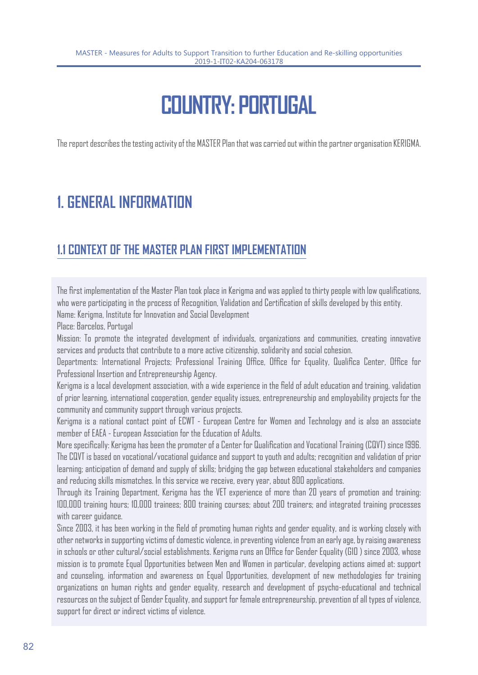# **COUNTRY: PORTUGAL**

The report describes the testing activity of the MASTER Plan that was carried out within the partner organisation KERIGMA.

# **1. GENERAL INFORMATION**

### **1.1 CONTEXT OF THE MASTER PLAN FIRST IMPLEMENTATION**

The first implementation of the Master Plan took place in Kerigma and was applied to thirty people with low qualifications, who were participating in the process of Recognition, Validation and Certification of skills developed by this entity.

Name: Kerigma, Institute for Innovation and Social Development

Place: Barcelos, Portugal

Mission: To promote the integrated development of individuals, organizations and communities, creating innovative services and products that contribute to a more active citizenship, solidarity and social cohesion.

Departments: International Projects; Professional Training Office, Office for Equality, Qualifica Center, Office for Professional Insertion and Entrepreneurship Agency.

Kerigma is a local development association, with a wide experience in the field of adult education and training, validation of prior learning, international cooperation, gender equality issues, entrepreneurship and employability projects for the community and community support through various projects.

Kerigma is a national contact point of ECWT - European Centre for Women and Technology and is also an associate member of EAEA - European Association for the Education of Adults.

More specifically: Kerigma has been the promoter of a Center for Qualification and Vocational Training (CQVT) since 1996. The CQVT is based on vocational/vocational guidance and support to youth and adults; recognition and validation of prior learning; anticipation of demand and supply of skills; bridging the gap between educational stakeholders and companies and reducing skills mismatches. In this service we receive, every year, about 800 applications.

Through its Training Department, Kerigma has the VET experience of more than 20 years of promotion and training: 100,000 training hours; 10,000 trainees; 800 training courses; about 200 trainers; and integrated training processes with career quidance.

Since 2003, it has been working in the field of promoting human rights and gender equality, and is working closely with other networks in supporting victims of domestic violence, in preventing violence from an early age, by raising awareness in schools or other cultural/social establishments. Kerigma runs an Office for Gender Equality (GIO ) since 2003, whose mission is to promote Equal Opportunities between Men and Women in particular, developing actions aimed at: support and counseling, information and awareness on Equal Opportunities, development of new methodologies for training organizations on human rights and gender equality, research and development of psycho-educational and technical resources on the subject of Gender Equality, and support for female entrepreneurship, prevention of all types of violence, support for direct or indirect victims of violence.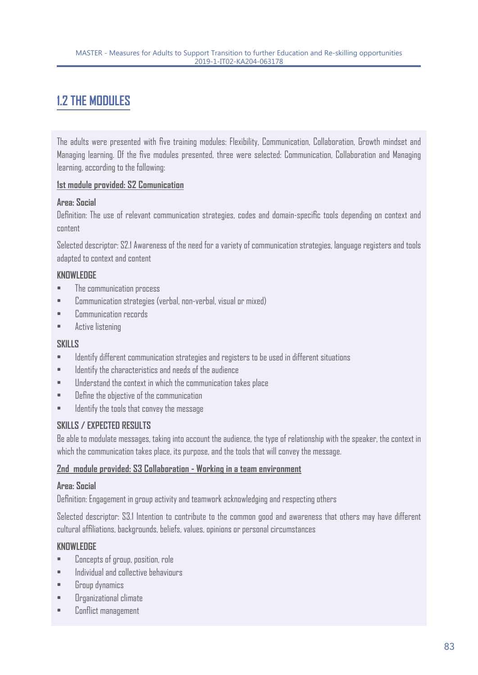# **1.2 THE MODULES**

The adults were presented with five training modules: Flexibility, Communication, Collaboration, Growth mindset and Managing learning. Of the five modules presented, three were selected: Communication, Collaboration and Managing learning, according to the following:

#### **1st module provided: S2 Comunication**

#### **Area: Social**

Definition: The use of relevant communication strategies, codes and domain-specific tools depending on context and content

Selected descriptor: S2.1 Awareness of the need for a variety of communication strategies, language registers and tools adapted to context and content

#### **KNOWLEDGE**

- The communication process
- Communication strategies (verbal, non-verbal, visual or mixed)
- Communication records
- Active listening

#### **SKILLS**

- Identify different communication strategies and registers to be used in different situations
- Identify the characteristics and needs of the audience
- Understand the context in which the communication takes place
- Define the objective of the communication
- Identify the tools that convey the message

#### **SKILLS / EXPECTED RESULTS**

Be able to modulate messages, taking into account the audience, the type of relationship with the speaker, the context in which the communication takes place, its purpose, and the tools that will convey the message.

#### **2nd module provided: S3 Collaboration - Working in a team environment**

#### **Area: Social**

Definition: Engagement in group activity and teamwork acknowledging and respecting others

Selected descriptor: S3.1 Intention to contribute to the common good and awareness that others may have different cultural affiliations, backgrounds, beliefs, values, opinions or personal circumstances

#### **KNOWLEDGE**

- Concepts of group, position, role
- Individual and collective behaviours
- Group dynamics
- Organizational climate
- Conflict management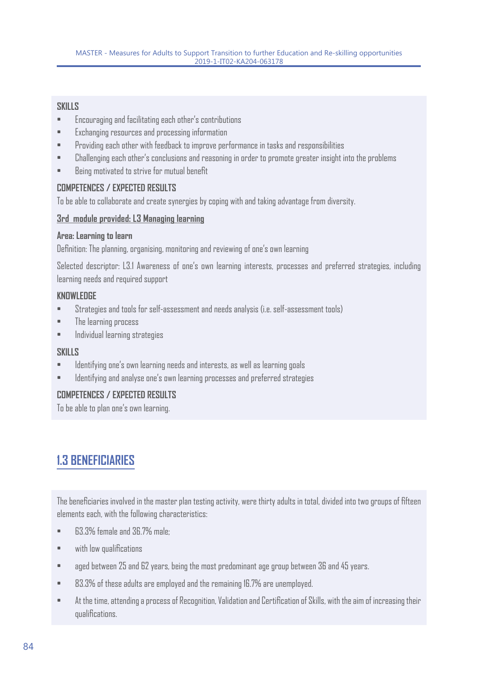#### **SKILLS**

- Encouraging and facilitating each other's contributions
- Exchanging resources and processing information
- Providing each other with feedback to improve performance in tasks and responsibilities
- Challenging each other's conclusions and reasoning in order to promote greater insight into the problems
- Being motivated to strive for mutual benefit

#### **COMPETENCES / EXPECTED RESULTS**

To be able to collaborate and create synergies by coping with and taking advantage from diversity.

#### **3rd module provided: L3 Managing learning**

#### **Area: Learning to learn**

Definition: The planning, organising, monitoring and reviewing of one's own learning

Selected descriptor: L3.1 Awareness of one's own learning interests, processes and preferred strategies, including learning needs and required support

#### **KNOWLEDGE**

- Strategies and tools for self-assessment and needs analysis (i.e. self-assessment tools)
- The learning process
- Individual learning strategies

#### **SKILLS**

- Identifying one's own learning needs and interests, as well as learning goals
- Identifying and analyse one's own learning processes and preferred strategies

#### **COMPETENCES / EXPECTED RESULTS**

To be able to plan one's own learning.

### **1.3 BENEFICIARIES**

The beneficiaries involved in the master plan testing activity, were thirty adults in total, divided into two groups of fifteen elements each, with the following characteristics:

- 63.3% female and 36.7% male:
- with low qualifications
- aged between 25 and 62 years, being the most predominant age group between 36 and 45 years.
- 83.3% of these adults are employed and the remaining 16.7% are unemployed.
- At the time, attending a process of Recognition, Validation and Certification of Skills, with the aim of increasing their qualifications.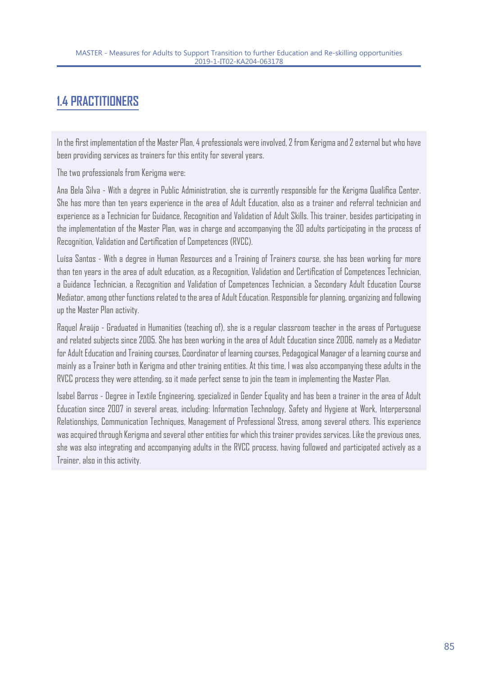# **1.4 PRACTITIONERS**

In the first implementation of the Master Plan, 4 professionals were involved, 2 from Kerigma and 2 external but who have been providing services as trainers for this entity for several years.

The two professionals from Kerigma were:

Ana Bela Silva - With a degree in Public Administration, she is currently responsible for the Kerigma Qualifica Center. She has more than ten years experience in the area of Adult Education, also as a trainer and referral technician and experience as a Technician for Guidance, Recognition and Validation of Adult Skills. This trainer, besides participating in the implementation of the Master Plan, was in charge and accompanying the 30 adults participating in the process of Recognition, Validation and Certification of Competences (RVCC).

Luísa Santos - With a degree in Human Resources and a Training of Trainers course, she has been working for more than ten years in the area of adult education, as a Recognition, Validation and Certification of Competences Technician, a Guidance Technician, a Recognition and Validation of Competences Technician, a Secondary Adult Education Course Mediator, among other functions related to the area of Adult Education. Responsible for planning, organizing and following up the Master Plan activity.

Raquel Araújo - Graduated in Humanities (teaching of), she is a regular classroom teacher in the areas of Portuguese and related subjects since 2005. She has been working in the area of Adult Education since 2006, namely as a Mediator for Adult Education and Training courses, Coordinator of learning courses, Pedagogical Manager of a learning course and mainly as a Trainer both in Kerigma and other training entities. At this time, I was also accompanying these adults in the RVCC process they were attending, so it made perfect sense to join the team in implementing the Master Plan.

Isabel Barros - Degree in Textile Engineering, specialized in Gender Equality and has been a trainer in the area of Adult Education since 2007 in several areas, including: Information Technology, Safety and Hygiene at Work, Interpersonal Relationships, Communication Techniques, Management of Professional Stress, among several others. This experience was acquired through Kerigma and several other entities for which this trainer provides services. Like the previous ones, she was also integrating and accompanying adults in the RVCC process, having followed and participated actively as a Trainer, also in this activity.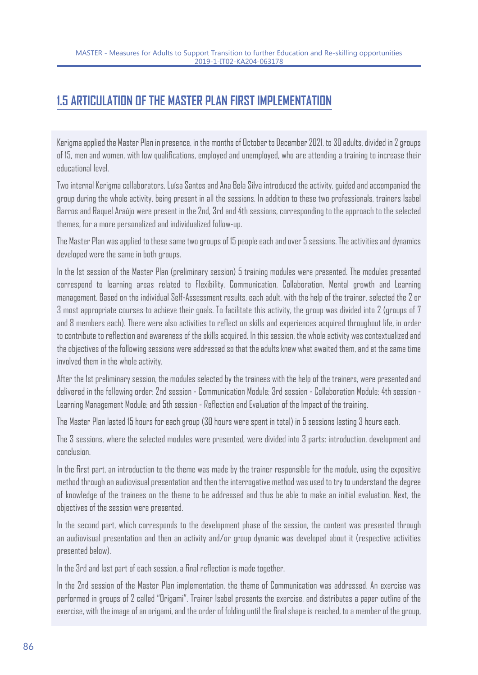### **1.5 ARTICULATION OF THE MASTER PLAN FIRST IMPLEMENTATION**

Kerigma applied the Master Plan in presence, in the months of October to December 2021, to 30 adults, divided in 2 groups of 15, men and women, with low qualifications, employed and unemployed, who are attending a training to increase their educational level.

Two internal Kerigma collaborators, Luísa Santos and Ana Bela Silva introduced the activity, guided and accompanied the group during the whole activity, being present in all the sessions. In addition to these two professionals, trainers Isabel Barros and Raquel Araújo were present in the 2nd, 3rd and 4th sessions, corresponding to the approach to the selected themes, for a more personalized and individualized follow-up.

The Master Plan was applied to these same two groups of 15 people each and over 5 sessions. The activities and dynamics developed were the same in both groups.

In the 1st session of the Master Plan (preliminary session) 5 training modules were presented. The modules presented correspond to learning areas related to Flexibility, Communication, Collaboration, Mental growth and Learning management. Based on the individual Self-Assessment results, each adult, with the help of the trainer, selected the 2 or 3 most appropriate courses to achieve their goals. To facilitate this activity, the group was divided into 2 (groups of 7 and 8 members each). There were also activities to reflect on skills and experiences acquired throughout life, in order to contribute to reflection and awareness of the skills acquired. In this session, the whole activity was contextualized and the objectives of the following sessions were addressed so that the adults knew what awaited them, and at the same time involved them in the whole activity.

After the 1st preliminary session, the modules selected by the trainees with the help of the trainers, were presented and delivered in the following order: 2nd session - Communication Module; 3rd session - Collaboration Module; 4th session - Learning Management Module; and 5th session - Reflection and Evaluation of the Impact of the training.

The Master Plan lasted 15 hours for each group (30 hours were spent in total) in 5 sessions lasting 3 hours each.

The 3 sessions, where the selected modules were presented, were divided into 3 parts: introduction, development and conclusion.

In the first part, an introduction to the theme was made by the trainer responsible for the module, using the expositive method through an audiovisual presentation and then the interrogative method was used to try to understand the degree of knowledge of the trainees on the theme to be addressed and thus be able to make an initial evaluation. Next, the objectives of the session were presented.

In the second part, which corresponds to the development phase of the session, the content was presented through an audiovisual presentation and then an activity and/or group dynamic was developed about it (respective activities presented below).

In the 3rd and last part of each session, a final reflection is made together.

In the 2nd session of the Master Plan implementation, the theme of Communication was addressed. An exercise was performed in groups of 2 called "Origami". Trainer Isabel presents the exercise, and distributes a paper outline of the exercise, with the image of an origami, and the order of folding until the final shape is reached, to a member of the group,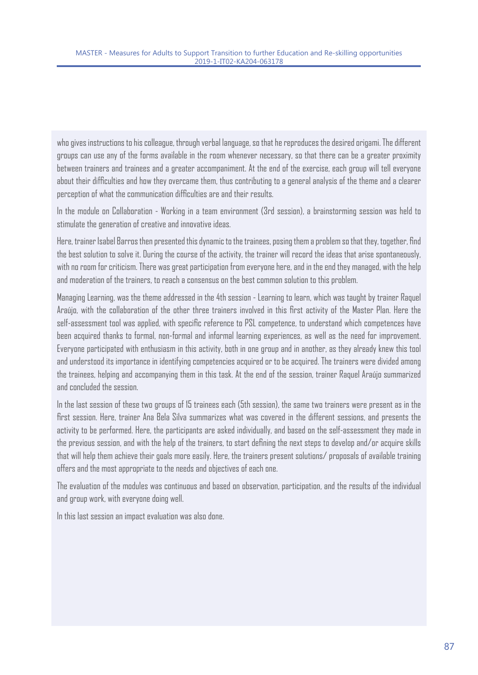who gives instructions to his colleague, through verbal language, so that he reproduces the desired origami. The different groups can use any of the forms available in the room whenever necessary, so that there can be a greater proximity between trainers and trainees and a greater accompaniment. At the end of the exercise, each group will tell everyone about their difficulties and how they overcame them, thus contributing to a general analysis of the theme and a clearer perception of what the communication difficulties are and their results.

In the module on Collaboration - Working in a team environment (3rd session), a brainstorming session was held to stimulate the generation of creative and innovative ideas.

Here, trainer Isabel Barros then presented this dynamic to the trainees, posing them a problem so that they, together, find the best solution to solve it. During the course of the activity, the trainer will record the ideas that arise spontaneously, with no room for criticism. There was great participation from everyone here, and in the end they managed, with the help and moderation of the trainers, to reach a consensus on the best common solution to this problem.

Managing Learning, was the theme addressed in the 4th session - Learning to learn, which was taught by trainer Raquel Araújo, with the collaboration of the other three trainers involved in this first activity of the Master Plan. Here the self-assessment tool was applied, with specific reference to PSL competence, to understand which competences have been acquired thanks to formal, non-formal and informal learning experiences, as well as the need for improvement. Everyone participated with enthusiasm in this activity, both in one group and in another, as they already knew this tool and understood its importance in identifying competencies acquired or to be acquired. The trainers were divided among the trainees, helping and accompanying them in this task. At the end of the session, trainer Raquel Araújo summarized and concluded the session.

In the last session of these two groups of 15 trainees each (5th session), the same two trainers were present as in the first session. Here, trainer Ana Bela Silva summarizes what was covered in the different sessions, and presents the activity to be performed. Here, the participants are asked individually, and based on the self-assessment they made in the previous session, and with the help of the trainers, to start defining the next steps to develop and/or acquire skills that will help them achieve their goals more easily. Here, the trainers present solutions/ proposals of available training offers and the most appropriate to the needs and objectives of each one.

The evaluation of the modules was continuous and based on observation, participation, and the results of the individual and group work, with everyone doing well.

In this last session an impact evaluation was also done.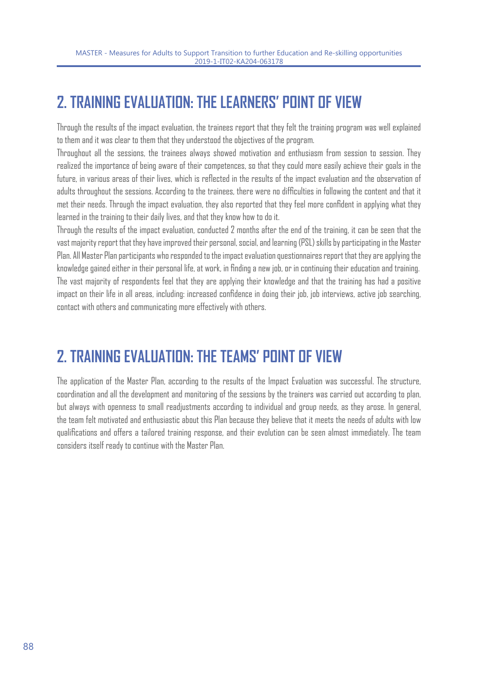# **2. TRAINING EVALUATION: THE LEARNERS' POINT OF VIEW**

Through the results of the impact evaluation, the trainees report that they felt the training program was well explained to them and it was clear to them that they understood the objectives of the program.

Throughout all the sessions, the trainees always showed motivation and enthusiasm from session to session. They realized the importance of being aware of their competences, so that they could more easily achieve their goals in the future, in various areas of their lives, which is reflected in the results of the impact evaluation and the observation of adults throughout the sessions. According to the trainees, there were no difficulties in following the content and that it met their needs. Through the impact evaluation, they also reported that they feel more confident in applying what they learned in the training to their daily lives, and that they know how to do it.

Through the results of the impact evaluation, conducted 2 months after the end of the training, it can be seen that the vast majority report that they have improved their personal, social, and learning (PSL) skills by participating in the Master Plan. All Master Plan participants who responded to the impact evaluation questionnaires report that they are applying the knowledge gained either in their personal life, at work, in finding a new job, or in continuing their education and training. The vast majority of respondents feel that they are applying their knowledge and that the training has had a positive impact on their life in all areas, including: increased confidence in doing their job, job interviews, active job searching, contact with others and communicating more effectively with others.

# **2. TRAINING EVALUATION: THE TEAMS' POINT OF VIEW**

The application of the Master Plan, according to the results of the Impact Evaluation was successful. The structure, coordination and all the development and monitoring of the sessions by the trainers was carried out according to plan, but always with openness to small readjustments according to individual and group needs, as they arose. In general, the team felt motivated and enthusiastic about this Plan because they believe that it meets the needs of adults with low qualifications and offers a tailored training response, and their evolution can be seen almost immediately. The team considers itself ready to continue with the Master Plan.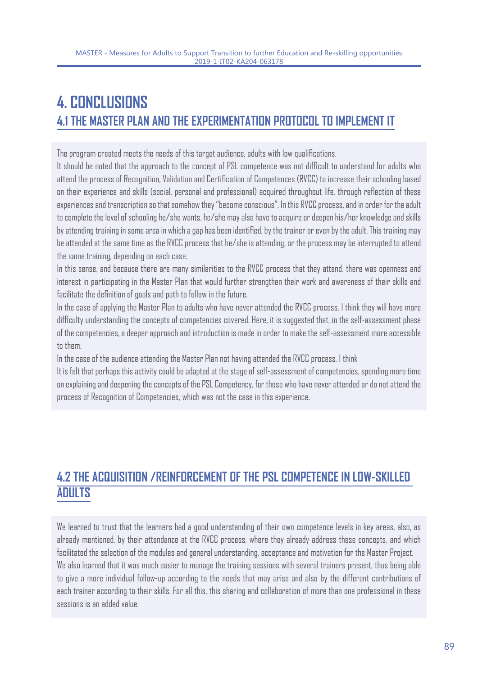# **4. CONCLUSIONS 4.1 THE MASTER PLAN AND THE EXPERIMENTATION PROTOCOL TO IMPLEMENT IT**

The program created meets the needs of this target audience, adults with low qualifications.

It should be noted that the approach to the concept of PSL competence was not difficult to understand for adults who attend the process of Recognition, Validation and Certification of Competences (RVCC) to increase their schooling based on their experience and skills (social, personal and professional) acquired throughout life, through reflection of these experiences and transcription so that somehow they "become conscious". In this RVCC process, and in order for the adult to complete the level of schooling he/she wants, he/she may also have to acquire or deepen his/her knowledge and skills by attending training in some area in which a gap has been identified, by the trainer or even by the adult. This training may be attended at the same time as the RVCC process that he/she is attending, or the process may be interrupted to attend the same training, depending on each case.

In this sense, and because there are many similarities to the RVCC process that they attend, there was openness and interest in participating in the Master Plan that would further strengthen their work and awareness of their skills and facilitate the definition of goals and path to follow in the future.

In the case of applying the Master Plan to adults who have never attended the RVCC process, I think they will have more difficulty understanding the concepts of competencies covered. Here, it is suggested that, in the self-assessment phase of the competencies, a deeper approach and introduction is made in order to make the self-assessment more accessible to them.

In the case of the audience attending the Master Plan not having attended the RVCC process, I think

It is felt that perhaps this activity could be adapted at the stage of self-assessment of competencies, spending more time on explaining and deepening the concepts of the PSL Competency, for those who have never attended or do not attend the process of Recognition of Competencies, which was not the case in this experience.

# **4.2 THE ACQUISITION /REINFORCEMENT OF THE PSL COMPETENCE IN LOW-SKILLED ADULTS**

We learned to trust that the learners had a good understanding of their own competence levels in key areas, also, as already mentioned, by their attendance at the RVCC process, where they already address these concepts, and which facilitated the selection of the modules and general understanding, acceptance and motivation for the Master Project. We also learned that it was much easier to manage the training sessions with several trainers present, thus being able to give a more individual follow-up according to the needs that may arise and also by the different contributions of each trainer according to their skills. For all this, this sharing and collaboration of more than one professional in these sessions is an added value.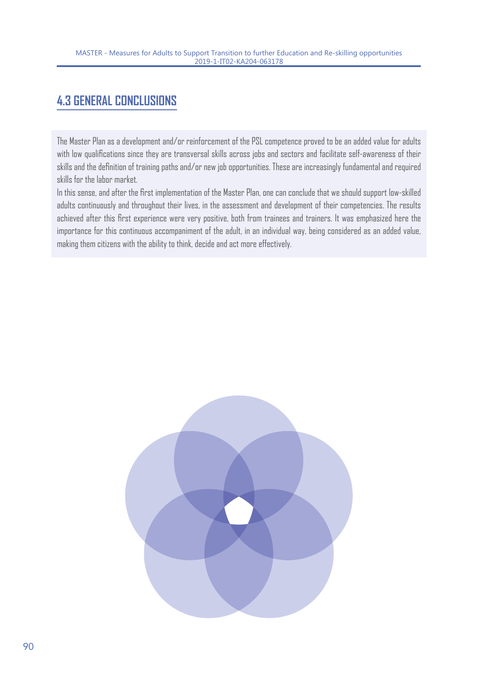# **4.3 GENERAL CONCLUSIONS**

The Master Plan as a development and/or reinforcement of the PSL competence proved to be an added value for adults with low qualifications since they are transversal skills across jobs and sectors and facilitate self-awareness of their skills and the definition of training paths and/or new job opportunities. These are increasingly fundamental and required skills for the labor market.

In this sense, and after the first implementation of the Master Plan, one can conclude that we should support low-skilled adults continuously and throughout their lives, in the assessment and development of their competencies. The results achieved after this first experience were very positive, both from trainees and trainers. It was emphasized here the importance for this continuous accompaniment of the adult, in an individual way, being considered as an added value, making them citizens with the ability to think, decide and act more effectively.

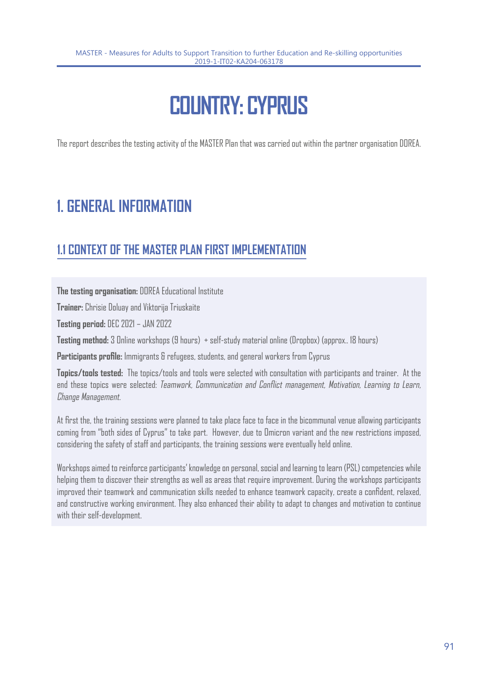# **COUNTRY: CYPRUS**

The report describes the testing activity of the MASTER Plan that was carried out within the partner organisation DOREA.

# **1. GENERAL INFORMATION**

# **1.1 CONTEXT OF THE MASTER PLAN FIRST IMPLEMENTATION**

**The testing organisation:** DOREA Educational Institute

**Trainer:** Chrisie Doluay and Viktorija Triuskaite

**Testing period:** DEC 2021 – JAN 2022

**Testing method:** 3 Online workshops (9 hours) + self-study material online (Dropbox) (approx.. 18 hours)

**Participants profile:** Immigrants & refugees, students, and general workers from Cyprus

**Topics/tools tested:** The topics/tools and tools were selected with consultation with participants and trainer. At the end these topics were selected: Teamwork, Communication and Conflict management, Motivation, Learning to Learn, Change Management.

At first the, the training sessions were planned to take place face to face in the bicommunal venue allowing participants coming from "both sides of Cyprus" to take part. However, due to Omicron variant and the new restrictions imposed, considering the safety of staff and participants, the training sessions were eventually held online.

Workshops aimed to reinforce participants' knowledge on personal, social and learning to learn (PSL) competencies while helping them to discover their strengths as well as areas that require improvement. During the workshops participants improved their teamwork and communication skills needed to enhance teamwork capacity, create a confident, relaxed, and constructive working environment. They also enhanced their ability to adapt to changes and motivation to continue with their self-development.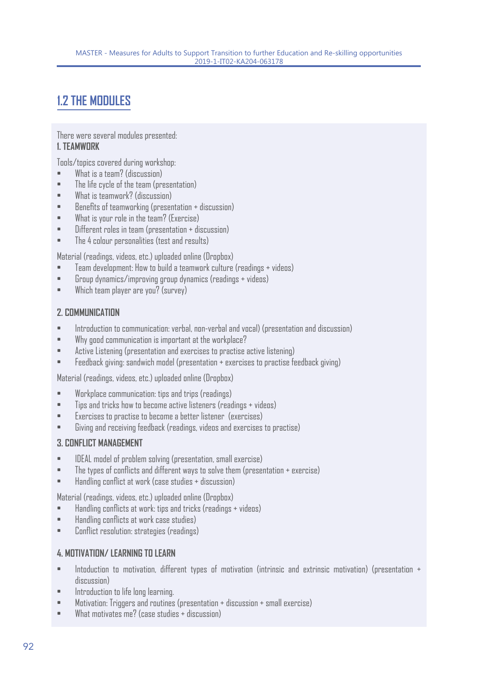# **1.2 THE MODULES**

There were several modules presented: **1. TEAMWORK** 

Tools/topics covered during workshop:

- What is a team? (discussion)
- The life cycle of the team (presentation)
- What is teamwork? (discussion)
- Benefits of teamworking (presentation + discussion)
- What is your role in the team? (Exercise)
- Different roles in team (presentation + discussion)
- The 4 colour personalities (test and results)

Material (readings, videos, etc.) uploaded online (Dropbox)

- Team development: How to build a teamwork culture (readings + videos)
- Group dynamics/improving group dynamics (readings + videos)
- Which team player are you? (survey)

#### **2. COMMUNICATION**

- Introduction to communication: verbal, non-verbal and vocal) (presentation and discussion)
- Why good communication is important at the workplace?
- Active Listening (presentation and exercises to practise active listening)
- Feedback giving: sandwich model (presentation + exercises to practise feedback giving)

Material (readings, videos, etc.) uploaded online (Dropbox)

- Workplace communication: tips and trips (readings)
- Tips and tricks how to become active listeners (readings + videos)
- Exercises to practise to become a better listener (exercises)
- Giving and receiving feedback (readings, videos and exercises to practise)

#### **3. CONFLICT MANAGEMENT**

- IDEAL model of problem solving (presentation, small exercise)
- The types of conflicts and different ways to solve them (presentation + exercise)
- Handling conflict at work (case studies + discussion)

Material (readings, videos, etc.) uploaded online (Dropbox)

- Handling conflicts at work: tips and tricks (readings + videos)
- Handling conflicts at work case studies)
- Conflict resolution: strategies (readings)

#### **4. MOTIVATION/ LEARNING TO LEARN**

- Intoduction to motivation, different types of motivation (intrinsic and extrinsic motivation) (presentation + discussion)
- Introduction to life long learning.
- Motivation: Triggers and routines (presentation + discussion + small exercise)
- What motivates me? (case studies + discussion)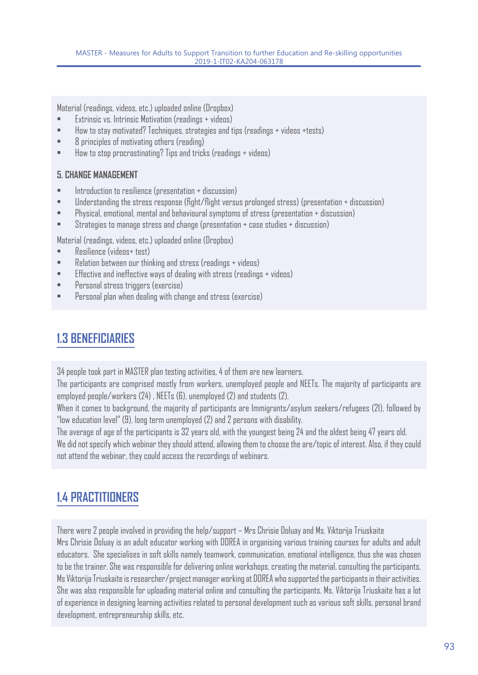Material (readings, videos, etc.) uploaded online (Dropbox)

- Extrinsic vs. Intrinsic Motivation (readings + videos)
- How to stay motivated? Techniques, strategies and tips (readings + videos +tests)
- 8 principles of motivating others (reading)
- How to stop procrastinating? Tips and tricks (readings + videos)

#### **5. CHANGE MANAGEMENT**

- Introduction to resilience (presentation + discussion)
- Understanding the stress response (fight/flight versus prolonged stress) (presentation + discussion)
- Physical, emotional, mental and behavioural symptoms of stress (presentation + discussion)
- Strategies to manage stress and change (presentation + case studies + discussion)

Material (readings, videos, etc.) uploaded online (Dropbox)

- Resilience (videos+ test)
- Relation between our thinking and stress (readings + videos)
- Effective and ineffective ways of dealing with stress (readings + videos)
- Personal stress triggers (exercise)
- Personal plan when dealing with change and stress (exercise)

### **1.3 BENEFICIARIES**

34 people took part in MASTER plan testing activities, 4 of them are new learners.

The participants are comprised mostly from workers, unemployed people and NEETs. The majority of participants are employed people/workers (24) , NEETs (6), unemployed (2) and students (2).

When it comes to background, the majority of participants are Immigrants/asylum seekers/refugees (21), followed by "low education level" (9), long term unemployed (2) and 2 persons with disability.

The average of age of the participants is 32 years old, with the youngest being 24 and the oldest being 47 years old. We did not specify which webinar they should attend, allowing them to choose the are/topic of interest. Also, if they could not attend the webinar, they could access the recordings of webinars.

### **1.4 PRACTITIONERS**

There were 2 people involved in providing the help/support – Mrs Chrisie Doluay and Ms. Viktorija Triuskaite Mrs Chrisie Doluay is an adult educator working with DOREA in organising various training courses for adults and adult educators. She specialises in soft skills namely teamwork, communication, emotional intelligence, thus she was chosen to be the trainer. She was responsible for delivering online workshops, creating the material, consulting the participants. Ms Viktorija Triuskaite is researcher/project manager working at DOREA who supported the participants in their activities. She was also responsible for uploading material online and consulting the participants. Ms. Viktorija Triuskaite has a lot of experience in designing learning activities related to personal development such as various soft skills, personal brand development, entrepreneurship skills, etc.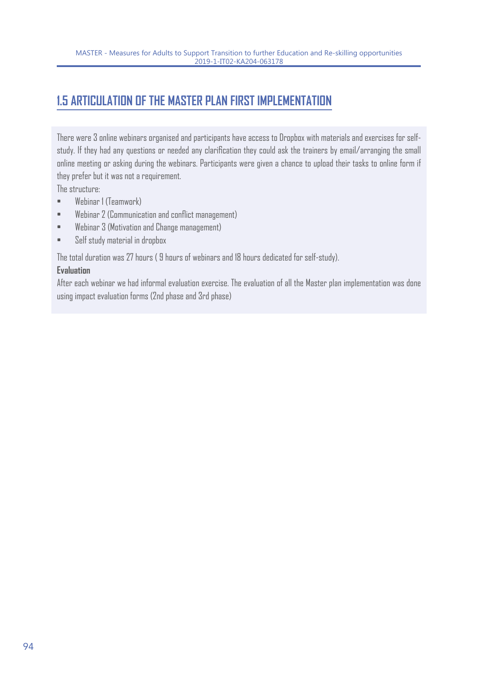# **1.5 ARTICULATION OF THE MASTER PLAN FIRST IMPLEMENTATION**

There were 3 online webinars organised and participants have access to Dropbox with materials and exercises for selfstudy. If they had any questions or needed any clarification they could ask the trainers by email/arranging the small online meeting or asking during the webinars. Participants were given a chance to upload their tasks to online form if they prefer but it was not a requirement.

The structure:

- Webinar 1 (Teamwork)
- Webinar 2 (Communication and conflict management)
- Webinar 3 (Motivation and Change management)
- Self study material in dropbox

The total duration was 27 hours ( 9 hours of webinars and 18 hours dedicated for self-study).

#### **Evaluation**

After each webinar we had informal evaluation exercise. The evaluation of all the Master plan implementation was done using impact evaluation forms (2nd phase and 3rd phase)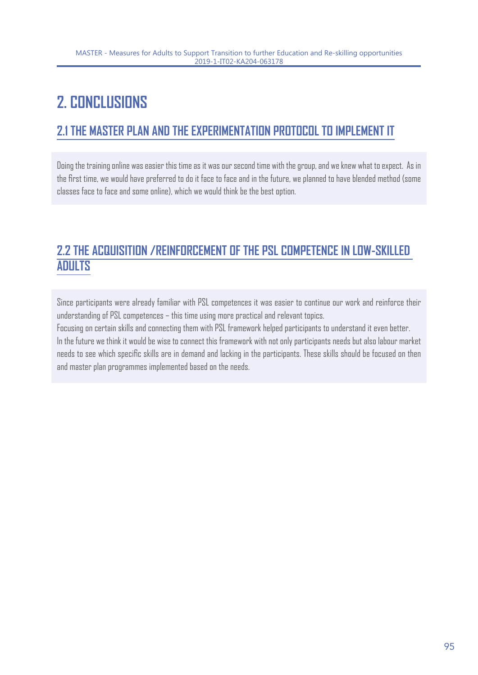# **2. CONCLUSIONS**

# **2.1 THE MASTER PLAN AND THE EXPERIMENTATION PROTOCOL TO IMPLEMENT IT**

Doing the training online was easier this time as it was our second time with the group, and we knew what to expect. As in the first time, we would have preferred to do it face to face and in the future, we planned to have blended method (some classes face to face and some online), which we would think be the best option.

### **2.2 THE ACQUISITION /REINFORCEMENT OF THE PSL COMPETENCE IN LOW-SKILLED ADULTS**

Since participants were already familiar with PSL competences it was easier to continue our work and reinforce their understanding of PSL competences – this time using more practical and relevant topics.

Focusing on certain skills and connecting them with PSL framework helped participants to understand it even better. In the future we think it would be wise to connect this framework with not only participants needs but also labour market needs to see which specific skills are in demand and lacking in the participants. These skills should be focused on then and master plan programmes implemented based on the needs.